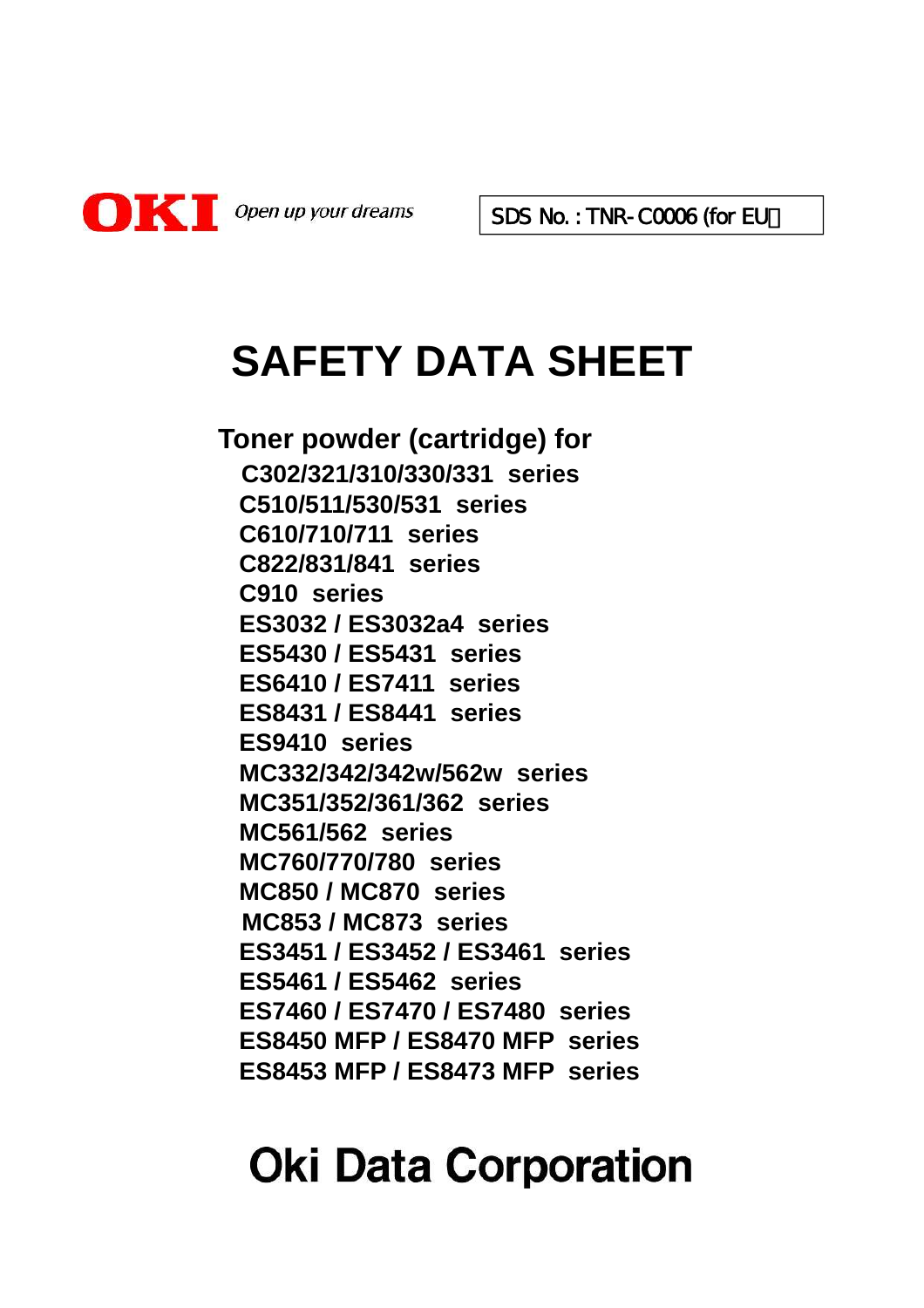

SDS No.: TNR-C0006 (for EU)

# **SAFETY DATA SHEET**

**Toner powder (cartridge) for C302/321/310/330/331 series C510/511/530/531 series C610/710/711 series C822/831/841 series C910 series ES3032 / ES3032a4 series ES5430 / ES5431 series ES6410 / ES7411 series ES8431 / ES8441 series ES9410 series MC332/342/342w/562w series MC351/352/361/362 series MC561/562 series MC760/770/780 series MC850 / MC870 series MC853 / MC873 series ES3451 / ES3452 / ES3461 series ES5461 / ES5462 series ES7460 / ES7470 / ES7480 series ES8450 MFP / ES8470 MFP series ES8453 MFP / ES8473 MFP series**

# **Oki Data Corporation**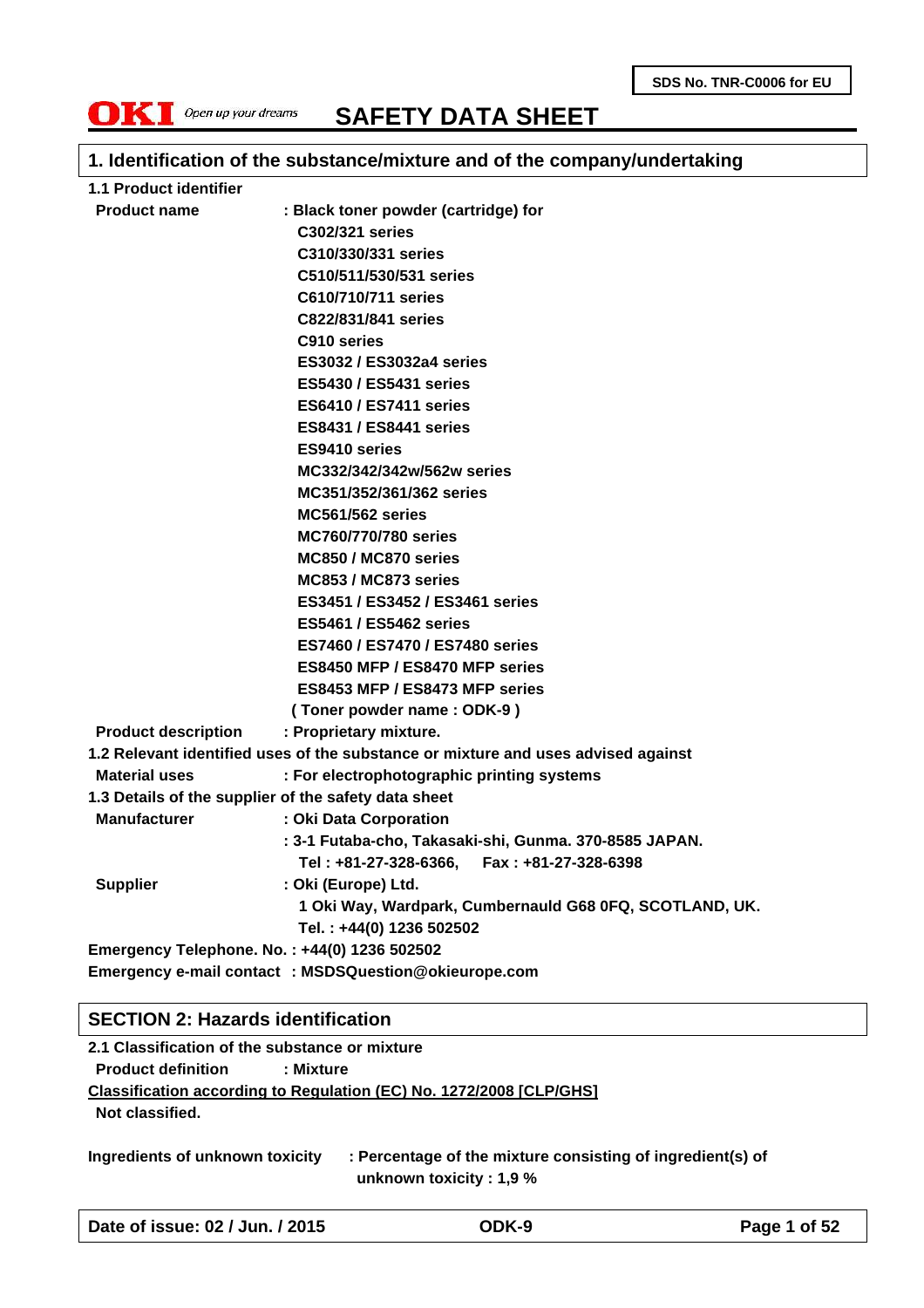**SDS No. TNR-C0006 for EU**



**SAFETY DATA SHEET**

### **1. Identification of the substance/mixture and of the company/undertaking**

| 1.1 Product identifier     |                                                                                   |
|----------------------------|-----------------------------------------------------------------------------------|
| <b>Product name</b>        | : Black toner powder (cartridge) for                                              |
|                            | C302/321 series                                                                   |
|                            | C310/330/331 series                                                               |
|                            | C510/511/530/531 series                                                           |
|                            | C610/710/711 series                                                               |
|                            | C822/831/841 series                                                               |
|                            | C910 series                                                                       |
|                            | ES3032 / ES3032a4 series                                                          |
|                            | <b>ES5430 / ES5431 series</b>                                                     |
|                            | <b>ES6410 / ES7411 series</b>                                                     |
|                            | <b>ES8431 / ES8441 series</b>                                                     |
|                            | ES9410 series                                                                     |
|                            | MC332/342/342w/562w series                                                        |
|                            | MC351/352/361/362 series                                                          |
|                            | <b>MC561/562 series</b>                                                           |
|                            | MC760/770/780 series                                                              |
|                            | MC850 / MC870 series                                                              |
|                            | MC853 / MC873 series                                                              |
|                            | ES3451 / ES3452 / ES3461 series                                                   |
|                            | <b>ES5461 / ES5462 series</b>                                                     |
|                            | ES7460 / ES7470 / ES7480 series                                                   |
|                            | ES8450 MFP / ES8470 MFP series                                                    |
|                            | ES8453 MFP / ES8473 MFP series                                                    |
|                            | (Toner powder name: ODK-9)                                                        |
| <b>Product description</b> | : Proprietary mixture.                                                            |
|                            | 1.2 Relevant identified uses of the substance or mixture and uses advised against |
| <b>Material uses</b>       | : For electrophotographic printing systems                                        |
|                            | 1.3 Details of the supplier of the safety data sheet                              |
| <b>Manufacturer</b>        | : Oki Data Corporation                                                            |
|                            | : 3-1 Futaba-cho, Takasaki-shi, Gunma. 370-8585 JAPAN.                            |
|                            | Tel: +81-27-328-6366, Fax: +81-27-328-6398                                        |
| <b>Supplier</b>            | : Oki (Europe) Ltd.                                                               |
|                            | 1 Oki Way, Wardpark, Cumbernauld G68 0FQ, SCOTLAND, UK.                           |
|                            | Tel.: +44(0) 1236 502502                                                          |
|                            | Emergency Telephone. No.: +44(0) 1236 502502                                      |
|                            | Emergency e-mail contact : MSDSQuestion@okieurope.com                             |

#### **SECTION 2: Hazards identification**

**2.1 Classification of the substance or mixture Product definition : Mixture Classification according to Regulation (EC) No. 1272/2008 [CLP/GHS] Not classified.**

**Ingredients of unknown toxicity : Percentage of the mixture consisting of ingredient(s) of unknown toxicity : 1,9 %**

**Date of issue: 02 / Jun. / 2015 ODK-9 Page 1 of 52**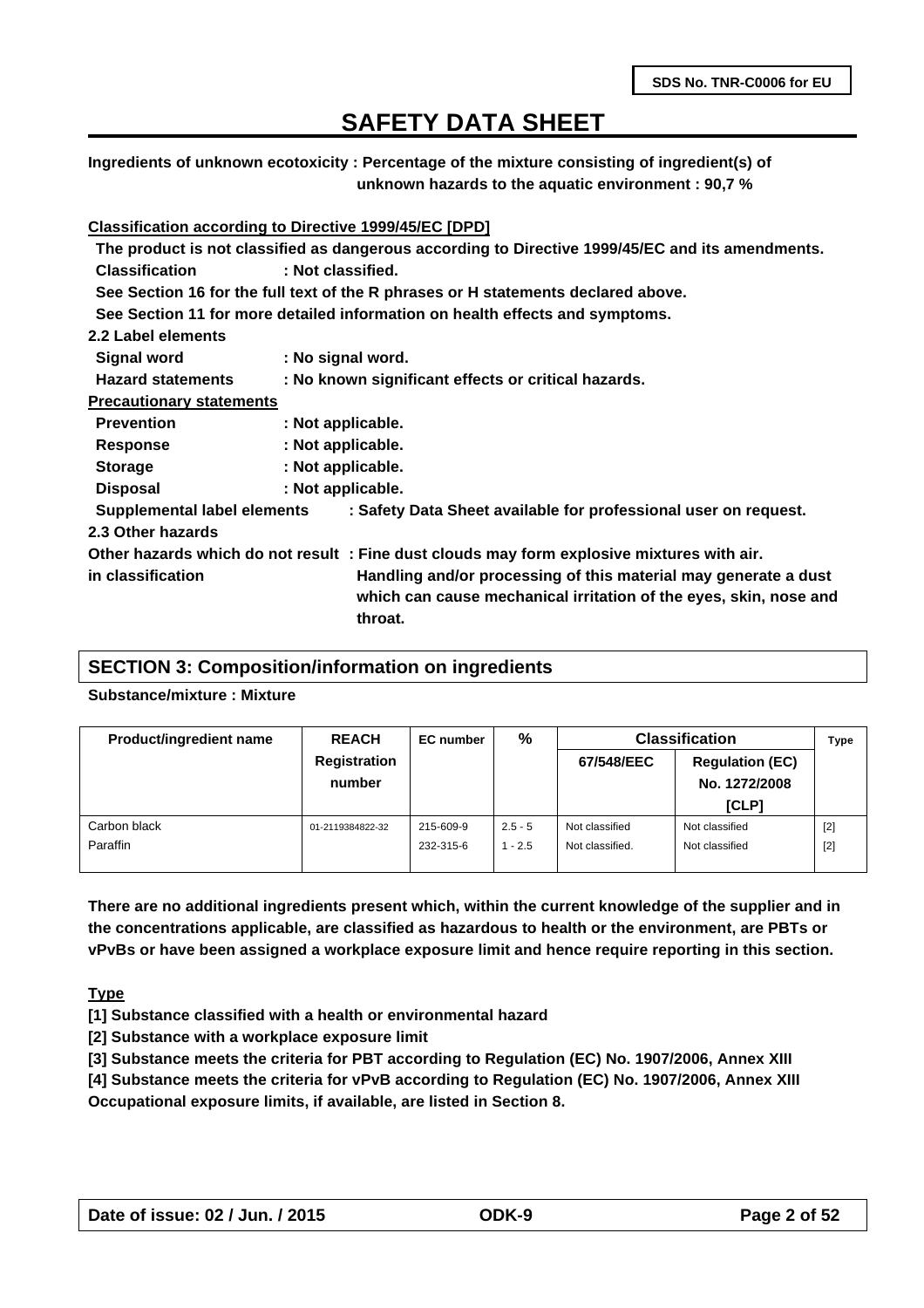**Ingredients of unknown ecotoxicity : Percentage of the mixture consisting of ingredient(s) of unknown hazards to the aquatic environment : 90,7 %**

#### **Classification according to Directive 1999/45/EC [DPD]**

|                                 | The product is not classified as dangerous according to Directive 1999/45/EC and its amendments. |  |
|---------------------------------|--------------------------------------------------------------------------------------------------|--|
| <b>Classification</b>           | : Not classified.                                                                                |  |
|                                 | See Section 16 for the full text of the R phrases or H statements declared above.                |  |
|                                 | See Section 11 for more detailed information on health effects and symptoms.                     |  |
| 2.2 Label elements              |                                                                                                  |  |
| <b>Signal word</b>              | : No signal word.                                                                                |  |
| <b>Hazard statements</b>        | : No known significant effects or critical hazards.                                              |  |
| <b>Precautionary statements</b> |                                                                                                  |  |
| <b>Prevention</b>               | : Not applicable.                                                                                |  |
| <b>Response</b>                 | : Not applicable.                                                                                |  |
| <b>Storage</b>                  | : Not applicable.                                                                                |  |
| <b>Disposal</b>                 | : Not applicable.                                                                                |  |
| Supplemental label elements     | : Safety Data Sheet available for professional user on request.                                  |  |
| 2.3 Other hazards               |                                                                                                  |  |
|                                 | Other hazards which do not result : Fine dust clouds may form explosive mixtures with air.       |  |
| in classification               | Handling and/or processing of this material may generate a dust                                  |  |
|                                 | which can cause mechanical irritation of the eyes, skin, nose and<br>throat.                     |  |

### **SECTION 3: Composition/information on ingredients**

#### **Substance/mixture : Mixture**

| <b>Product/ingredient name</b> | <b>REACH</b>                  | EC number | %         | <b>Classification</b> |                                         | <b>Type</b> |
|--------------------------------|-------------------------------|-----------|-----------|-----------------------|-----------------------------------------|-------------|
|                                | <b>Registration</b><br>number |           |           | 67/548/EEC            | <b>Regulation (EC)</b><br>No. 1272/2008 |             |
|                                |                               |           |           |                       | [CLP]                                   |             |
| Carbon black                   | 01-2119384822-32              | 215-609-9 | $2.5 - 5$ | Not classified        | Not classified                          | $[2]$       |
| Paraffin                       |                               | 232-315-6 | $1 - 2.5$ | Not classified.       | Not classified                          | $[2]$       |
|                                |                               |           |           |                       |                                         |             |

**There are no additional ingredients present which, within the current knowledge of the supplier and in the concentrations applicable, are classified as hazardous to health or the environment, are PBTs or vPvBs or have been assigned a workplace exposure limit and hence require reporting in this section.**

#### **Type**

**[1] Substance classified with a health or environmental hazard**

**[2] Substance with a workplace exposure limit**

- **[3] Substance meets the criteria for PBT according to Regulation (EC) No. 1907/2006, Annex XIII**
- **[4] Substance meets the criteria for vPvB according to Regulation (EC) No. 1907/2006, Annex XIII**

**Occupational exposure limits, if available, are listed in Section 8.**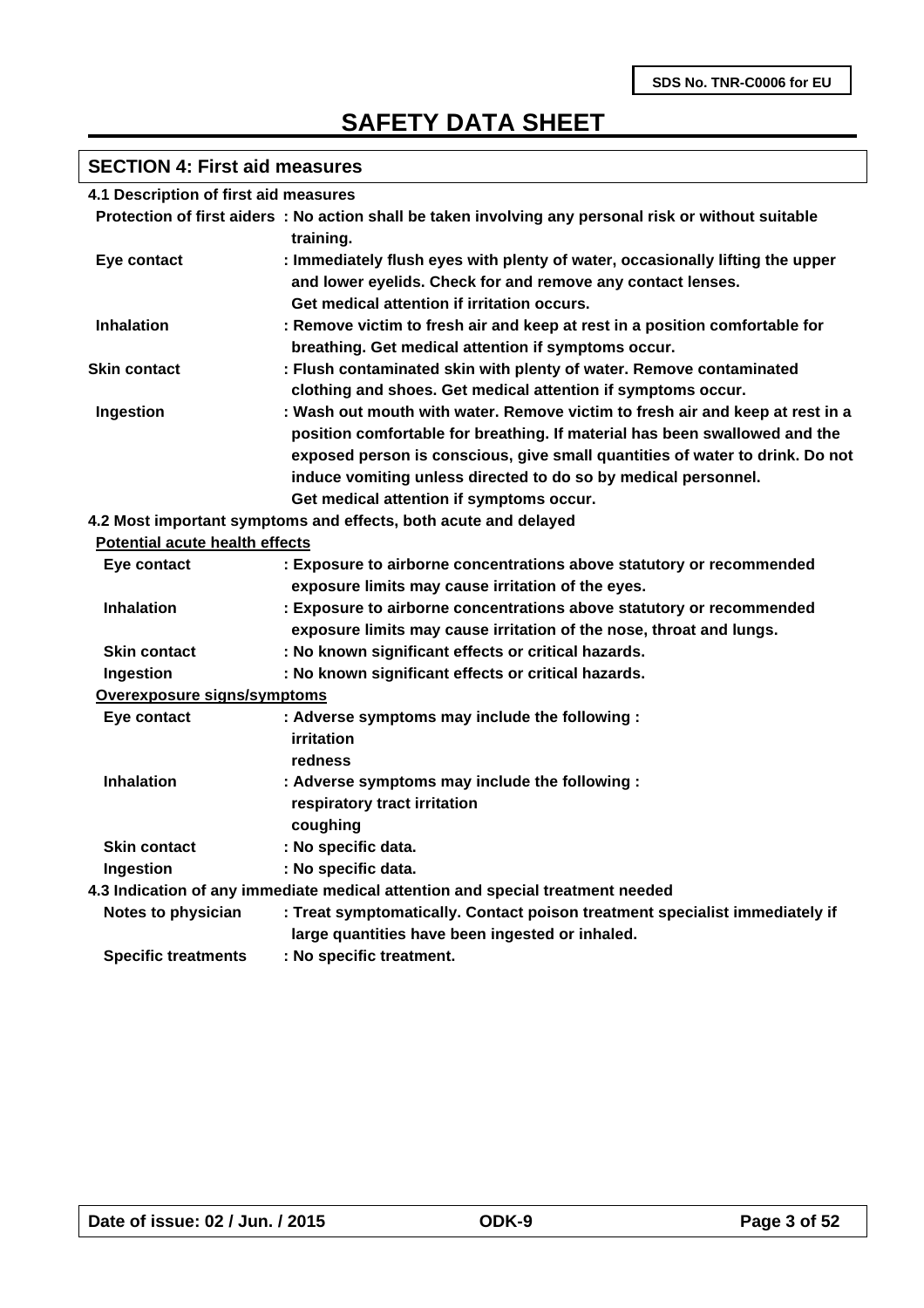### **SECTION 4: First aid measures**

| 4.1 Description of first aid measures |  |  |
|---------------------------------------|--|--|
|---------------------------------------|--|--|

|                                       | Protection of first aiders : No action shall be taken involving any personal risk or without suitable<br>training.                                                                                                                                                                                                                                        |
|---------------------------------------|-----------------------------------------------------------------------------------------------------------------------------------------------------------------------------------------------------------------------------------------------------------------------------------------------------------------------------------------------------------|
| Eye contact                           | : Immediately flush eyes with plenty of water, occasionally lifting the upper<br>and lower eyelids. Check for and remove any contact lenses.<br>Get medical attention if irritation occurs.                                                                                                                                                               |
| <b>Inhalation</b>                     | : Remove victim to fresh air and keep at rest in a position comfortable for<br>breathing. Get medical attention if symptoms occur.                                                                                                                                                                                                                        |
| <b>Skin contact</b>                   | : Flush contaminated skin with plenty of water. Remove contaminated<br>clothing and shoes. Get medical attention if symptoms occur.                                                                                                                                                                                                                       |
| Ingestion                             | : Wash out mouth with water. Remove victim to fresh air and keep at rest in a<br>position comfortable for breathing. If material has been swallowed and the<br>exposed person is conscious, give small quantities of water to drink. Do not<br>induce vomiting unless directed to do so by medical personnel.<br>Get medical attention if symptoms occur. |
|                                       | 4.2 Most important symptoms and effects, both acute and delayed                                                                                                                                                                                                                                                                                           |
| <b>Potential acute health effects</b> |                                                                                                                                                                                                                                                                                                                                                           |
| Eye contact                           | : Exposure to airborne concentrations above statutory or recommended<br>exposure limits may cause irritation of the eyes.                                                                                                                                                                                                                                 |
| <b>Inhalation</b>                     | : Exposure to airborne concentrations above statutory or recommended<br>exposure limits may cause irritation of the nose, throat and lungs.                                                                                                                                                                                                               |
| <b>Skin contact</b>                   | : No known significant effects or critical hazards.                                                                                                                                                                                                                                                                                                       |

### **Ingestion : No known significant effects or critical hazards.**

**Overexposure signs/symptoms**

| Eye contact                | : Adverse symptoms may include the following :                                                                                 |
|----------------------------|--------------------------------------------------------------------------------------------------------------------------------|
|                            | irritation<br>redness                                                                                                          |
| <b>Inhalation</b>          | : Adverse symptoms may include the following :                                                                                 |
|                            | respiratory tract irritation                                                                                                   |
|                            | coughing                                                                                                                       |
| <b>Skin contact</b>        | : No specific data.                                                                                                            |
| Ingestion                  | : No specific data.                                                                                                            |
|                            | 4.3 Indication of any immediate medical attention and special treatment needed                                                 |
| Notes to physician         | : Treat symptomatically. Contact poison treatment specialist immediately if<br>large quantities have been ingested or inhaled. |
| <b>Specific treatments</b> | : No specific treatment.                                                                                                       |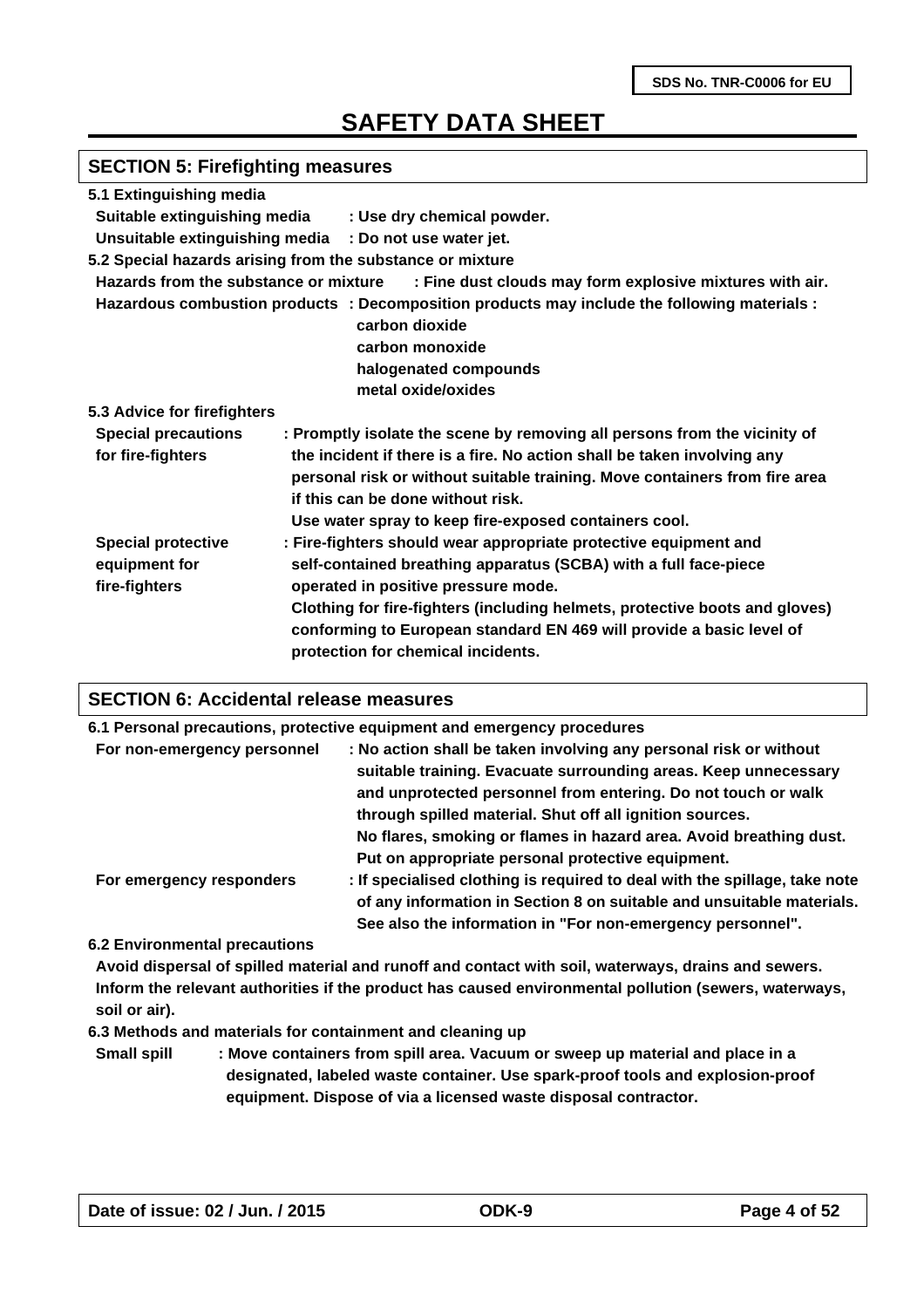### **SECTION 5: Firefighting measures**

| 5.1 Extinguishing media                                     |                                                                                                                                                                                                                                                                                                                                                                          |
|-------------------------------------------------------------|--------------------------------------------------------------------------------------------------------------------------------------------------------------------------------------------------------------------------------------------------------------------------------------------------------------------------------------------------------------------------|
| Suitable extinguishing media                                | : Use dry chemical powder.                                                                                                                                                                                                                                                                                                                                               |
| Unsuitable extinguishing media                              | : Do not use water jet.                                                                                                                                                                                                                                                                                                                                                  |
|                                                             | 5.2 Special hazards arising from the substance or mixture                                                                                                                                                                                                                                                                                                                |
| Hazards from the substance or mixture                       | : Fine dust clouds may form explosive mixtures with air.                                                                                                                                                                                                                                                                                                                 |
|                                                             | Hazardous combustion products : Decomposition products may include the following materials :                                                                                                                                                                                                                                                                             |
|                                                             | carbon dioxide                                                                                                                                                                                                                                                                                                                                                           |
|                                                             | carbon monoxide                                                                                                                                                                                                                                                                                                                                                          |
|                                                             | halogenated compounds                                                                                                                                                                                                                                                                                                                                                    |
|                                                             | metal oxide/oxides                                                                                                                                                                                                                                                                                                                                                       |
| 5.3 Advice for firefighters                                 |                                                                                                                                                                                                                                                                                                                                                                          |
| <b>Special precautions</b><br>for fire-fighters             | : Promptly isolate the scene by removing all persons from the vicinity of<br>the incident if there is a fire. No action shall be taken involving any<br>personal risk or without suitable training. Move containers from fire area<br>if this can be done without risk.<br>Use water spray to keep fire-exposed containers cool.                                         |
| <b>Special protective</b><br>equipment for<br>fire-fighters | : Fire-fighters should wear appropriate protective equipment and<br>self-contained breathing apparatus (SCBA) with a full face-piece<br>operated in positive pressure mode.<br>Clothing for fire-fighters (including helmets, protective boots and gloves)<br>conforming to European standard EN 469 will provide a basic level of<br>protection for chemical incidents. |

#### **SECTION 6: Accidental release measures**

|                             | 6.1 Personal precautions, protective equipment and emergency procedures                                                                                                                                                                                                        |  |
|-----------------------------|--------------------------------------------------------------------------------------------------------------------------------------------------------------------------------------------------------------------------------------------------------------------------------|--|
| For non-emergency personnel | : No action shall be taken involving any personal risk or without<br>suitable training. Evacuate surrounding areas. Keep unnecessary<br>and unprotected personnel from entering. Do not touch or walk<br>through spilled material. Shut off all ignition sources.              |  |
| For emergency responders    | No flares, smoking or flames in hazard area. Avoid breathing dust.<br>Put on appropriate personal protective equipment.<br>: If specialised clothing is required to deal with the spillage, take note<br>of any information in Section 8 on suitable and unsuitable materials. |  |
|                             | See also the information in "For non-emergency personnel".                                                                                                                                                                                                                     |  |

**6.2 Environmental precautions**

**Avoid dispersal of spilled material and runoff and contact with soil, waterways, drains and sewers. Inform the relevant authorities if the product has caused environmental pollution (sewers, waterways, soil or air).**

**6.3 Methods and materials for containment and cleaning up**

**Small spill : Move containers from spill area. Vacuum or sweep up material and place in a designated, labeled waste container. Use spark-proof tools and explosion-proof equipment. Dispose of via a licensed waste disposal contractor.**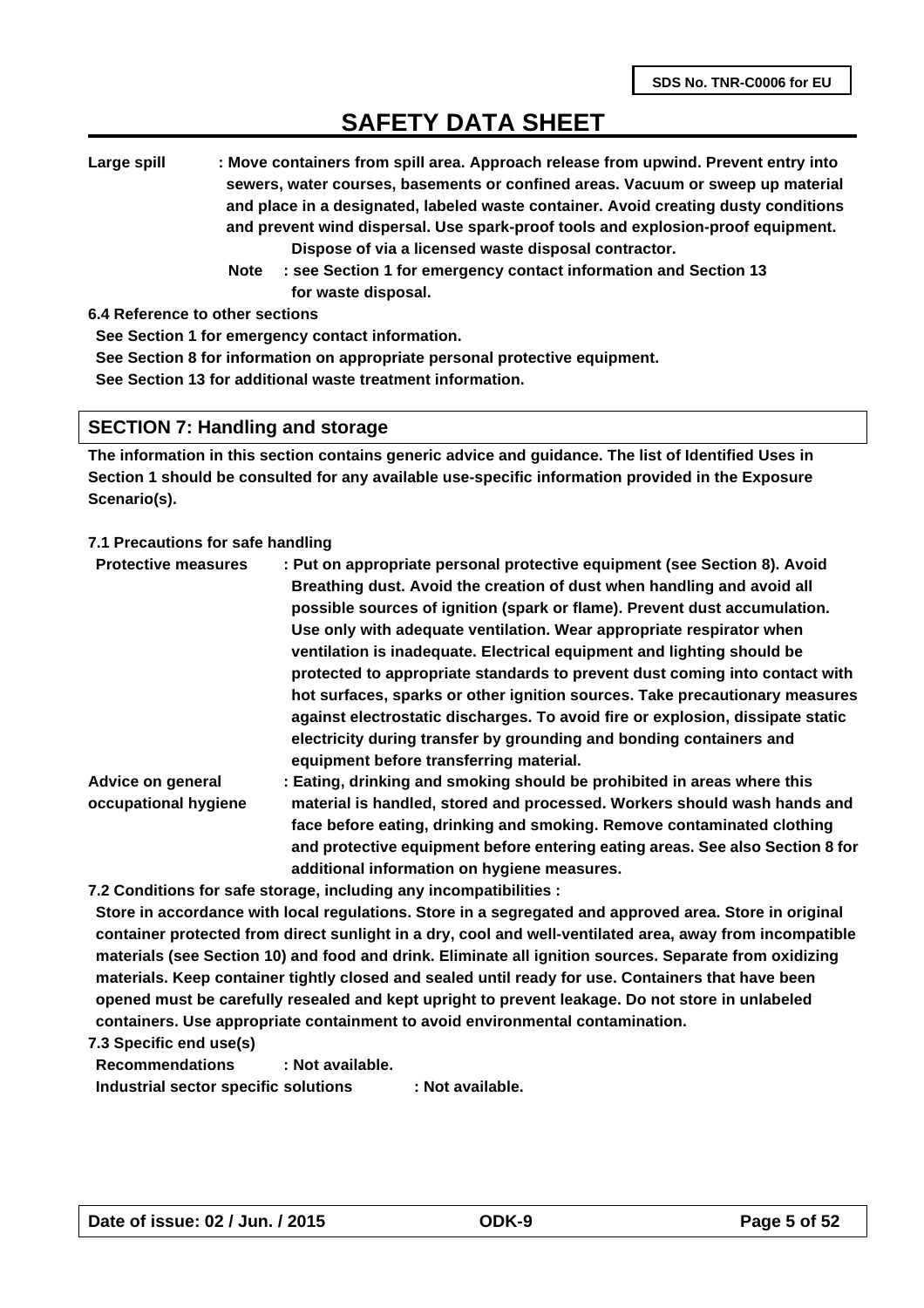**Large spill : Move containers from spill area. Approach release from upwind. Prevent entry into sewers, water courses, basements or confined areas. Vacuum or sweep up material and place in a designated, labeled waste container. Avoid creating dusty conditions and prevent wind dispersal. Use spark-proof tools and explosion-proof equipment. Dispose of via a licensed waste disposal contractor.** 

 **Note : see Section 1 for emergency contact information and Section 13 for waste disposal.**

**6.4 Reference to other sections**

**See Section 1 for emergency contact information.**

**See Section 8 for information on appropriate personal protective equipment.**

**See Section 13 for additional waste treatment information.**

#### **SECTION 7: Handling and storage**

**The information in this section contains generic advice and guidance. The list of Identified Uses in Section 1 should be consulted for any available use-specific information provided in the Exposure Scenario(s).**

#### **7.1 Precautions for safe handling**

| : Put on appropriate personal protective equipment (see Section 8). Avoid<br>Breathing dust. Avoid the creation of dust when handling and avoid all           |
|---------------------------------------------------------------------------------------------------------------------------------------------------------------|
| possible sources of ignition (spark or flame). Prevent dust accumulation.                                                                                     |
| Use only with adequate ventilation. Wear appropriate respirator when                                                                                          |
| ventilation is inadequate. Electrical equipment and lighting should be                                                                                        |
| protected to appropriate standards to prevent dust coming into contact with                                                                                   |
| hot surfaces, sparks or other ignition sources. Take precautionary measures                                                                                   |
| against electrostatic discharges. To avoid fire or explosion, dissipate static                                                                                |
| electricity during transfer by grounding and bonding containers and<br>equipment before transferring material.                                                |
| : Eating, drinking and smoking should be prohibited in areas where this                                                                                       |
| material is handled, stored and processed. Workers should wash hands and<br>fa a a bafans a athain chulchain an chanachta a' Damaire a antamhastach abathlaic |
|                                                                                                                                                               |

**face before eating, drinking and smoking. Remove contaminated clothing and protective equipment before entering eating areas. See also Section 8 for additional information on hygiene measures.**

**7.2 Conditions for safe storage, including any incompatibilities :** 

**Store in accordance with local regulations. Store in a segregated and approved area. Store in original container protected from direct sunlight in a dry, cool and well-ventilated area, away from incompatible materials (see Section 10) and food and drink. Eliminate all ignition sources. Separate from oxidizing materials. Keep container tightly closed and sealed until ready for use. Containers that have been opened must be carefully resealed and kept upright to prevent leakage. Do not store in unlabeled containers. Use appropriate containment to avoid environmental contamination.**

**7.3 Specific end use(s)**

**Recommendations : Not available. Industrial sector specific solutions : Not available.**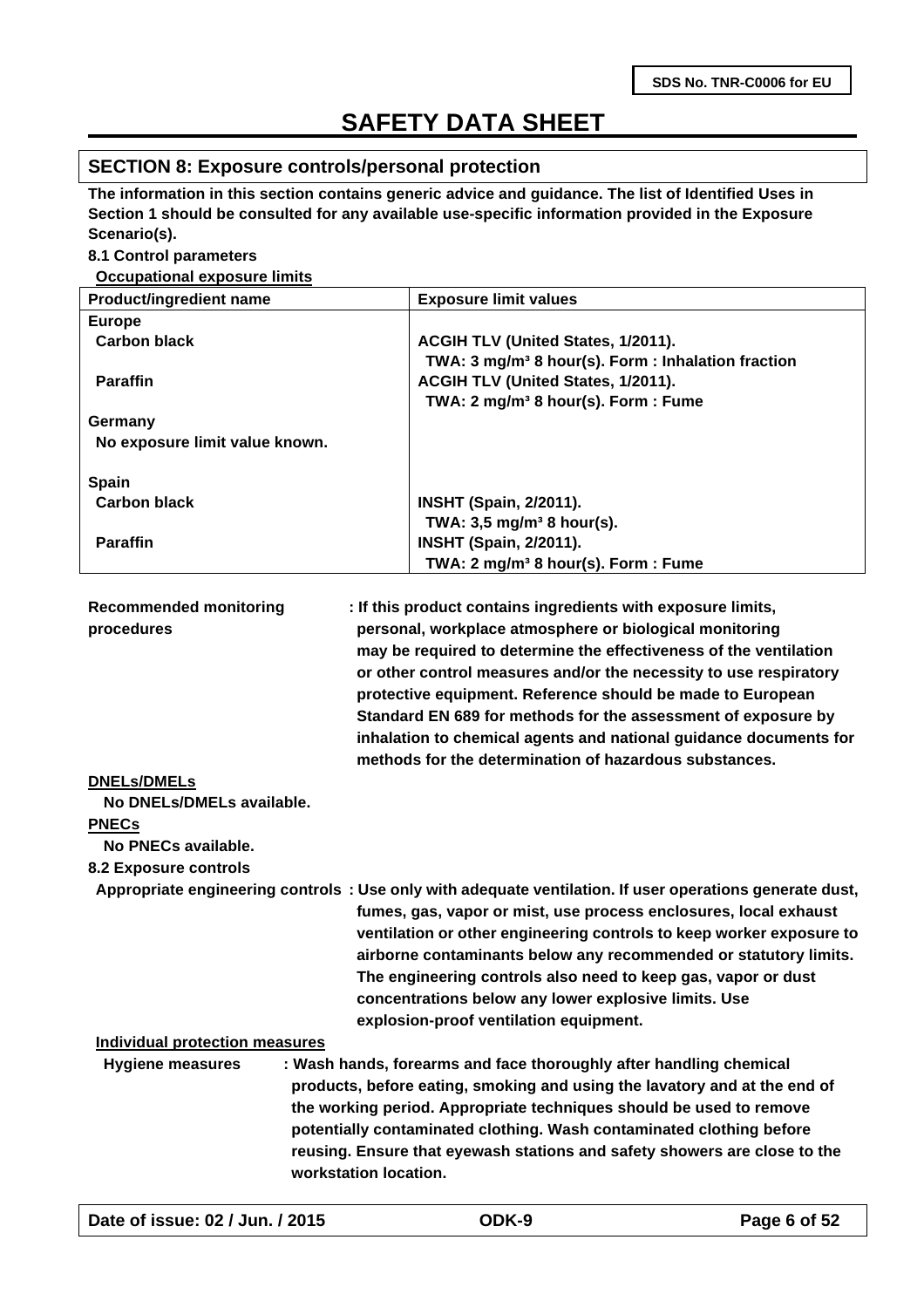### **SECTION 8: Exposure controls/personal protection**

**The information in this section contains generic advice and guidance. The list of Identified Uses in Section 1 should be consulted for any available use-specific information provided in the Exposure Scenario(s).**

#### **8.1 Control parameters**

#### **Occupational exposure limits**

| <b>Exposure limit values</b>                                   |  |  |
|----------------------------------------------------------------|--|--|
|                                                                |  |  |
| ACGIH TLV (United States, 1/2011).                             |  |  |
| TWA: 3 mg/m <sup>3</sup> 8 hour(s). Form : Inhalation fraction |  |  |
| ACGIH TLV (United States, 1/2011).                             |  |  |
| TWA: 2 mg/m <sup>3</sup> 8 hour(s). Form: Fume                 |  |  |
|                                                                |  |  |
|                                                                |  |  |
|                                                                |  |  |
| <b>INSHT (Spain, 2/2011).</b>                                  |  |  |
| TWA: $3,5 \text{ mg/m}^3$ 8 hour(s).                           |  |  |
| <b>INSHT (Spain, 2/2011).</b>                                  |  |  |
| TWA: 2 mg/m <sup>3</sup> 8 hour(s). Form: Fume                 |  |  |
|                                                                |  |  |

| <b>Recommended monitoring</b> | : If this product contains ingredients with exposure limits,      |
|-------------------------------|-------------------------------------------------------------------|
| procedures                    | personal, workplace atmosphere or biological monitoring           |
|                               | may be required to determine the effectiveness of the ventilation |
|                               | or other control measures and/or the necessity to use respiratory |
|                               | protective equipment. Reference should be made to European        |
|                               | Standard EN 689 for methods for the assessment of exposure by     |
|                               | inhalation to chemical agents and national guidance documents for |
|                               | methods for the determination of hazardous substances.            |

#### **DNELs/DMELs**

 **No DNELs/DMELs available.**

#### **PNECs**

**No PNECs available.**

#### **8.2 Exposure controls**

**Appropriate engineering controls : Use only with adequate ventilation. If user operations generate dust, fumes, gas, vapor or mist, use process enclosures, local exhaust ventilation or other engineering controls to keep worker exposure to airborne contaminants below any recommended or statutory limits. The engineering controls also need to keep gas, vapor or dust concentrations below any lower explosive limits. Use explosion-proof ventilation equipment.**

#### **Individual protection measures**

 **Hygiene measures : Wash hands, forearms and face thoroughly after handling chemical products, before eating, smoking and using the lavatory and at the end of the working period. Appropriate techniques should be used to remove potentially contaminated clothing. Wash contaminated clothing before reusing. Ensure that eyewash stations and safety showers are close to the workstation location.**

|  |  | Date of issue: 02 / Jun. / 2015 |  |
|--|--|---------------------------------|--|
|--|--|---------------------------------|--|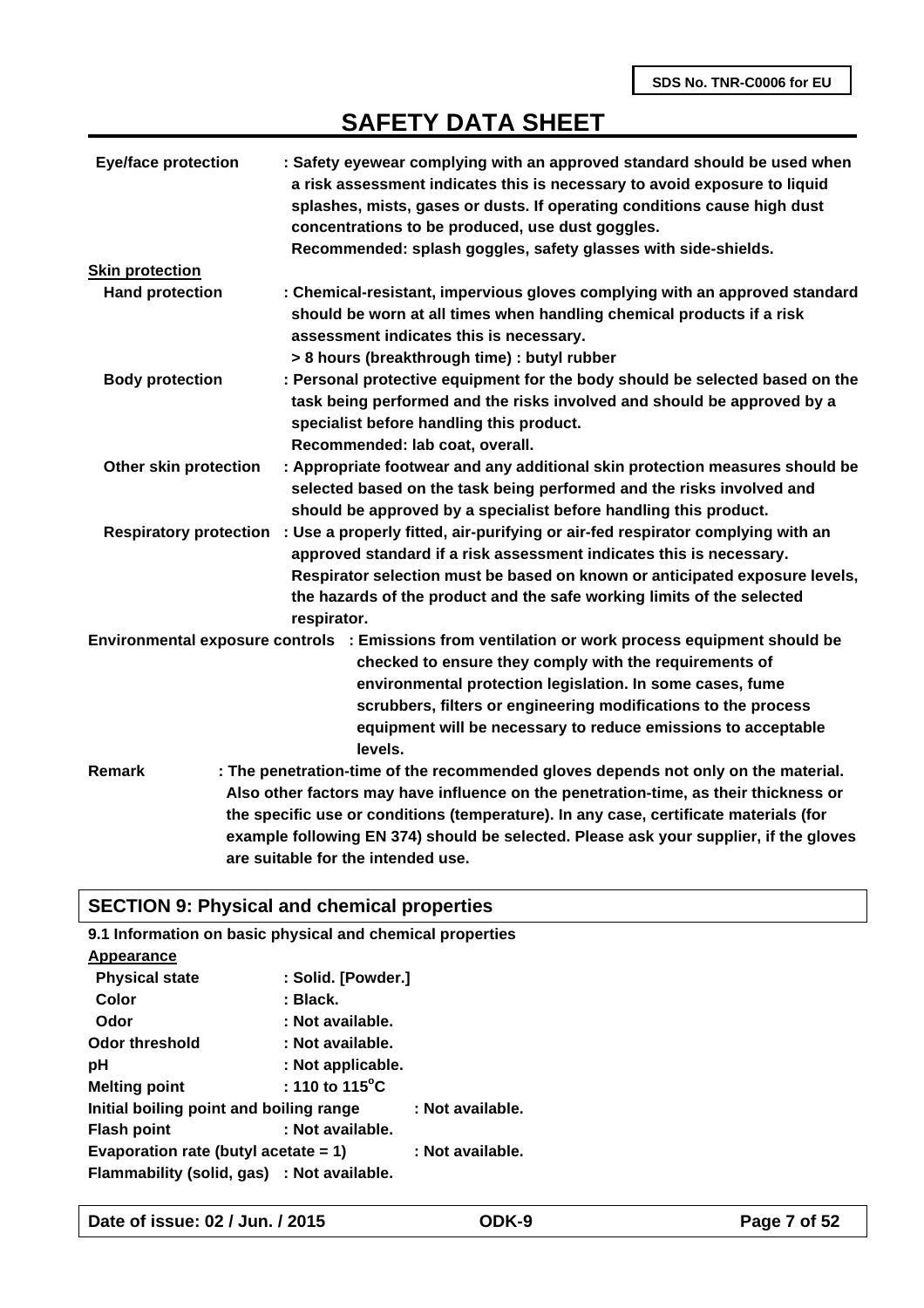| <b>Eye/face protection</b> | : Safety eyewear complying with an approved standard should be used when<br>a risk assessment indicates this is necessary to avoid exposure to liquid<br>splashes, mists, gases or dusts. If operating conditions cause high dust<br>concentrations to be produced, use dust goggles.<br>Recommended: splash goggles, safety glasses with side-shields. |
|----------------------------|---------------------------------------------------------------------------------------------------------------------------------------------------------------------------------------------------------------------------------------------------------------------------------------------------------------------------------------------------------|
| <b>Skin protection</b>     |                                                                                                                                                                                                                                                                                                                                                         |
| <b>Hand protection</b>     | : Chemical-resistant, impervious gloves complying with an approved standard<br>should be worn at all times when handling chemical products if a risk<br>assessment indicates this is necessary.<br>> 8 hours (breakthrough time) : butyl rubber                                                                                                         |
| <b>Body protection</b>     | : Personal protective equipment for the body should be selected based on the                                                                                                                                                                                                                                                                            |
|                            | task being performed and the risks involved and should be approved by a<br>specialist before handling this product.<br>Recommended: lab coat, overall.                                                                                                                                                                                                  |
| Other skin protection      | : Appropriate footwear and any additional skin protection measures should be                                                                                                                                                                                                                                                                            |
|                            | selected based on the task being performed and the risks involved and                                                                                                                                                                                                                                                                                   |
|                            | should be approved by a specialist before handling this product.                                                                                                                                                                                                                                                                                        |
|                            | Respiratory protection : Use a properly fitted, air-purifying or air-fed respirator complying with an<br>approved standard if a risk assessment indicates this is necessary.                                                                                                                                                                            |
|                            | Respirator selection must be based on known or anticipated exposure levels,                                                                                                                                                                                                                                                                             |
|                            | the hazards of the product and the safe working limits of the selected<br>respirator.                                                                                                                                                                                                                                                                   |
|                            | Environmental exposure controls : Emissions from ventilation or work process equipment should be                                                                                                                                                                                                                                                        |
|                            | checked to ensure they comply with the requirements of                                                                                                                                                                                                                                                                                                  |
|                            | environmental protection legislation. In some cases, fume                                                                                                                                                                                                                                                                                               |
|                            | scrubbers, filters or engineering modifications to the process                                                                                                                                                                                                                                                                                          |
|                            | equipment will be necessary to reduce emissions to acceptable                                                                                                                                                                                                                                                                                           |
|                            | levels.                                                                                                                                                                                                                                                                                                                                                 |
| <b>Remark</b>              | : The penetration-time of the recommended gloves depends not only on the material.                                                                                                                                                                                                                                                                      |
|                            | Also other factors may have influence on the penetration-time, as their thickness or                                                                                                                                                                                                                                                                    |
|                            | the specific use or conditions (temperature). In any case, certificate materials (for                                                                                                                                                                                                                                                                   |
|                            | example following EN 374) should be selected. Please ask your supplier, if the gloves                                                                                                                                                                                                                                                                   |
|                            | are suitable for the intended use.                                                                                                                                                                                                                                                                                                                      |

# **SECTION 9: Physical and chemical properties**

| 9.1 Information on basic physical and chemical properties |                           |                  |
|-----------------------------------------------------------|---------------------------|------------------|
| Appearance                                                |                           |                  |
| <b>Physical state</b>                                     | : Solid. [Powder.]        |                  |
| Color                                                     | : Black.                  |                  |
| Odor                                                      | : Not available.          |                  |
| <b>Odor threshold</b>                                     | : Not available.          |                  |
| рH                                                        | : Not applicable.         |                  |
| <b>Melting point</b>                                      | : 110 to 115 $^{\circ}$ C |                  |
| Initial boiling point and boiling range                   |                           | : Not available. |
| Flash point                                               | : Not available.          |                  |
| Evaporation rate (butyl acetate $= 1$ )                   |                           | : Not available. |
| Flammability (solid, gas) : Not available.                |                           |                  |

**Date of issue: 02 / Jun. / 2015 ODK-9 Page 7 of 52**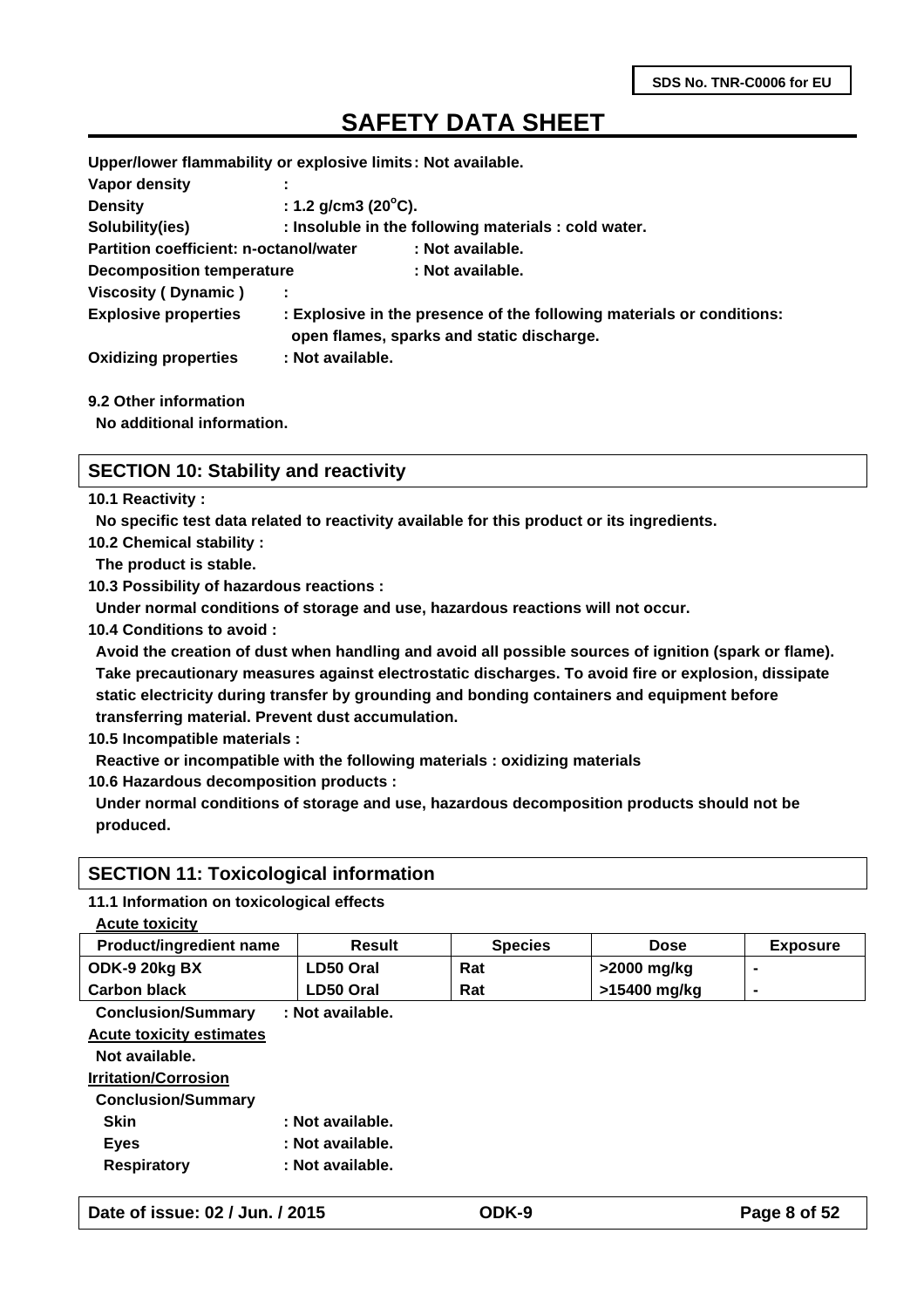**Upper/lower flammability or explosive limits: Not available.**

| Vapor density                                 |                                |                                                                                                                    |
|-----------------------------------------------|--------------------------------|--------------------------------------------------------------------------------------------------------------------|
| <b>Density</b>                                | : 1.2 g/cm3 (20 $^{\circ}$ C). |                                                                                                                    |
| Solubility(ies)                               |                                | : Insoluble in the following materials : cold water.                                                               |
| <b>Partition coefficient: n-octanol/water</b> |                                | : Not available.                                                                                                   |
| <b>Decomposition temperature</b>              |                                | : Not available.                                                                                                   |
| Viscosity (Dynamic)                           |                                |                                                                                                                    |
| <b>Explosive properties</b>                   |                                | : Explosive in the presence of the following materials or conditions:<br>open flames, sparks and static discharge. |
| <b>Oxidizing properties</b>                   | : Not available.               |                                                                                                                    |
|                                               |                                |                                                                                                                    |

#### **9.2 Other information**

**No additional information.**

#### **SECTION 10: Stability and reactivity**

**10.1 Reactivity :**

**No specific test data related to reactivity available for this product or its ingredients.**

**10.2 Chemical stability :**

**The product is stable.**

**10.3 Possibility of hazardous reactions :**

**Under normal conditions of storage and use, hazardous reactions will not occur.**

**10.4 Conditions to avoid :**

**Avoid the creation of dust when handling and avoid all possible sources of ignition (spark or flame). Take precautionary measures against electrostatic discharges. To avoid fire or explosion, dissipate static electricity during transfer by grounding and bonding containers and equipment before transferring material. Prevent dust accumulation.**

**10.5 Incompatible materials :**

**Reactive or incompatible with the following materials : oxidizing materials**

**10.6 Hazardous decomposition products :**

**Under normal conditions of storage and use, hazardous decomposition products should not be produced.**

### **SECTION 11: Toxicological information**

#### **11.1 Information on toxicological effects**

| <b>Acute toxicity</b>           |                  |                |              |                 |
|---------------------------------|------------------|----------------|--------------|-----------------|
| Product/ingredient name         | <b>Result</b>    | <b>Species</b> | <b>Dose</b>  | <b>Exposure</b> |
| ODK-9 20kg BX                   | LD50 Oral        | Rat            | >2000 mg/kg  |                 |
| <b>Carbon black</b>             | LD50 Oral        | Rat            | >15400 mg/kg | $\blacksquare$  |
| <b>Conclusion/Summary</b>       | : Not available. |                |              |                 |
| <b>Acute toxicity estimates</b> |                  |                |              |                 |
| Not available.                  |                  |                |              |                 |
| <b>Irritation/Corrosion</b>     |                  |                |              |                 |
| <b>Conclusion/Summary</b>       |                  |                |              |                 |
| <b>Skin</b>                     | : Not available. |                |              |                 |
| <b>Eyes</b>                     | : Not available. |                |              |                 |
| <b>Respiratory</b>              | : Not available. |                |              |                 |
|                                 |                  |                |              |                 |

**Date of issue: 02 / Jun. / 2015 ODK-9 Page 8 of 52**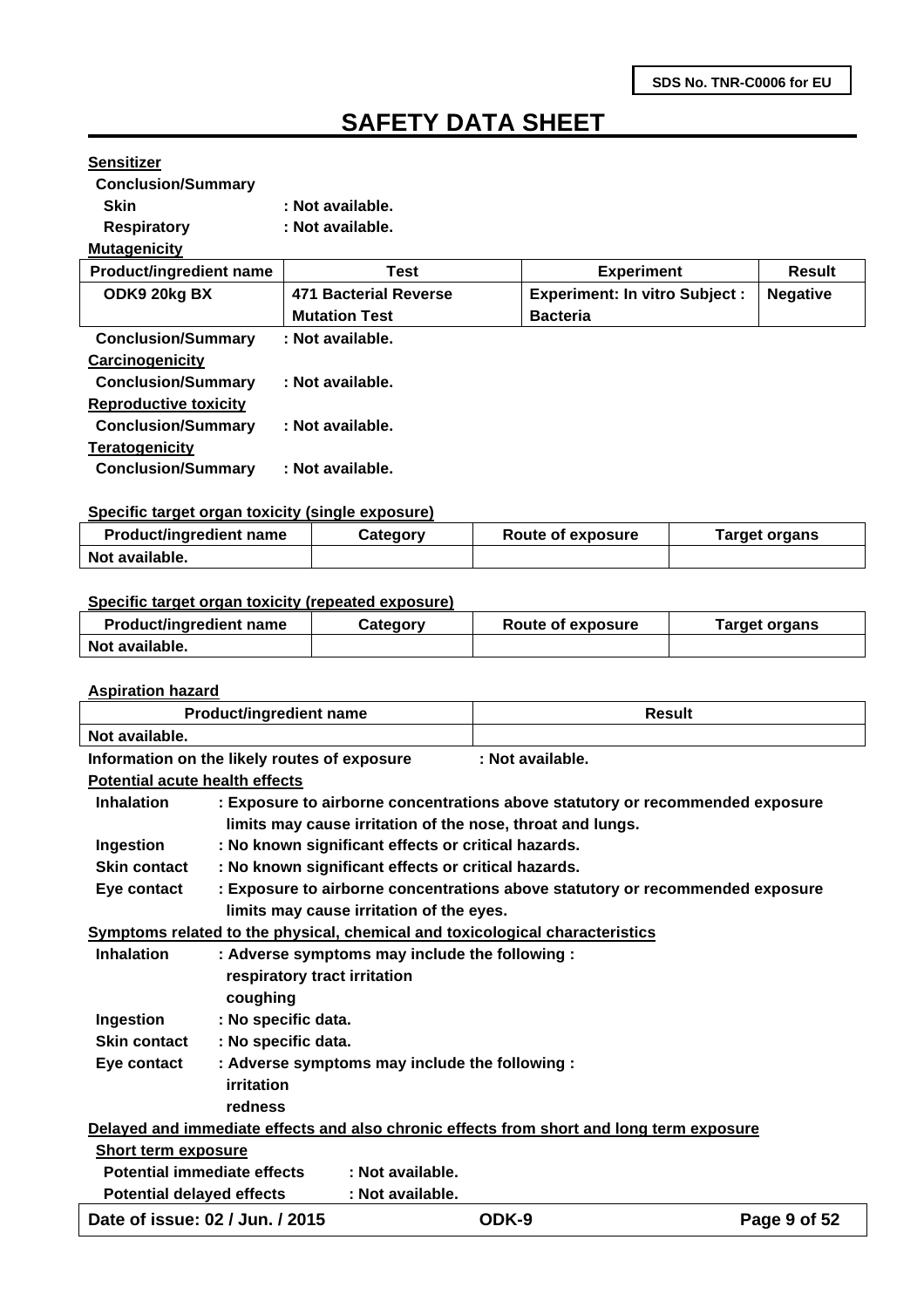### **Sensitizer**

**Conclusion/Summary** 

- Skin : Not available.
- **Respiratory : Not available.**

#### **Mutagenicity**

| <b>Product/ingredient name</b> | Test                  | <b>Experiment</b>                    | <b>Result</b>   |
|--------------------------------|-----------------------|--------------------------------------|-----------------|
| ODK9 20kg BX                   | 471 Bacterial Reverse | <b>Experiment: In vitro Subject:</b> | <b>Negative</b> |
|                                | <b>Mutation Test</b>  | <b>Bacteria</b>                      |                 |
| <b>Conclusion/Summary</b>      | : Not available.      |                                      |                 |
| <b>Carcinogenicity</b>         |                       |                                      |                 |
| <b>Conclusion/Summary</b>      | : Not available.      |                                      |                 |
| <b>Reproductive toxicity</b>   |                       |                                      |                 |
| <b>Conclusion/Summary</b>      | : Not available.      |                                      |                 |
| <b>Teratogenicity</b>          |                       |                                      |                 |
| <b>Conclusion/Summary</b>      | : Not available.      |                                      |                 |
|                                |                       |                                      |                 |

#### **Specific target organ toxicity (single exposure)**

| <b>Product/ingredient name</b> | Category | <b>Route of exposure</b> | Target organs |
|--------------------------------|----------|--------------------------|---------------|
| Not available.                 |          |                          |               |

#### **Specific target organ toxicity (repeated exposure)**

| <b>Product/ingredient name</b> | Category | <b>Route of exposure</b> | Target organs |
|--------------------------------|----------|--------------------------|---------------|
| Not available.                 |          |                          |               |

#### **Aspiration hazard**

|                                       | <b>Product/ingredient name</b>                                               | <b>Result</b>                                                                            |              |
|---------------------------------------|------------------------------------------------------------------------------|------------------------------------------------------------------------------------------|--------------|
| Not available.                        |                                                                              |                                                                                          |              |
|                                       | Information on the likely routes of exposure                                 | : Not available.                                                                         |              |
| <b>Potential acute health effects</b> |                                                                              |                                                                                          |              |
| <b>Inhalation</b>                     |                                                                              | : Exposure to airborne concentrations above statutory or recommended exposure            |              |
|                                       | limits may cause irritation of the nose, throat and lungs.                   |                                                                                          |              |
| Ingestion                             | : No known significant effects or critical hazards.                          |                                                                                          |              |
| <b>Skin contact</b>                   | : No known significant effects or critical hazards.                          |                                                                                          |              |
| Eye contact                           |                                                                              | : Exposure to airborne concentrations above statutory or recommended exposure            |              |
|                                       | limits may cause irritation of the eyes.                                     |                                                                                          |              |
|                                       | Symptoms related to the physical, chemical and toxicological characteristics |                                                                                          |              |
| <b>Inhalation</b>                     | : Adverse symptoms may include the following :                               |                                                                                          |              |
|                                       | respiratory tract irritation                                                 |                                                                                          |              |
|                                       | coughing                                                                     |                                                                                          |              |
| Ingestion                             | : No specific data.                                                          |                                                                                          |              |
| <b>Skin contact</b>                   | : No specific data.                                                          |                                                                                          |              |
| Eye contact                           | : Adverse symptoms may include the following :                               |                                                                                          |              |
|                                       | <b>irritation</b>                                                            |                                                                                          |              |
|                                       | redness                                                                      |                                                                                          |              |
|                                       |                                                                              | Delayed and immediate effects and also chronic effects from short and long term exposure |              |
| Short term exposure                   |                                                                              |                                                                                          |              |
| Potential immediate effects           | : Not available.                                                             |                                                                                          |              |
| <b>Potential delayed effects</b>      | : Not available.                                                             |                                                                                          |              |
| Date of issue: 02 / Jun. / 2015       |                                                                              | ODK-9                                                                                    | Page 9 of 52 |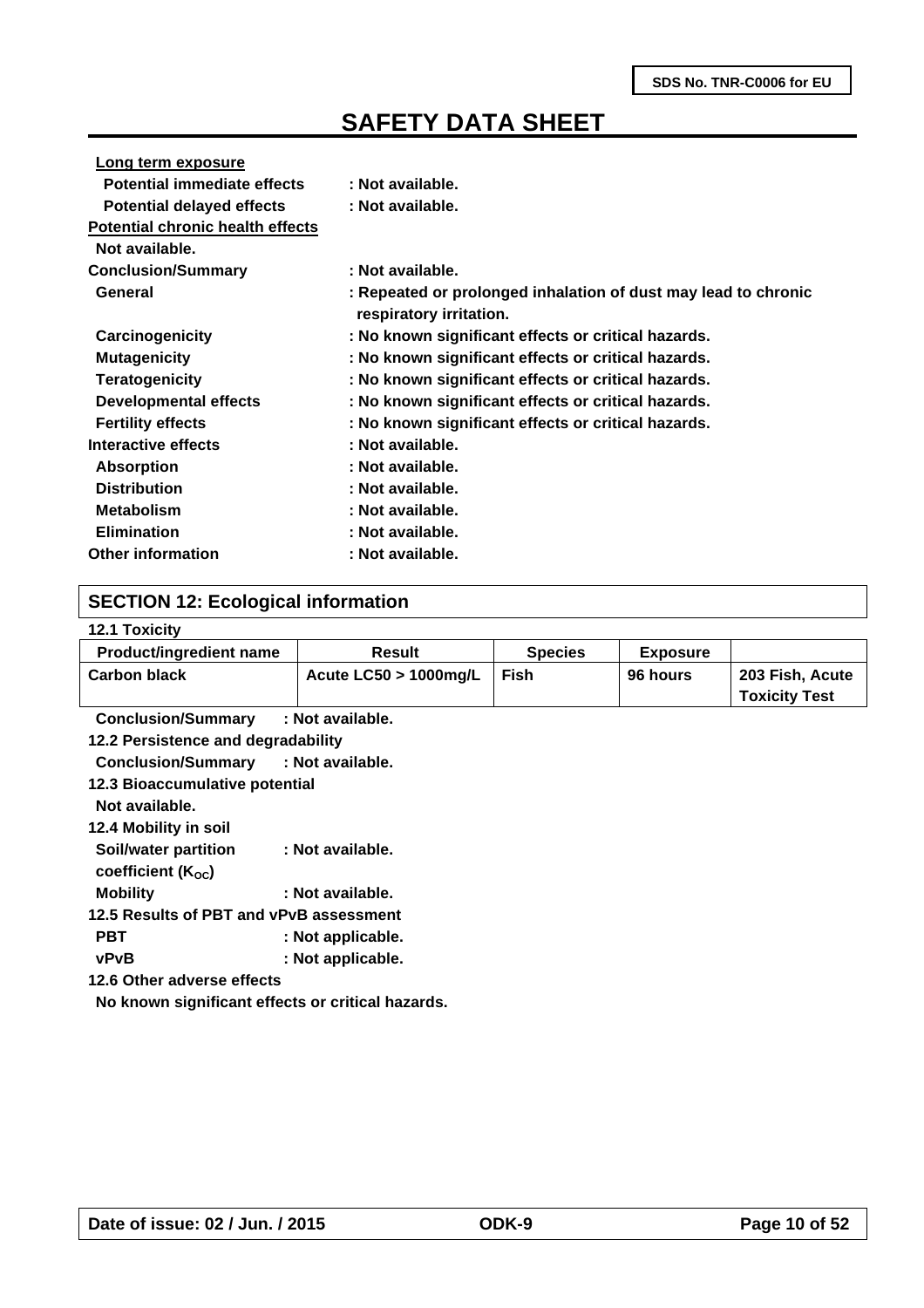| Long term exposure                      |                                                                                           |
|-----------------------------------------|-------------------------------------------------------------------------------------------|
| <b>Potential immediate effects</b>      | : Not available.                                                                          |
| <b>Potential delayed effects</b>        | : Not available.                                                                          |
| <b>Potential chronic health effects</b> |                                                                                           |
| Not available.                          |                                                                                           |
| <b>Conclusion/Summary</b>               | : Not available.                                                                          |
| General                                 | : Repeated or prolonged inhalation of dust may lead to chronic<br>respiratory irritation. |
| Carcinogenicity                         | : No known significant effects or critical hazards.                                       |
| <b>Mutagenicity</b>                     | : No known significant effects or critical hazards.                                       |
| <b>Teratogenicity</b>                   | : No known significant effects or critical hazards.                                       |
| <b>Developmental effects</b>            | : No known significant effects or critical hazards.                                       |
| <b>Fertility effects</b>                | : No known significant effects or critical hazards.                                       |
| Interactive effects                     | : Not available.                                                                          |
| <b>Absorption</b>                       | : Not available.                                                                          |
| <b>Distribution</b>                     | : Not available.                                                                          |
| <b>Metabolism</b>                       | : Not available.                                                                          |
| <b>Elimination</b>                      | : Not available.                                                                          |
| <b>Other information</b>                | : Not available.                                                                          |

### **SECTION 12: Ecological information**

#### **12.1 Toxicity**

| <b>Product/ingredient name</b> | Result                   | <b>Species</b> | <b>Exposure</b> |                      |
|--------------------------------|--------------------------|----------------|-----------------|----------------------|
| <b>Carbon black</b>            | Acute $LC50 > 1000$ mg/L | Fish           | 96 hours        | 203 Fish, Acute      |
|                                |                          |                |                 | <b>Toxicity Test</b> |

**Conclusion/Summary : Not available.**

**12.2 Persistence and degradability**

**Conclusion/Summary : Not available.**

| 12.3 Bioaccumulative potential |  |
|--------------------------------|--|
|--------------------------------|--|

- **Not available.**
- **12.4 Mobility in soil**
- **Soil/water partition : Not available.**
- coefficient (K<sub>oc</sub>)
- **Mobility : Not available.**

**12.5 Results of PBT and vPvB assessment**

PBT : Not applicable.

**vPvB : Not applicable.**

**12.6 Other adverse effects** 

**No known significant effects or critical hazards.**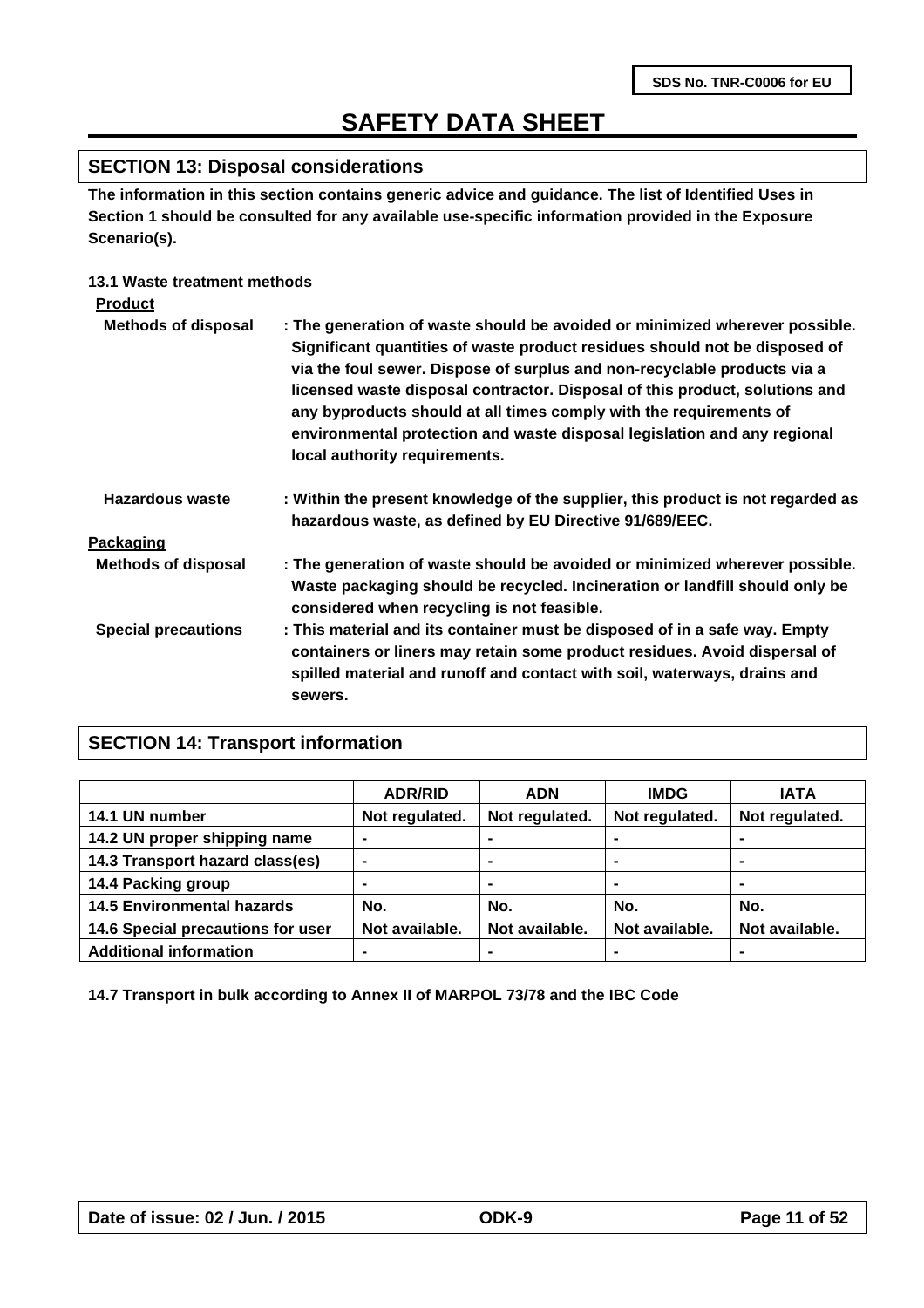### **SECTION 13: Disposal considerations**

**The information in this section contains generic advice and guidance. The list of Identified Uses in Section 1 should be consulted for any available use-specific information provided in the Exposure Scenario(s).**

### **13.1 Waste treatment methods**

| <b>Product</b>             |                                                                                                                                                                                                                                                                                                                                                                                                                                                                                                         |
|----------------------------|---------------------------------------------------------------------------------------------------------------------------------------------------------------------------------------------------------------------------------------------------------------------------------------------------------------------------------------------------------------------------------------------------------------------------------------------------------------------------------------------------------|
| <b>Methods of disposal</b> | : The generation of waste should be avoided or minimized wherever possible.<br>Significant quantities of waste product residues should not be disposed of<br>via the foul sewer. Dispose of surplus and non-recyclable products via a<br>licensed waste disposal contractor. Disposal of this product, solutions and<br>any byproducts should at all times comply with the requirements of<br>environmental protection and waste disposal legislation and any regional<br>local authority requirements. |
| Hazardous waste            | : Within the present knowledge of the supplier, this product is not regarded as<br>hazardous waste, as defined by EU Directive 91/689/EEC.                                                                                                                                                                                                                                                                                                                                                              |
| Packaging                  |                                                                                                                                                                                                                                                                                                                                                                                                                                                                                                         |
| <b>Methods of disposal</b> | : The generation of waste should be avoided or minimized wherever possible.<br>Waste packaging should be recycled. Incineration or landfill should only be<br>considered when recycling is not feasible.                                                                                                                                                                                                                                                                                                |
| <b>Special precautions</b> | : This material and its container must be disposed of in a safe way. Empty<br>containers or liners may retain some product residues. Avoid dispersal of<br>spilled material and runoff and contact with soil, waterways, drains and<br>sewers.                                                                                                                                                                                                                                                          |

### **SECTION 14: Transport information**

|                                   | <b>ADR/RID</b> | <b>ADN</b>     | <b>IMDG</b>    | <b>IATA</b>    |
|-----------------------------------|----------------|----------------|----------------|----------------|
| 14.1 UN number                    | Not regulated. | Not regulated. | Not regulated. | Not regulated. |
| 14.2 UN proper shipping name      |                |                |                |                |
| 14.3 Transport hazard class(es)   | ۰              | ۰              |                | $\blacksquare$ |
| 14.4 Packing group                | -              | ۰              | ۰              | $\blacksquare$ |
| <b>14.5 Environmental hazards</b> | No.            | No.            | No.            | No.            |
| 14.6 Special precautions for user | Not available. | Not available. | Not available. | Not available. |
| <b>Additional information</b>     | -              |                |                |                |

**14.7 Transport in bulk according to Annex II of MARPOL 73/78 and the IBC Code**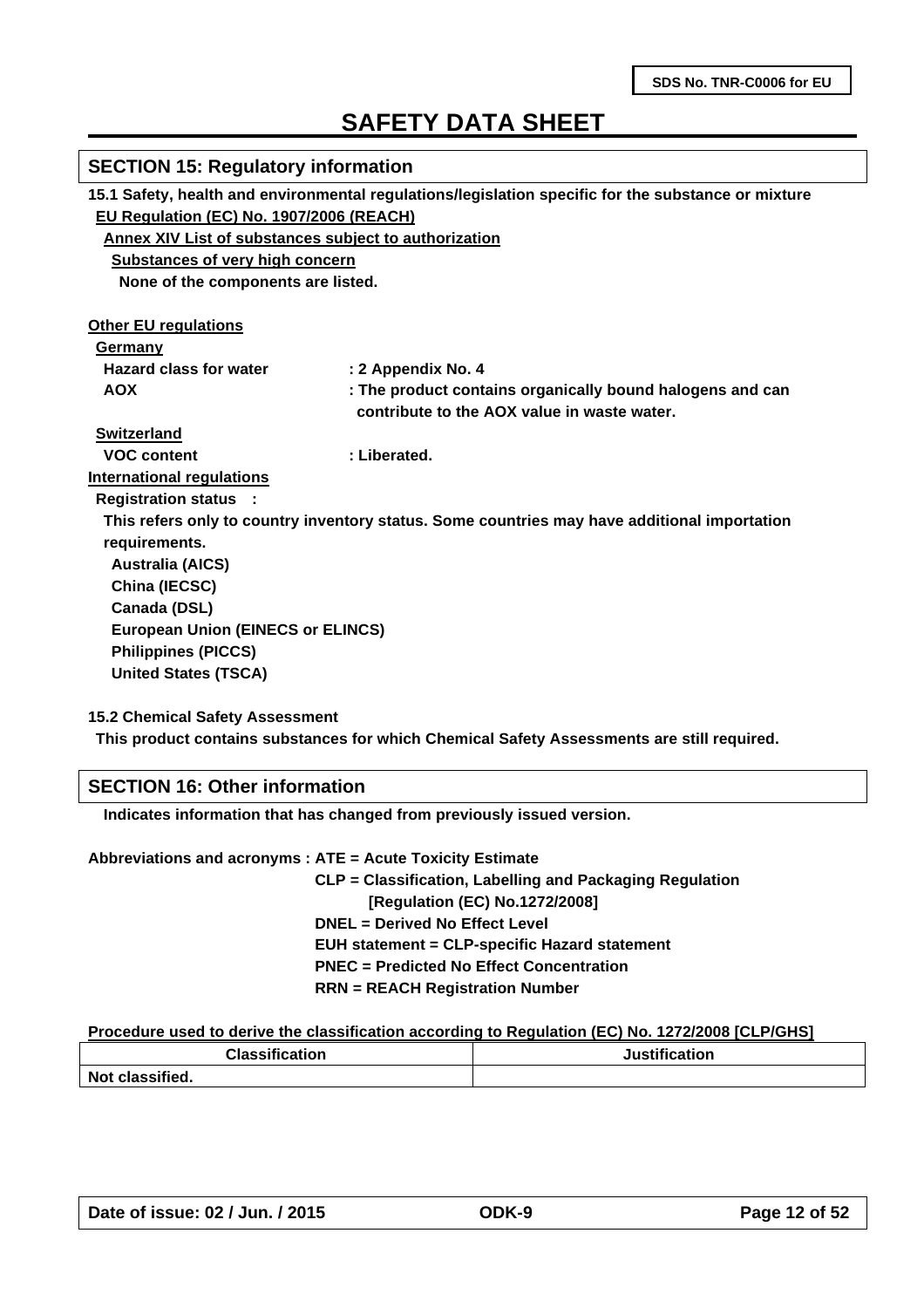| <b>SECTION 15: Regulatory information</b>                                                           |                                                                                              |  |  |  |  |
|-----------------------------------------------------------------------------------------------------|----------------------------------------------------------------------------------------------|--|--|--|--|
| 15.1 Safety, health and environmental regulations/legislation specific for the substance or mixture |                                                                                              |  |  |  |  |
| EU Regulation (EC) No. 1907/2006 (REACH)                                                            |                                                                                              |  |  |  |  |
| Annex XIV List of substances subject to authorization                                               |                                                                                              |  |  |  |  |
| <b>Substances of very high concern</b>                                                              |                                                                                              |  |  |  |  |
| None of the components are listed.                                                                  |                                                                                              |  |  |  |  |
| <b>Other EU regulations</b>                                                                         |                                                                                              |  |  |  |  |
| Germany                                                                                             |                                                                                              |  |  |  |  |
| <b>Hazard class for water</b>                                                                       | : 2 Appendix No. 4                                                                           |  |  |  |  |
| <b>AOX</b>                                                                                          | : The product contains organically bound halogens and can                                    |  |  |  |  |
|                                                                                                     | contribute to the AOX value in waste water.                                                  |  |  |  |  |
| <b>Switzerland</b>                                                                                  |                                                                                              |  |  |  |  |
| <b>VOC content</b>                                                                                  | : Liberated.                                                                                 |  |  |  |  |
| <b>International regulations</b>                                                                    |                                                                                              |  |  |  |  |
| <b>Registration status :</b>                                                                        |                                                                                              |  |  |  |  |
|                                                                                                     | This refers only to country inventory status. Some countries may have additional importation |  |  |  |  |
| requirements.                                                                                       |                                                                                              |  |  |  |  |
| <b>Australia (AICS)</b>                                                                             |                                                                                              |  |  |  |  |
| China (IECSC)                                                                                       |                                                                                              |  |  |  |  |
| Canada (DSL)                                                                                        |                                                                                              |  |  |  |  |
| <b>European Union (EINECS or ELINCS)</b>                                                            |                                                                                              |  |  |  |  |
| <b>Philippines (PICCS)</b>                                                                          |                                                                                              |  |  |  |  |
| <b>United States (TSCA)</b>                                                                         |                                                                                              |  |  |  |  |
| <b>15.2 Chemical Safety Assessment</b>                                                              |                                                                                              |  |  |  |  |

**This product contains substances for which Chemical Safety Assessments are still required.**

### **SECTION 16: Other information**

 **Indicates information that has changed from previously issued version.**

**Abbreviations and acronyms : ATE = Acute Toxicity Estimate**

 **CLP = Classification, Labelling and Packaging Regulation [Regulation (EC) No.1272/2008] DNEL = Derived No Effect Level EUH statement = CLP-specific Hazard statement PNEC = Predicted No Effect Concentration RRN = REACH Registration Number**

#### **Procedure used to derive the classification according to Regulation (EC) No. 1272/2008 [CLP/GHS]**

| <b>Classification</b> | Justification |
|-----------------------|---------------|
| Not classified.       |               |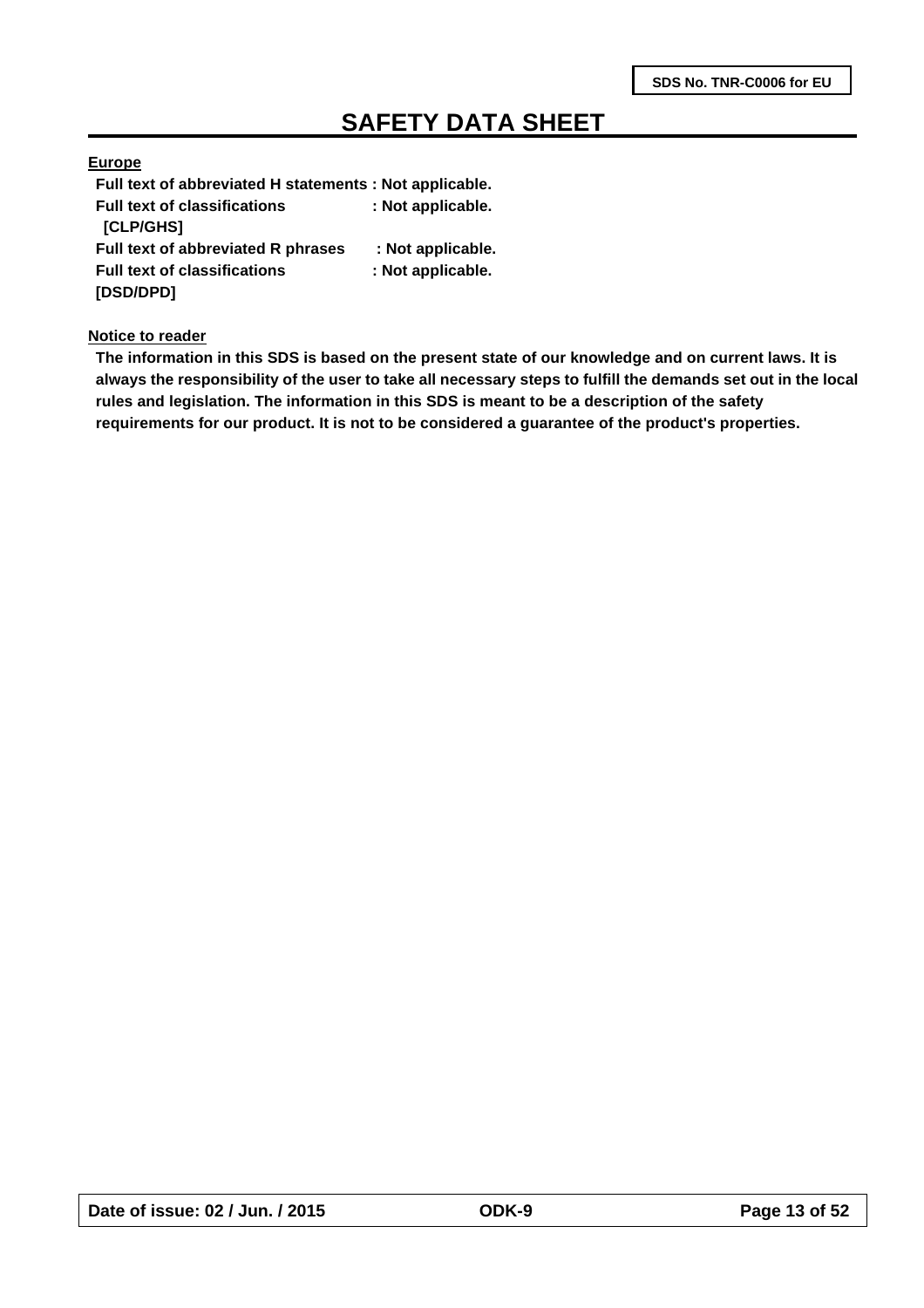### **Europe**

**Full text of abbreviated H statements : Not applicable. Full text of classifications : Not applicable. [CLP/GHS] Full text of abbreviated R phrases : Not applicable. Full text of classifications : Not applicable. [DSD/DPD]** 

#### **Notice to reader**

**The information in this SDS is based on the present state of our knowledge and on current laws. It is always the responsibility of the user to take all necessary steps to fulfill the demands set out in the local rules and legislation. The information in this SDS is meant to be a description of the safety requirements for our product. It is not to be considered a guarantee of the product's properties.**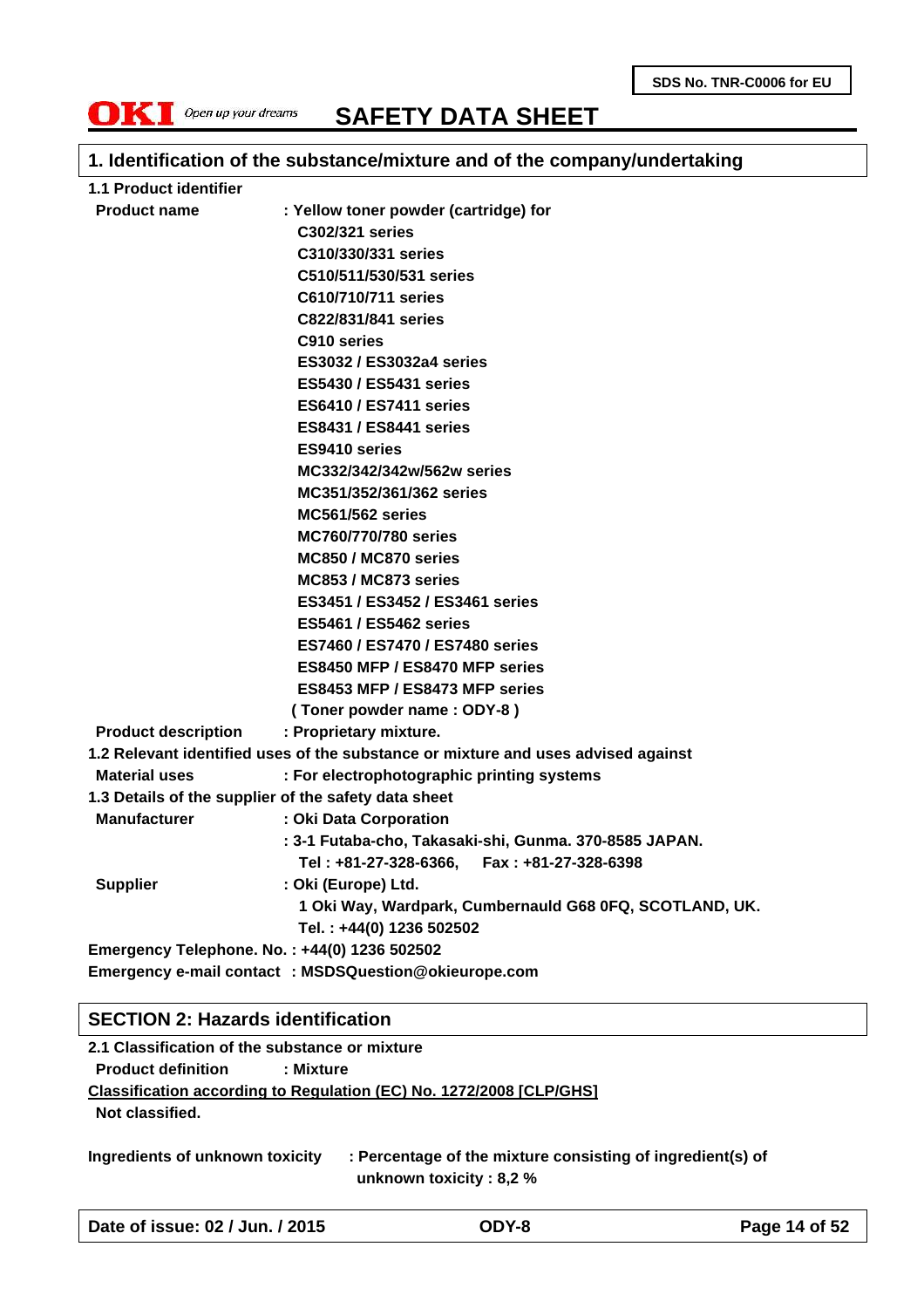

### **1. Identification of the substance/mixture and of the company/undertaking**

| 1.1 Product identifier     |                                                                                   |  |  |  |  |
|----------------------------|-----------------------------------------------------------------------------------|--|--|--|--|
| <b>Product name</b>        | : Yellow toner powder (cartridge) for                                             |  |  |  |  |
|                            | C302/321 series                                                                   |  |  |  |  |
|                            | C310/330/331 series                                                               |  |  |  |  |
|                            | C510/511/530/531 series                                                           |  |  |  |  |
|                            | C610/710/711 series                                                               |  |  |  |  |
|                            | C822/831/841 series                                                               |  |  |  |  |
|                            | C910 series                                                                       |  |  |  |  |
|                            | <b>ES3032/ES3032a4 series</b>                                                     |  |  |  |  |
|                            | <b>ES5430 / ES5431 series</b>                                                     |  |  |  |  |
|                            | <b>ES6410 / ES7411 series</b>                                                     |  |  |  |  |
|                            | <b>ES8431 / ES8441 series</b>                                                     |  |  |  |  |
|                            | ES9410 series                                                                     |  |  |  |  |
|                            | MC332/342/342w/562w series                                                        |  |  |  |  |
|                            | MC351/352/361/362 series                                                          |  |  |  |  |
|                            | <b>MC561/562 series</b>                                                           |  |  |  |  |
|                            | <b>MC760/770/780 series</b>                                                       |  |  |  |  |
|                            | MC850 / MC870 series                                                              |  |  |  |  |
|                            | MC853 / MC873 series                                                              |  |  |  |  |
|                            | ES3451 / ES3452 / ES3461 series                                                   |  |  |  |  |
|                            | <b>ES5461 / ES5462 series</b>                                                     |  |  |  |  |
|                            | ES7460 / ES7470 / ES7480 series                                                   |  |  |  |  |
|                            | ES8450 MFP / ES8470 MFP series                                                    |  |  |  |  |
|                            | ES8453 MFP / ES8473 MFP series                                                    |  |  |  |  |
|                            | (Toner powder name: ODY-8)                                                        |  |  |  |  |
| <b>Product description</b> | : Proprietary mixture.                                                            |  |  |  |  |
|                            | 1.2 Relevant identified uses of the substance or mixture and uses advised against |  |  |  |  |
| <b>Material uses</b>       | : For electrophotographic printing systems                                        |  |  |  |  |
|                            | 1.3 Details of the supplier of the safety data sheet                              |  |  |  |  |
| <b>Manufacturer</b>        | : Oki Data Corporation                                                            |  |  |  |  |
|                            | : 3-1 Futaba-cho, Takasaki-shi, Gunma. 370-8585 JAPAN.                            |  |  |  |  |
|                            | Tel: +81-27-328-6366, Fax: +81-27-328-6398                                        |  |  |  |  |
| <b>Supplier</b>            | : Oki (Europe) Ltd.                                                               |  |  |  |  |
|                            | 1 Oki Way, Wardpark, Cumbernauld G68 0FQ, SCOTLAND, UK.                           |  |  |  |  |
|                            | Tel.: +44(0) 1236 502502                                                          |  |  |  |  |
|                            | Emergency Telephone. No.: +44(0) 1236 502502                                      |  |  |  |  |
|                            | Emergency e-mail contact : MSDSQuestion@okieurope.com                             |  |  |  |  |

### **SECTION 2: Hazards identification**

**2.1 Classification of the substance or mixture Product definition : Mixture Classification according to Regulation (EC) No. 1272/2008 [CLP/GHS] Not classified.**

**Ingredients of unknown toxicity : Percentage of the mixture consisting of ingredient(s) of unknown toxicity : 8,2 %**

**Date of issue: 02 / Jun. / 2015 ODY-8 Page 14 of 52**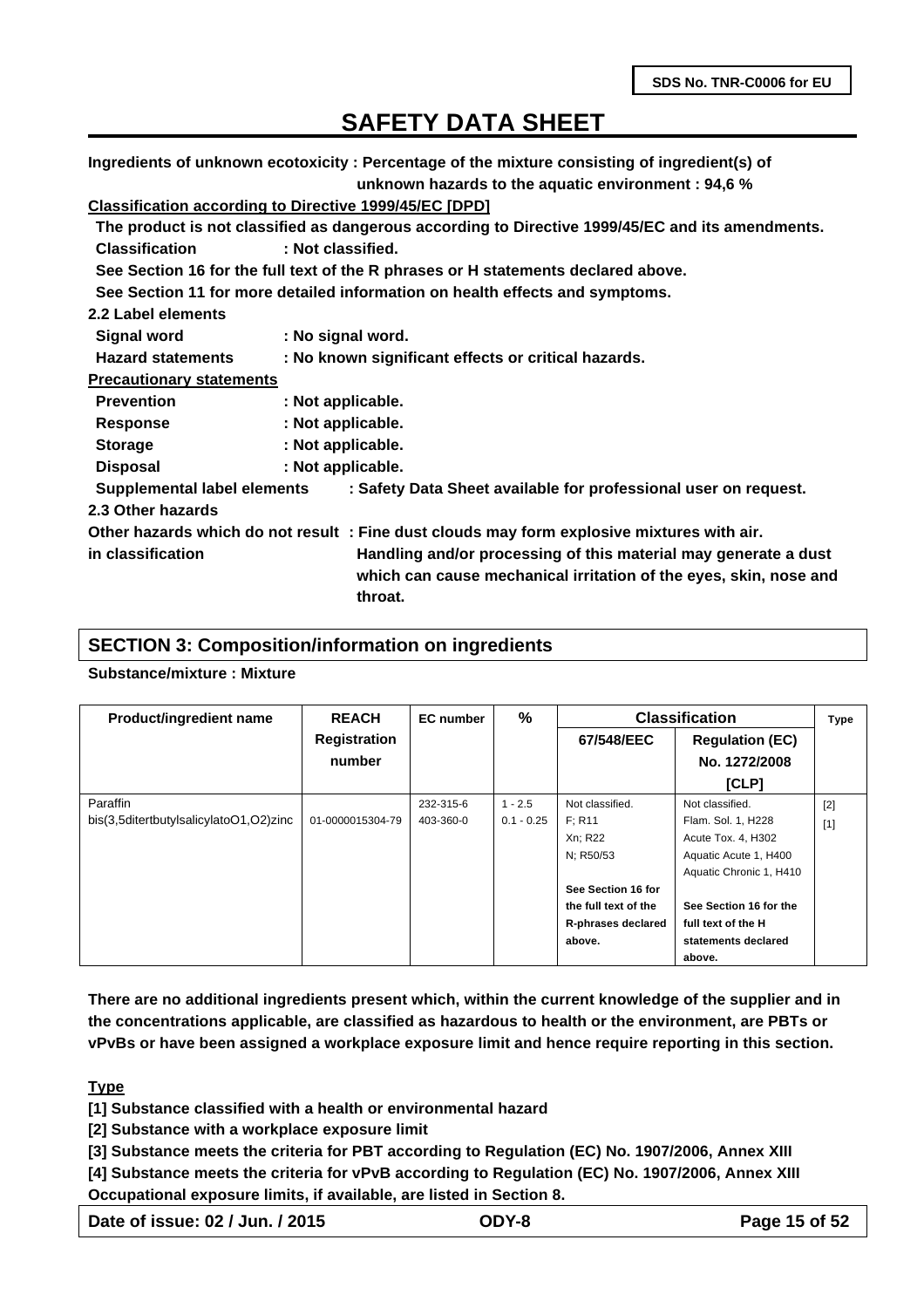**Ingredients of unknown ecotoxicity : Percentage of the mixture consisting of ingredient(s) of unknown hazards to the aquatic environment : 94,6 %**

### **Classification according to Directive 1999/45/EC [DPD]**

| Classification according to Directive 1999/49/LC [DFD] |                   |                                                                                                                                                 |
|--------------------------------------------------------|-------------------|-------------------------------------------------------------------------------------------------------------------------------------------------|
|                                                        |                   | The product is not classified as dangerous according to Directive 1999/45/EC and its amendments.                                                |
| <b>Classification</b>                                  | : Not classified. |                                                                                                                                                 |
|                                                        |                   | See Section 16 for the full text of the R phrases or H statements declared above.                                                               |
|                                                        |                   | See Section 11 for more detailed information on health effects and symptoms.                                                                    |
| 2.2 Label elements                                     |                   |                                                                                                                                                 |
| <b>Signal word</b>                                     | : No signal word. |                                                                                                                                                 |
| <b>Hazard statements</b>                               |                   | : No known significant effects or critical hazards.                                                                                             |
| <b>Precautionary statements</b>                        |                   |                                                                                                                                                 |
| <b>Prevention</b>                                      | : Not applicable. |                                                                                                                                                 |
| <b>Response</b>                                        | : Not applicable. |                                                                                                                                                 |
| <b>Storage</b>                                         | : Not applicable. |                                                                                                                                                 |
| <b>Disposal</b>                                        | : Not applicable. |                                                                                                                                                 |
| Supplemental label elements                            |                   | : Safety Data Sheet available for professional user on request.                                                                                 |
| 2.3 Other hazards                                      |                   |                                                                                                                                                 |
|                                                        |                   | Other hazards which do not result: Fine dust clouds may form explosive mixtures with air.                                                       |
| in classification                                      |                   | Handling and/or processing of this material may generate a dust<br>which can cause mechanical irritation of the eyes, skin, nose and<br>throat. |
|                                                        |                   |                                                                                                                                                 |

#### **SECTION 3: Composition/information on ingredients**

### **Substance/mixture : Mixture**

| <b>Product/ingredient name</b>         | <b>REACH</b>        | <b>EC</b> number | $\%$         | <b>Classification</b> |                         | <b>Type</b> |
|----------------------------------------|---------------------|------------------|--------------|-----------------------|-------------------------|-------------|
|                                        | <b>Registration</b> |                  |              | 67/548/EEC            | <b>Regulation (EC)</b>  |             |
|                                        | number              |                  |              |                       | No. 1272/2008           |             |
|                                        |                     |                  |              |                       | [CLP]                   |             |
| Paraffin                               |                     | 232-315-6        | $1 - 2.5$    | Not classified.       | Not classified.         | $[2]$       |
| bis(3,5ditertbutylsalicylatoO1,O2)zinc | 01-0000015304-79    | 403-360-0        | $0.1 - 0.25$ | F: R11                | Flam. Sol. 1, H228      | $[1]$       |
|                                        |                     |                  |              | Xn; R22               | Acute Tox. 4, H302      |             |
|                                        |                     |                  |              | N; R50/53             | Aquatic Acute 1, H400   |             |
|                                        |                     |                  |              |                       | Aquatic Chronic 1, H410 |             |
|                                        |                     |                  |              | See Section 16 for    |                         |             |
|                                        |                     |                  |              | the full text of the  | See Section 16 for the  |             |
|                                        |                     |                  |              | R-phrases declared    | full text of the H      |             |
|                                        |                     |                  |              | above.                | statements declared     |             |
|                                        |                     |                  |              |                       | above.                  |             |

**There are no additional ingredients present which, within the current knowledge of the supplier and in the concentrations applicable, are classified as hazardous to health or the environment, are PBTs or vPvBs or have been assigned a workplace exposure limit and hence require reporting in this section.**

#### **Type**

**[1] Substance classified with a health or environmental hazard**

**[2] Substance with a workplace exposure limit**

**[3] Substance meets the criteria for PBT according to Regulation (EC) No. 1907/2006, Annex XIII**

**[4] Substance meets the criteria for vPvB according to Regulation (EC) No. 1907/2006, Annex XIII Occupational exposure limits, if available, are listed in Section 8.**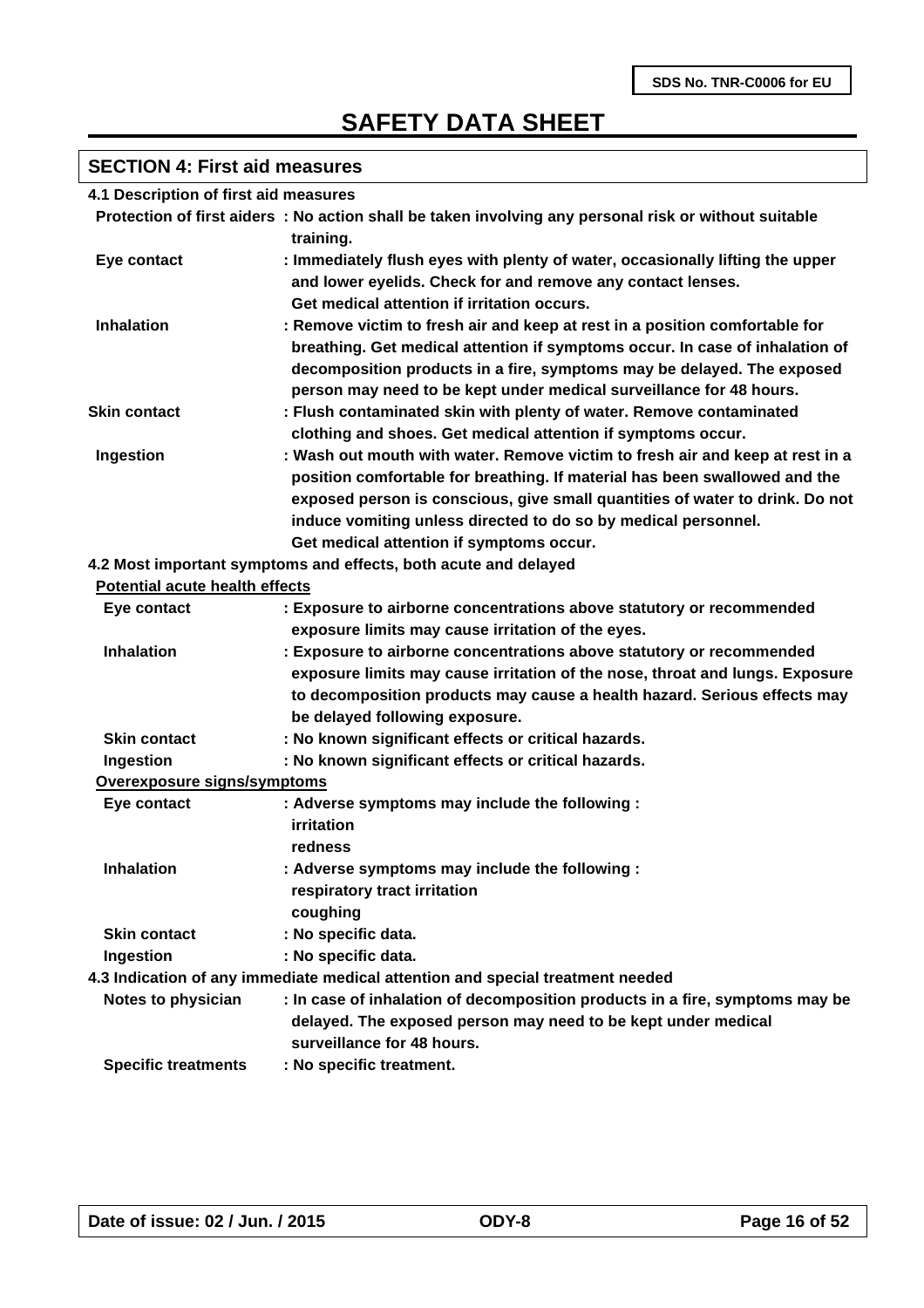### **SECTION 4: First aid measures**

| 4.1 Description of first aid measures |  |
|---------------------------------------|--|
|---------------------------------------|--|

|                                | Protection of first aiders : No action shall be taken involving any personal risk or without suitable<br>training.                                                                                                                                                                                                                                        |
|--------------------------------|-----------------------------------------------------------------------------------------------------------------------------------------------------------------------------------------------------------------------------------------------------------------------------------------------------------------------------------------------------------|
| Eye contact                    | : Immediately flush eyes with plenty of water, occasionally lifting the upper<br>and lower eyelids. Check for and remove any contact lenses.<br>Get medical attention if irritation occurs.                                                                                                                                                               |
| <b>Inhalation</b>              | : Remove victim to fresh air and keep at rest in a position comfortable for<br>breathing. Get medical attention if symptoms occur. In case of inhalation of<br>decomposition products in a fire, symptoms may be delayed. The exposed<br>person may need to be kept under medical surveillance for 48 hours.                                              |
| <b>Skin contact</b>            | : Flush contaminated skin with plenty of water. Remove contaminated<br>clothing and shoes. Get medical attention if symptoms occur.                                                                                                                                                                                                                       |
| Ingestion                      | : Wash out mouth with water. Remove victim to fresh air and keep at rest in a<br>position comfortable for breathing. If material has been swallowed and the<br>exposed person is conscious, give small quantities of water to drink. Do not<br>induce vomiting unless directed to do so by medical personnel.<br>Get medical attention if symptoms occur. |
|                                | 4.2 Most important symptoms and effects, both acute and delayed                                                                                                                                                                                                                                                                                           |
| Potential acute health effects |                                                                                                                                                                                                                                                                                                                                                           |
| Eye contact                    | : Exposure to airborne concentrations above statutory or recommended<br>exposure limits may cause irritation of the eyes.                                                                                                                                                                                                                                 |
| <b>Inhalation</b>              | : Exposure to airborne concentrations above statutory or recommended<br>exposure limits may cause irritation of the nose, throat and lungs. Exposure<br>to decomposition products may cause a health hazard. Serious effects may<br>be delayed following exposure.                                                                                        |
| <b>Skin contact</b>            | : No known significant effects or critical hazards.                                                                                                                                                                                                                                                                                                       |
| Ingestion                      | : No known significant effects or critical hazards.                                                                                                                                                                                                                                                                                                       |
| Overexposure signs/symptoms    |                                                                                                                                                                                                                                                                                                                                                           |
| Eye contact                    | : Adverse symptoms may include the following :<br>irritation<br>redness                                                                                                                                                                                                                                                                                   |
| <b>Inhalation</b>              | : Adverse symptoms may include the following :<br>respiratory tract irritation<br>coughing                                                                                                                                                                                                                                                                |
| <b>Skin contact</b>            | : No specific data.                                                                                                                                                                                                                                                                                                                                       |
| Ingestion                      | : No specific data.                                                                                                                                                                                                                                                                                                                                       |
|                                | 4.3 Indication of any immediate medical attention and special treatment needed                                                                                                                                                                                                                                                                            |
| Notes to physician             | : In case of inhalation of decomposition products in a fire, symptoms may be<br>delayed. The exposed person may need to be kept under medical<br>surveillance for 48 hours.                                                                                                                                                                               |
| <b>Specific treatments</b>     | : No specific treatment.                                                                                                                                                                                                                                                                                                                                  |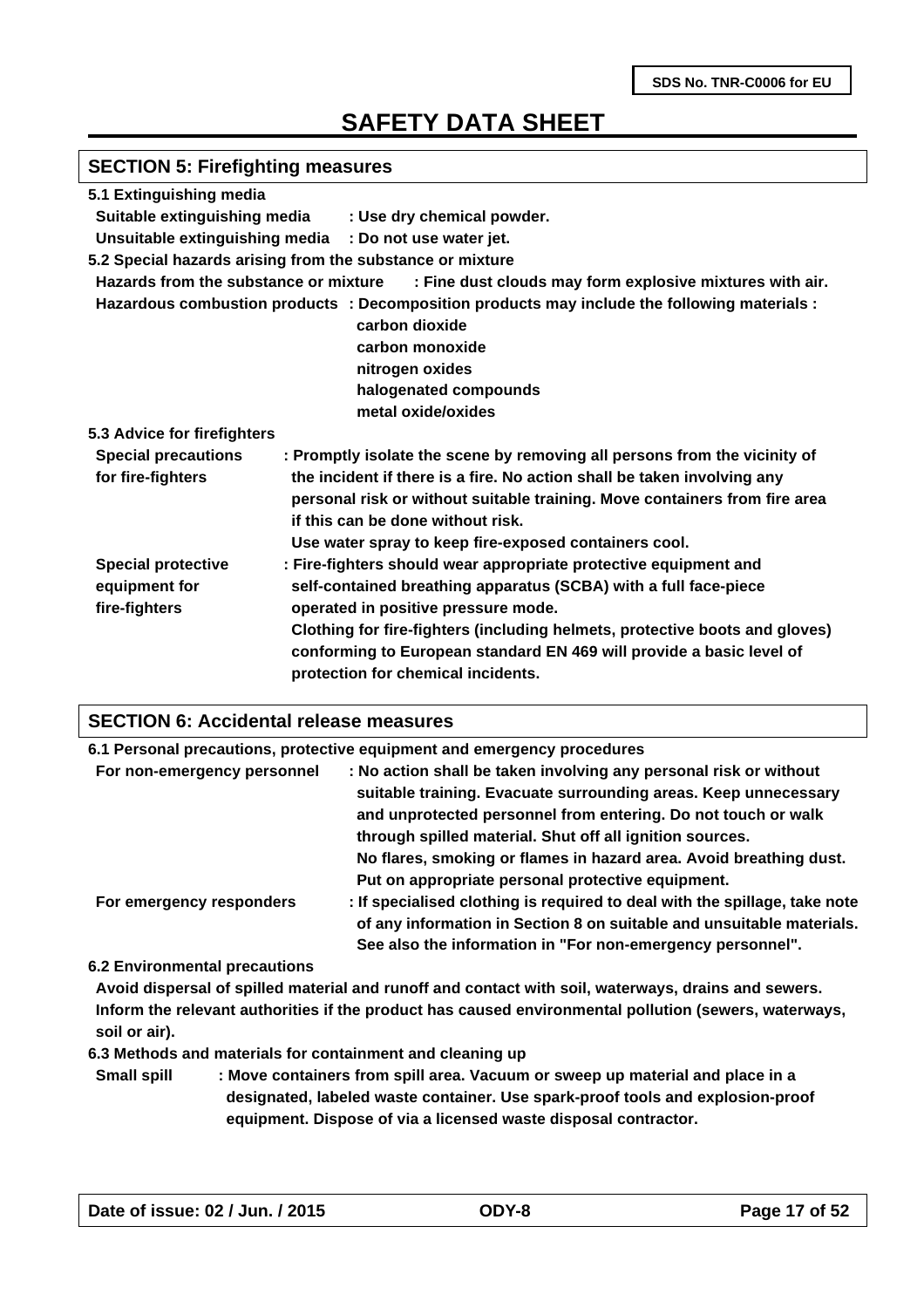# **SECTION 5: Firefighting measures**

| 5.1 Extinguishing media               |                                                                                              |
|---------------------------------------|----------------------------------------------------------------------------------------------|
| Suitable extinguishing media          | : Use dry chemical powder.                                                                   |
| Unsuitable extinguishing media        | : Do not use water jet.                                                                      |
|                                       | 5.2 Special hazards arising from the substance or mixture                                    |
| Hazards from the substance or mixture | : Fine dust clouds may form explosive mixtures with air.                                     |
|                                       | Hazardous combustion products : Decomposition products may include the following materials : |
|                                       | carbon dioxide                                                                               |
|                                       | carbon monoxide                                                                              |
|                                       | nitrogen oxides                                                                              |
|                                       | halogenated compounds                                                                        |
|                                       | metal oxide/oxides                                                                           |
| 5.3 Advice for firefighters           |                                                                                              |
| <b>Special precautions</b>            | : Promptly isolate the scene by removing all persons from the vicinity of                    |
| for fire-fighters                     | the incident if there is a fire. No action shall be taken involving any                      |
|                                       | personal risk or without suitable training. Move containers from fire area                   |
|                                       | if this can be done without risk.                                                            |
|                                       | Use water spray to keep fire-exposed containers cool.                                        |
| <b>Special protective</b>             | : Fire-fighters should wear appropriate protective equipment and                             |
| equipment for                         | self-contained breathing apparatus (SCBA) with a full face-piece                             |
| fire-fighters                         | operated in positive pressure mode.                                                          |
|                                       | Clothing for fire-fighters (including helmets, protective boots and gloves)                  |
|                                       | conforming to European standard EN 469 will provide a basic level of                         |
|                                       | protection for chemical incidents.                                                           |
|                                       |                                                                                              |

#### **SECTION 6: Accidental release measures**

|                             | 6.1 Personal precautions, protective equipment and emergency procedures                                                                                                                                                                                                                                                                      |  |
|-----------------------------|----------------------------------------------------------------------------------------------------------------------------------------------------------------------------------------------------------------------------------------------------------------------------------------------------------------------------------------------|--|
| For non-emergency personnel | : No action shall be taken involving any personal risk or without<br>suitable training. Evacuate surrounding areas. Keep unnecessary<br>and unprotected personnel from entering. Do not touch or walk<br>through spilled material. Shut off all ignition sources.                                                                            |  |
| For emergency responders    | No flares, smoking or flames in hazard area. Avoid breathing dust.<br>Put on appropriate personal protective equipment.<br>: If specialised clothing is required to deal with the spillage, take note<br>of any information in Section 8 on suitable and unsuitable materials.<br>See also the information in "For non-emergency personnel". |  |

#### **6.2 Environmental precautions**

**Avoid dispersal of spilled material and runoff and contact with soil, waterways, drains and sewers. Inform the relevant authorities if the product has caused environmental pollution (sewers, waterways, soil or air).**

**6.3 Methods and materials for containment and cleaning up**

**Small spill : Move containers from spill area. Vacuum or sweep up material and place in a designated, labeled waste container. Use spark-proof tools and explosion-proof equipment. Dispose of via a licensed waste disposal contractor.**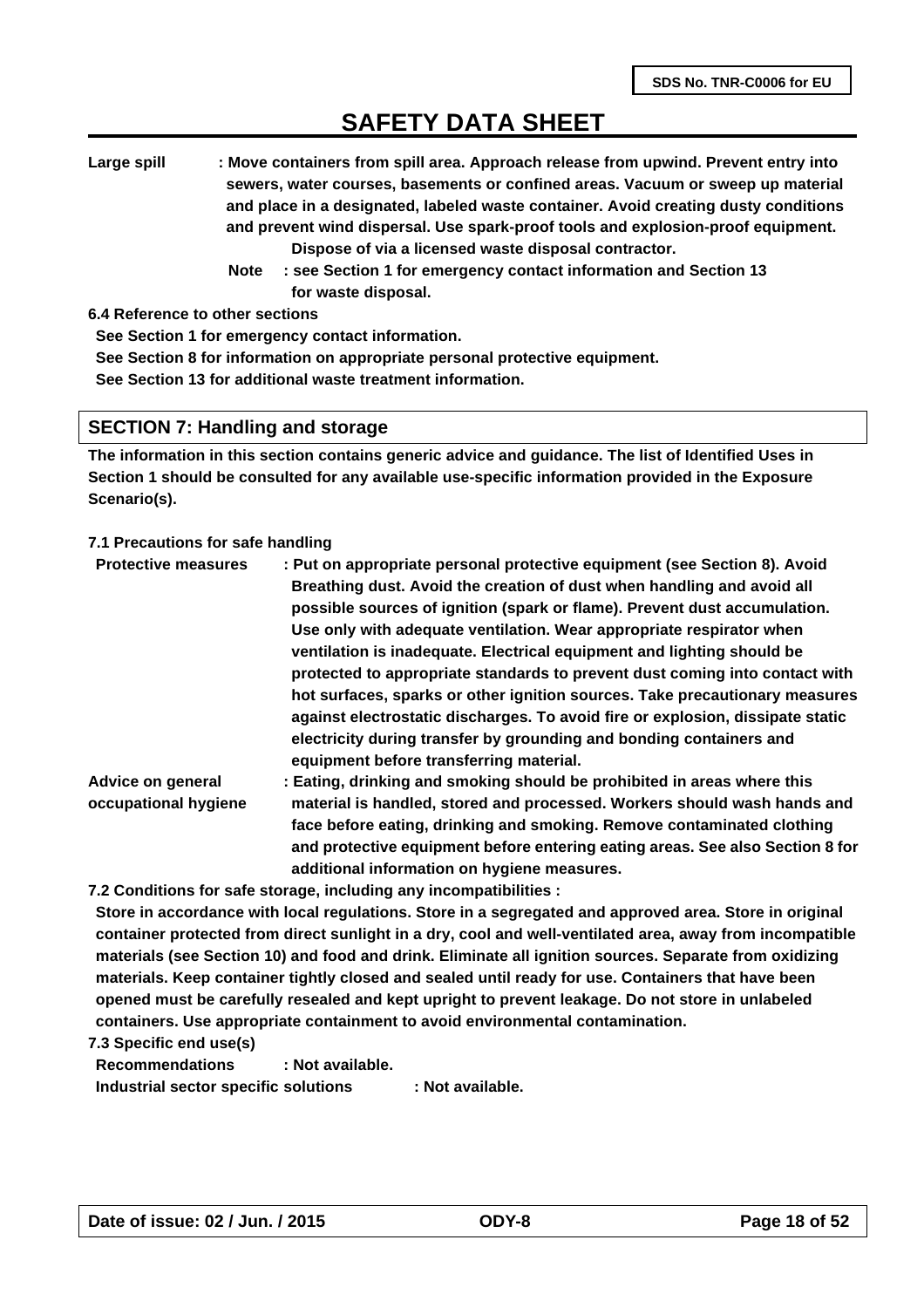**Large spill : Move containers from spill area. Approach release from upwind. Prevent entry into sewers, water courses, basements or confined areas. Vacuum or sweep up material and place in a designated, labeled waste container. Avoid creating dusty conditions and prevent wind dispersal. Use spark-proof tools and explosion-proof equipment. Dispose of via a licensed waste disposal contractor.** 

 **Note : see Section 1 for emergency contact information and Section 13 for waste disposal.**

**6.4 Reference to other sections**

**See Section 1 for emergency contact information.**

**See Section 8 for information on appropriate personal protective equipment.**

**See Section 13 for additional waste treatment information.**

#### **SECTION 7: Handling and storage**

**The information in this section contains generic advice and guidance. The list of Identified Uses in Section 1 should be consulted for any available use-specific information provided in the Exposure Scenario(s).**

#### **7.1 Precautions for safe handling**

| <b>Protective measures</b> | : Put on appropriate personal protective equipment (see Section 8). Avoid<br>Breathing dust. Avoid the creation of dust when handling and avoid all |
|----------------------------|-----------------------------------------------------------------------------------------------------------------------------------------------------|
|                            | possible sources of ignition (spark or flame). Prevent dust accumulation.                                                                           |
|                            | Use only with adequate ventilation. Wear appropriate respirator when                                                                                |
|                            | ventilation is inadequate. Electrical equipment and lighting should be                                                                              |
|                            | protected to appropriate standards to prevent dust coming into contact with                                                                         |
|                            | hot surfaces, sparks or other ignition sources. Take precautionary measures                                                                         |
|                            | against electrostatic discharges. To avoid fire or explosion, dissipate static                                                                      |
|                            | electricity during transfer by grounding and bonding containers and<br>equipment before transferring material.                                      |
| Advice on general          | : Eating, drinking and smoking should be prohibited in areas where this                                                                             |
| occupational hygiene       | material is handled, stored and processed. Workers should wash hands and                                                                            |
|                            | face before eating, drinking and smoking. Remove contaminated clothing                                                                              |

**additional information on hygiene measures. 7.2 Conditions for safe storage, including any incompatibilities :** 

**Store in accordance with local regulations. Store in a segregated and approved area. Store in original container protected from direct sunlight in a dry, cool and well-ventilated area, away from incompatible materials (see Section 10) and food and drink. Eliminate all ignition sources. Separate from oxidizing materials. Keep container tightly closed and sealed until ready for use. Containers that have been opened must be carefully resealed and kept upright to prevent leakage. Do not store in unlabeled containers. Use appropriate containment to avoid environmental contamination.**

**and protective equipment before entering eating areas. See also Section 8 for**

**7.3 Specific end use(s)**

**Recommendations : Not available. Industrial sector specific solutions : Not available.**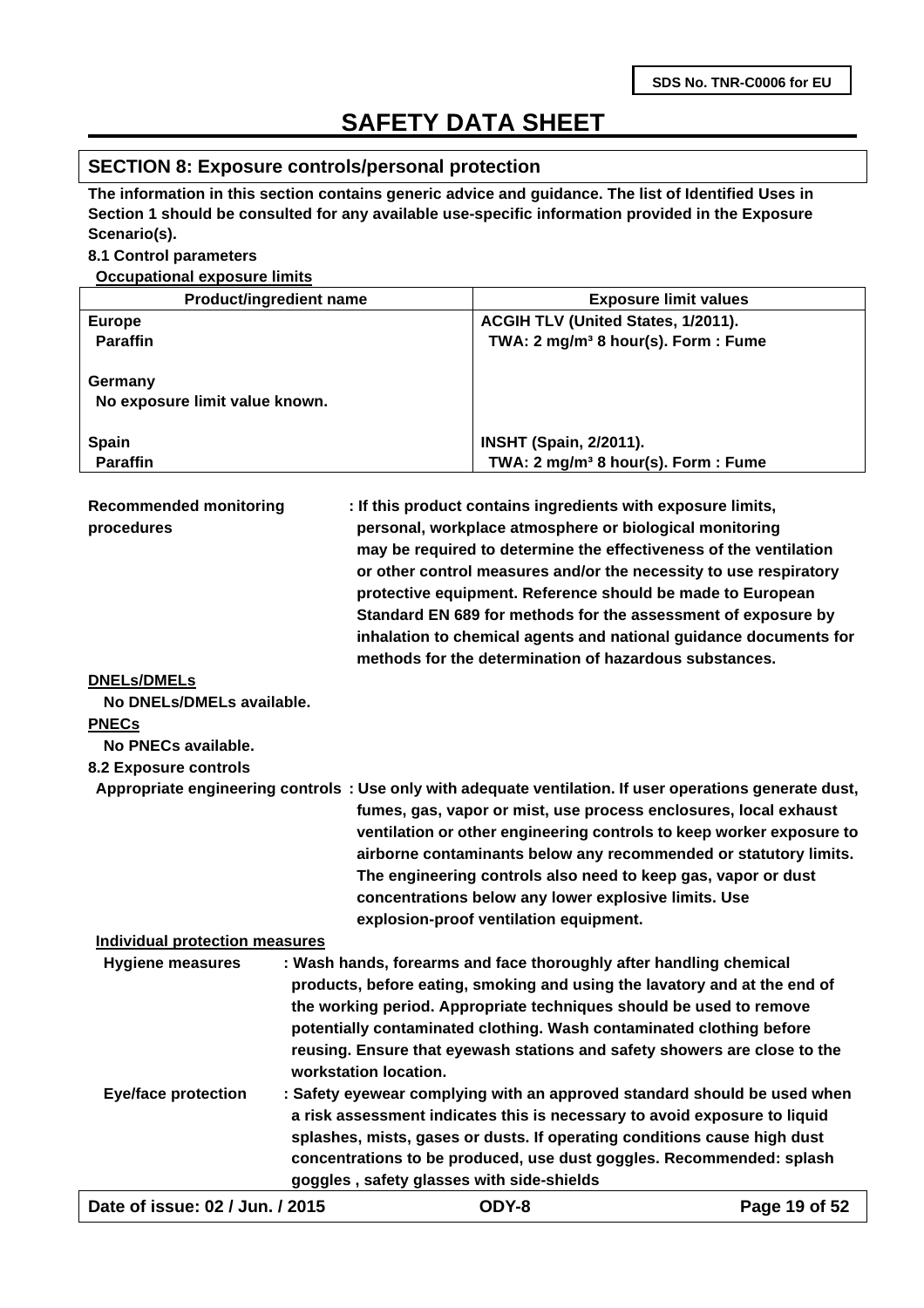#### **SECTION 8: Exposure controls/personal protection**

**The information in this section contains generic advice and guidance. The list of Identified Uses in Section 1 should be consulted for any available use-specific information provided in the Exposure Scenario(s).**

#### **8.1 Control parameters**

**Occupational exposure limits**

| <b>Product/ingredient name</b>            | <b>Exposure limit values</b>                                                                            |
|-------------------------------------------|---------------------------------------------------------------------------------------------------------|
| <b>Europe</b>                             | ACGIH TLV (United States, 1/2011).                                                                      |
| <b>Paraffin</b>                           | TWA: 2 mg/m <sup>3</sup> 8 hour(s). Form: Fume                                                          |
|                                           |                                                                                                         |
| Germany                                   |                                                                                                         |
| No exposure limit value known.            |                                                                                                         |
|                                           |                                                                                                         |
| Spain                                     | <b>INSHT (Spain, 2/2011).</b>                                                                           |
| <b>Paraffin</b>                           | TWA: 2 mg/m <sup>3</sup> 8 hour(s). Form: Fume                                                          |
|                                           |                                                                                                         |
| <b>Recommended monitoring</b>             | : If this product contains ingredients with exposure limits,                                            |
| procedures                                | personal, workplace atmosphere or biological monitoring                                                 |
|                                           | may be required to determine the effectiveness of the ventilation                                       |
|                                           | or other control measures and/or the necessity to use respiratory                                       |
|                                           | protective equipment. Reference should be made to European                                              |
|                                           | Standard EN 689 for methods for the assessment of exposure by                                           |
|                                           | inhalation to chemical agents and national guidance documents for                                       |
|                                           | methods for the determination of hazardous substances.                                                  |
| <b>DNELs/DMELs</b>                        |                                                                                                         |
| No DNELs/DMELs available.                 |                                                                                                         |
| <b>PNECs</b>                              |                                                                                                         |
| No PNECs available.                       |                                                                                                         |
|                                           |                                                                                                         |
| 8.2 Exposure controls                     |                                                                                                         |
|                                           | Appropriate engineering controls: Use only with adequate ventilation. If user operations generate dust, |
|                                           | fumes, gas, vapor or mist, use process enclosures, local exhaust                                        |
|                                           | ventilation or other engineering controls to keep worker exposure to                                    |
|                                           | airborne contaminants below any recommended or statutory limits.                                        |
|                                           | The engineering controls also need to keep gas, vapor or dust                                           |
|                                           | concentrations below any lower explosive limits. Use                                                    |
|                                           | explosion-proof ventilation equipment.                                                                  |
| <b>Individual protection measures</b>     |                                                                                                         |
| <b>Hygiene measures</b>                   | : Wash hands, forearms and face thoroughly after handling chemical                                      |
|                                           | products, before eating, smoking and using the lavatory and at the end of                               |
|                                           | the working period. Appropriate techniques should be used to remove                                     |
|                                           | potentially contaminated clothing. Wash contaminated clothing before                                    |
|                                           | reusing. Ensure that eyewash stations and safety showers are close to the                               |
| workstation location.                     |                                                                                                         |
| <b>Eye/face protection</b>                | : Safety eyewear complying with an approved standard should be used when                                |
|                                           | a risk assessment indicates this is necessary to avoid exposure to liquid                               |
|                                           |                                                                                                         |
|                                           | splashes, mists, gases or dusts. If operating conditions cause high dust                                |
|                                           | concentrations to be produced, use dust goggles. Recommended: splash                                    |
| goggles, safety glasses with side-shields |                                                                                                         |
| Date of issue: 02 / Jun. / 2015           | ODY-8<br>Page 19 of 52                                                                                  |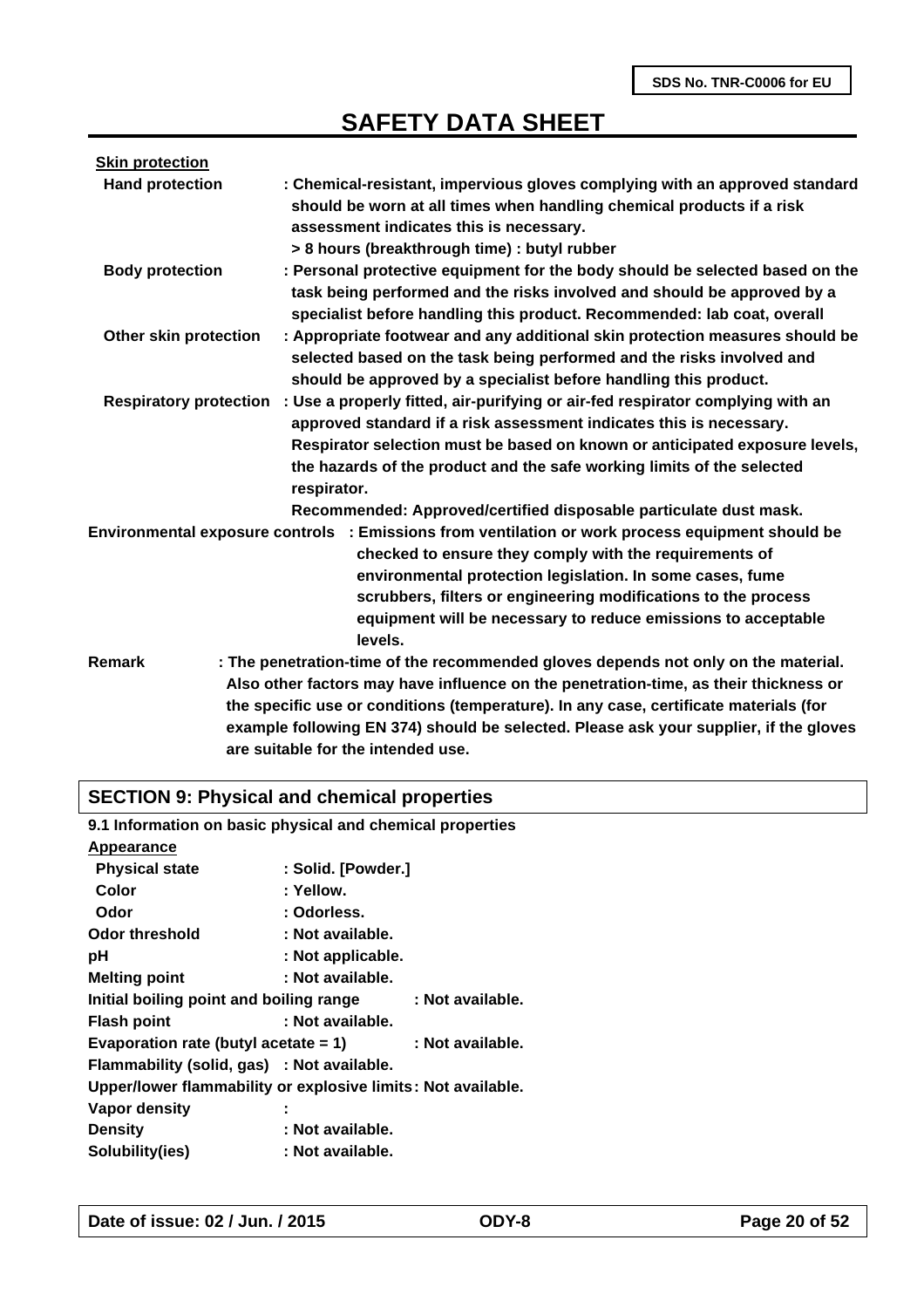| <b>Skin protection</b>        |                                                                                                                                                                                                                                                                                                                                                                                                    |
|-------------------------------|----------------------------------------------------------------------------------------------------------------------------------------------------------------------------------------------------------------------------------------------------------------------------------------------------------------------------------------------------------------------------------------------------|
| <b>Hand protection</b>        | : Chemical-resistant, impervious gloves complying with an approved standard<br>should be worn at all times when handling chemical products if a risk<br>assessment indicates this is necessary.<br>> 8 hours (breakthrough time) : butyl rubber                                                                                                                                                    |
| <b>Body protection</b>        | : Personal protective equipment for the body should be selected based on the<br>task being performed and the risks involved and should be approved by a<br>specialist before handling this product. Recommended: lab coat, overall                                                                                                                                                                 |
| Other skin protection         | : Appropriate footwear and any additional skin protection measures should be<br>selected based on the task being performed and the risks involved and<br>should be approved by a specialist before handling this product.                                                                                                                                                                          |
| <b>Respiratory protection</b> | : Use a properly fitted, air-purifying or air-fed respirator complying with an<br>approved standard if a risk assessment indicates this is necessary.<br>Respirator selection must be based on known or anticipated exposure levels,<br>the hazards of the product and the safe working limits of the selected<br>respirator.                                                                      |
|                               | Recommended: Approved/certified disposable particulate dust mask.                                                                                                                                                                                                                                                                                                                                  |
|                               | Environmental exposure controls : Emissions from ventilation or work process equipment should be<br>checked to ensure they comply with the requirements of<br>environmental protection legislation. In some cases, fume<br>scrubbers, filters or engineering modifications to the process<br>equipment will be necessary to reduce emissions to acceptable<br>levels.                              |
| Remark                        | : The penetration-time of the recommended gloves depends not only on the material.<br>Also other factors may have influence on the penetration-time, as their thickness or<br>the specific use or conditions (temperature). In any case, certificate materials (for<br>example following EN 374) should be selected. Please ask your supplier, if the gloves<br>are suitable for the intended use. |

# **SECTION 9: Physical and chemical properties**

| 9.1 Information on basic physical and chemical properties    |                    |                  |
|--------------------------------------------------------------|--------------------|------------------|
| Appearance                                                   |                    |                  |
| <b>Physical state</b>                                        | : Solid. [Powder.] |                  |
| Color                                                        | : Yellow.          |                  |
| Odor                                                         | : Odorless.        |                  |
| Odor threshold                                               | : Not available.   |                  |
| рH                                                           | : Not applicable.  |                  |
| <b>Melting point</b>                                         | : Not available.   |                  |
| Initial boiling point and boiling range                      |                    | : Not available. |
| <b>Flash point</b>                                           | : Not available.   |                  |
| Evaporation rate (butyl acetate $= 1$ )                      |                    | : Not available. |
| Flammability (solid, gas) : Not available.                   |                    |                  |
| Upper/lower flammability or explosive limits: Not available. |                    |                  |
| Vapor density                                                |                    |                  |
| <b>Density</b>                                               | : Not available.   |                  |
| Solubility(ies)                                              | : Not available.   |                  |
|                                                              |                    |                  |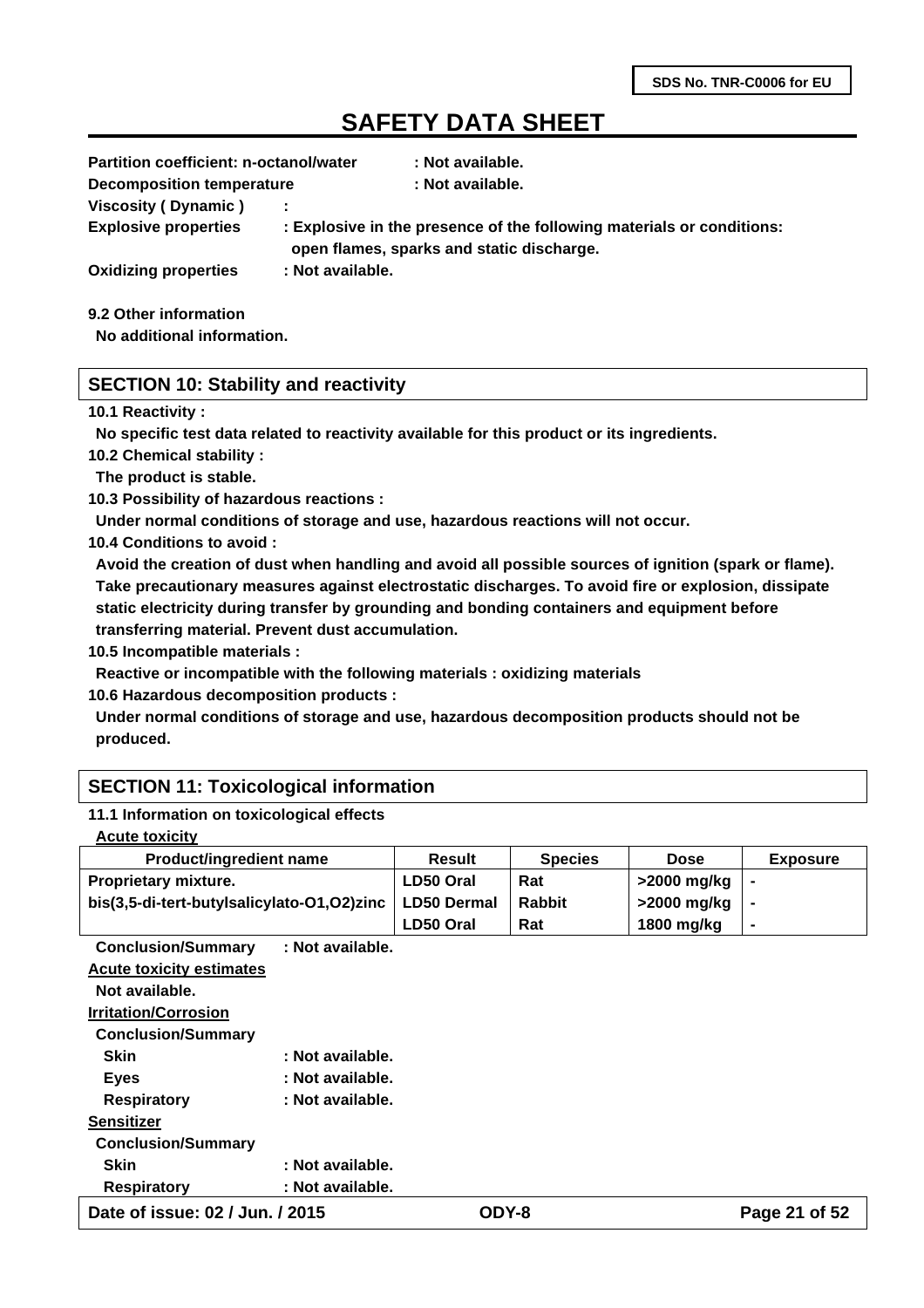| <b>Partition coefficient: n-octanol/water</b> |                  | : Not available.                                                                                                   |
|-----------------------------------------------|------------------|--------------------------------------------------------------------------------------------------------------------|
| <b>Decomposition temperature</b>              |                  | : Not available.                                                                                                   |
| Viscosity (Dynamic)                           |                  |                                                                                                                    |
| <b>Explosive properties</b>                   |                  | : Explosive in the presence of the following materials or conditions:<br>open flames, sparks and static discharge. |
| <b>Oxidizing properties</b>                   | : Not available. |                                                                                                                    |
|                                               |                  |                                                                                                                    |

**9.2 Other information**

**No additional information.**

### **SECTION 10: Stability and reactivity**

#### **10.1 Reactivity :**

**No specific test data related to reactivity available for this product or its ingredients.**

**10.2 Chemical stability :**

**The product is stable.**

**10.3 Possibility of hazardous reactions :**

**Under normal conditions of storage and use, hazardous reactions will not occur.**

**10.4 Conditions to avoid :**

**Avoid the creation of dust when handling and avoid all possible sources of ignition (spark or flame). Take precautionary measures against electrostatic discharges. To avoid fire or explosion, dissipate static electricity during transfer by grounding and bonding containers and equipment before transferring material. Prevent dust accumulation.**

**10.5 Incompatible materials :**

**Reactive or incompatible with the following materials : oxidizing materials**

**10.6 Hazardous decomposition products :**

**Under normal conditions of storage and use, hazardous decomposition products should not be produced.**

### **SECTION 11: Toxicological information**

#### **11.1 Information on toxicological effects**

| <b>Product/ingredient name</b>             | <b>Result</b>      | <b>Species</b> | <b>Dose</b> | <b>Exposure</b> |
|--------------------------------------------|--------------------|----------------|-------------|-----------------|
| <b>Proprietary mixture.</b>                | LD50 Oral          | Rat            | >2000 mg/kg |                 |
| bis(3,5-di-tert-butylsalicylato-O1,O2)zinc | <b>LD50 Dermal</b> | <b>Rabbit</b>  | >2000 mg/kg |                 |
|                                            | LD50 Oral          | Rat            | 1800 mg/kg  |                 |

**Conclusion/Summary : Not available. Acute toxicity estimates Not available. Irritation/Corrosion Conclusion/Summary**  Skin : Not available.

| Date of issue: 02 / Jun. / 2015        |                  | ODY-8 | Page 21 of 52 |
|----------------------------------------|------------------|-------|---------------|
| : Not available.<br><b>Respiratory</b> |                  |       |               |
| <b>Skin</b>                            | : Not available. |       |               |
| <b>Conclusion/Summary</b>              |                  |       |               |
| <b>Sensitizer</b>                      |                  |       |               |
| <b>Respiratory</b>                     | : Not available. |       |               |
| <b>Eyes</b>                            | : Not available. |       |               |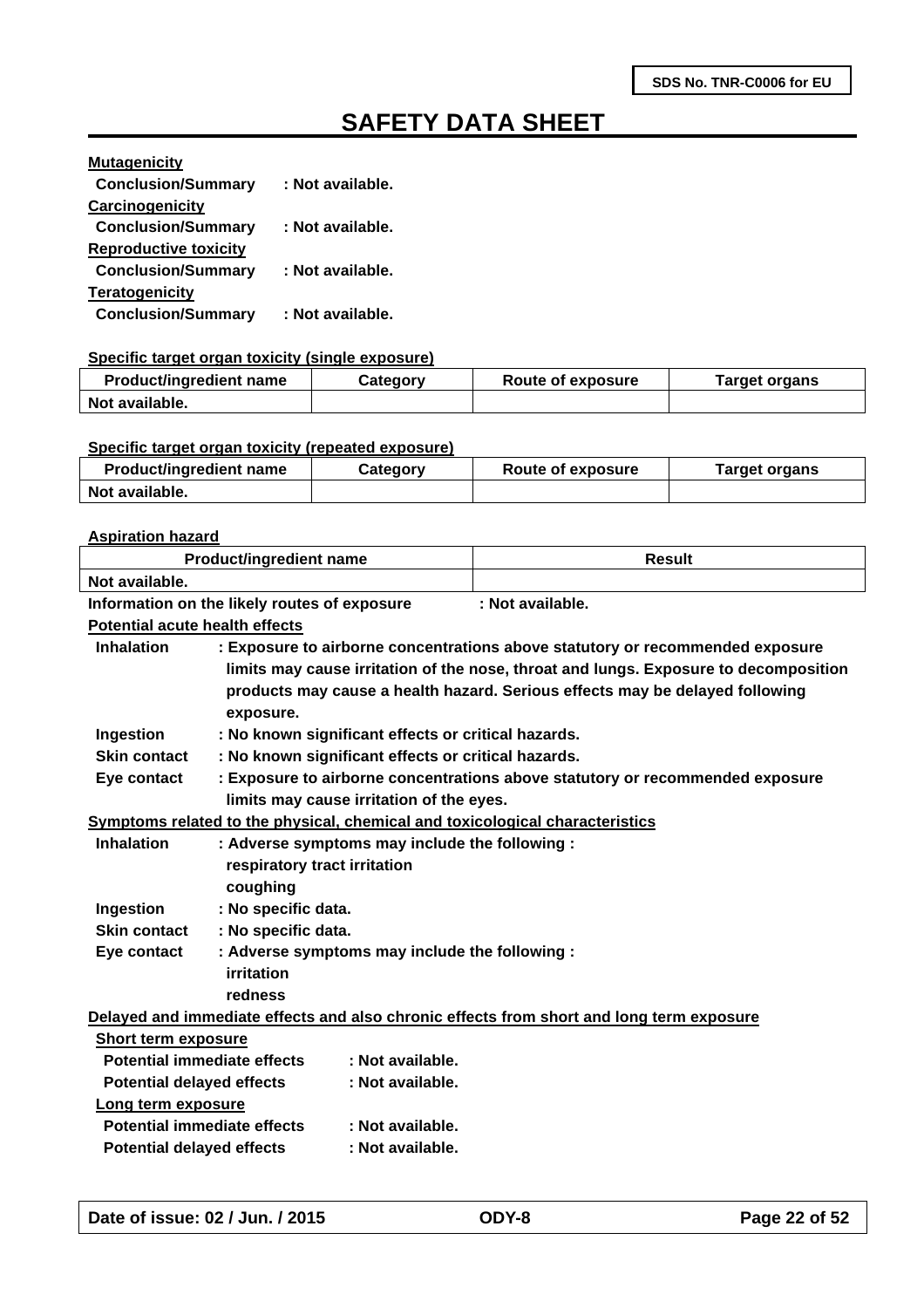| <b>Mutagenicity</b>          |                  |
|------------------------------|------------------|
| <b>Conclusion/Summary</b>    | : Not available. |
| Carcinogenicity              |                  |
| <b>Conclusion/Summary</b>    | : Not available. |
| <b>Reproductive toxicity</b> |                  |
| <b>Conclusion/Summary</b>    | : Not available. |
| <b>Teratogenicity</b>        |                  |
| <b>Conclusion/Summary</b>    | : Not available. |

#### **Specific target organ toxicity (single exposure)**

| <b>Product/ingredient name</b> | Category | Route of exposure | Target organs |
|--------------------------------|----------|-------------------|---------------|
| Not available.                 |          |                   |               |

#### **Specific target organ toxicity (repeated exposure)**

| <b>Product/ingredient name</b> | Category | Route of exposure | Target organs |
|--------------------------------|----------|-------------------|---------------|
| Not available.                 |          |                   |               |

#### **Aspiration hazard**

| <b>Product/ingredient name</b>                                                           |                                                                     |                                          | <b>Result</b>                                                                        |
|------------------------------------------------------------------------------------------|---------------------------------------------------------------------|------------------------------------------|--------------------------------------------------------------------------------------|
| Not available.                                                                           |                                                                     |                                          |                                                                                      |
|                                                                                          | Information on the likely routes of exposure                        |                                          | : Not available.                                                                     |
| <b>Potential acute health effects</b>                                                    |                                                                     |                                          |                                                                                      |
| <b>Inhalation</b>                                                                        |                                                                     |                                          | : Exposure to airborne concentrations above statutory or recommended exposure        |
|                                                                                          |                                                                     |                                          | limits may cause irritation of the nose, throat and lungs. Exposure to decomposition |
|                                                                                          |                                                                     |                                          | products may cause a health hazard. Serious effects may be delayed following         |
|                                                                                          | exposure.                                                           |                                          |                                                                                      |
| Ingestion                                                                                | : No known significant effects or critical hazards.                 |                                          |                                                                                      |
| <b>Skin contact</b>                                                                      | : No known significant effects or critical hazards.                 |                                          |                                                                                      |
| Eye contact                                                                              |                                                                     |                                          | : Exposure to airborne concentrations above statutory or recommended exposure        |
|                                                                                          |                                                                     | limits may cause irritation of the eyes. |                                                                                      |
|                                                                                          |                                                                     |                                          | Symptoms related to the physical, chemical and toxicological characteristics         |
|                                                                                          | <b>Inhalation</b><br>: Adverse symptoms may include the following : |                                          |                                                                                      |
|                                                                                          | respiratory tract irritation                                        |                                          |                                                                                      |
|                                                                                          | coughing                                                            |                                          |                                                                                      |
| Ingestion                                                                                | : No specific data.                                                 |                                          |                                                                                      |
| <b>Skin contact</b>                                                                      | : No specific data.                                                 |                                          |                                                                                      |
| : Adverse symptoms may include the following :<br>Eye contact                            |                                                                     |                                          |                                                                                      |
|                                                                                          | <b>irritation</b>                                                   |                                          |                                                                                      |
|                                                                                          | redness                                                             |                                          |                                                                                      |
| Delayed and immediate effects and also chronic effects from short and long term exposure |                                                                     |                                          |                                                                                      |
| Short term exposure                                                                      |                                                                     |                                          |                                                                                      |
| <b>Potential immediate effects</b><br>: Not available.                                   |                                                                     |                                          |                                                                                      |
| <b>Potential delayed effects</b><br>: Not available.                                     |                                                                     |                                          |                                                                                      |
| Long term exposure                                                                       |                                                                     |                                          |                                                                                      |
| <b>Potential immediate effects</b>                                                       |                                                                     | : Not available.                         |                                                                                      |
| <b>Potential delayed effects</b>                                                         |                                                                     | : Not available.                         |                                                                                      |
|                                                                                          |                                                                     |                                          |                                                                                      |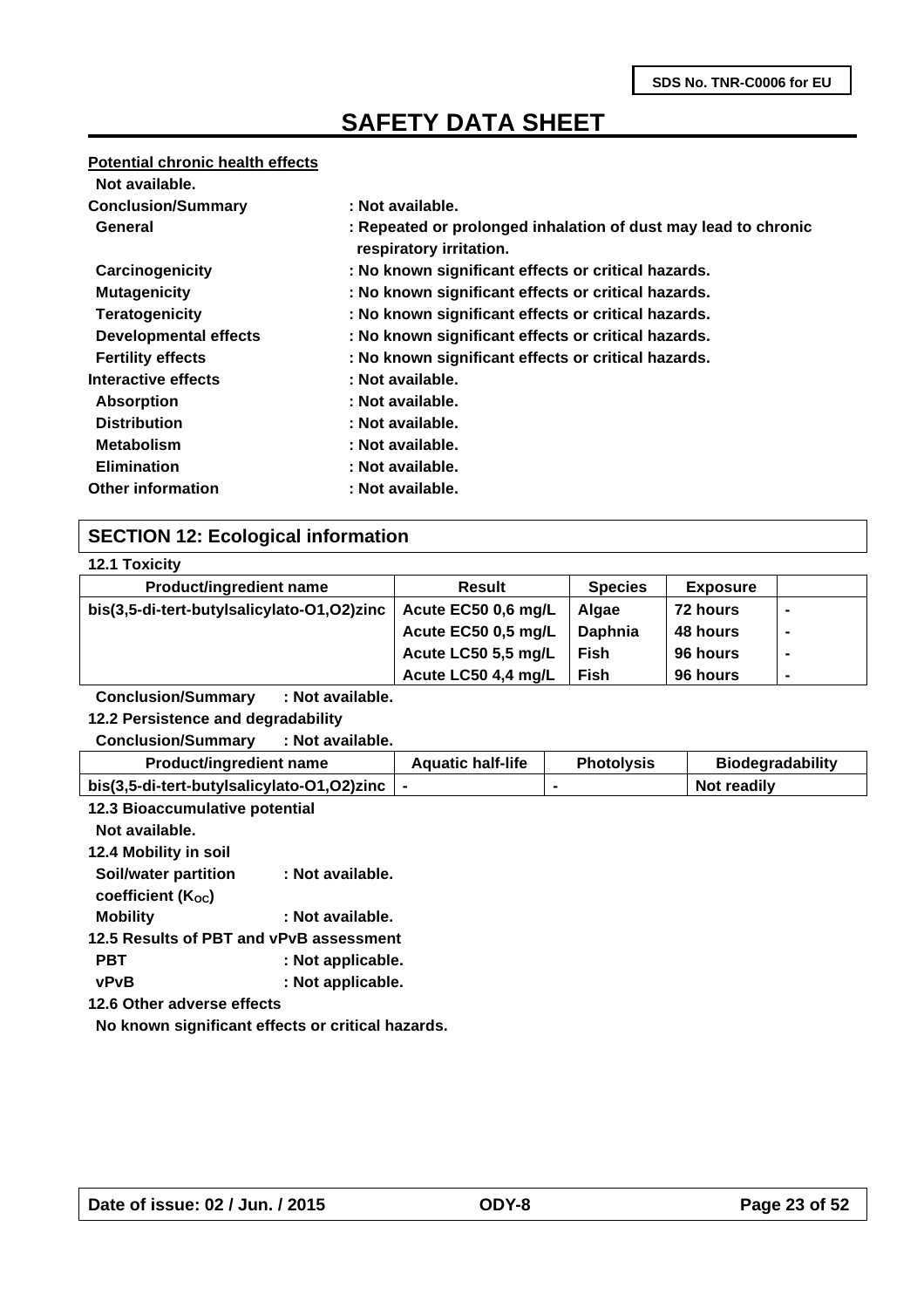#### **Potential chronic health effects**

| Not available.               |                                                                                           |
|------------------------------|-------------------------------------------------------------------------------------------|
| <b>Conclusion/Summary</b>    | : Not available.                                                                          |
| General                      | : Repeated or prolonged inhalation of dust may lead to chronic<br>respiratory irritation. |
| Carcinogenicity              | : No known significant effects or critical hazards.                                       |
| <b>Mutagenicity</b>          | : No known significant effects or critical hazards.                                       |
| <b>Teratogenicity</b>        | : No known significant effects or critical hazards.                                       |
| <b>Developmental effects</b> | : No known significant effects or critical hazards.                                       |
| <b>Fertility effects</b>     | : No known significant effects or critical hazards.                                       |
| Interactive effects          | : Not available.                                                                          |
| <b>Absorption</b>            | : Not available.                                                                          |
| <b>Distribution</b>          | : Not available.                                                                          |
| <b>Metabolism</b>            | : Not available.                                                                          |
| <b>Elimination</b>           | : Not available.                                                                          |
| <b>Other information</b>     | : Not available.                                                                          |

### **SECTION 12: Ecological information**

|  | <b>12.1 Toxicity</b> |
|--|----------------------|
|  |                      |

| <b>Product/ingredient name</b>             | <b>Result</b>       | <b>Species</b> | <b>Exposure</b> |   |  |
|--------------------------------------------|---------------------|----------------|-----------------|---|--|
| bis(3,5-di-tert-butylsalicylato-O1,O2)zinc | Acute EC50 0,6 mg/L | Algae          | 72 hours        | ۰ |  |
|                                            | Acute EC50 0,5 mg/L | Daphnia        | 48 hours        |   |  |
|                                            | Acute LC50 5,5 mg/L | Fish           | 96 hours        | ۰ |  |
|                                            | Acute LC50 4,4 mg/L | Fish           | 96 hours        | ۰ |  |
|                                            |                     |                |                 |   |  |

**Conclusion/Summary : Not available.**

**12.2 Persistence and degradability**

**Conclusion/Summary : Not available.**

| <b>Product/ingredient name</b>             | <b>Aquatic half-life</b> | <b>Photolysis</b> | <b>Biodegradability</b> |
|--------------------------------------------|--------------------------|-------------------|-------------------------|
| bis(3,5-di-tert-butylsalicylato-O1,O2)zinc |                          |                   | Not readily             |

| 12.3 Bioaccumulative potential                    |
|---------------------------------------------------|
|                                                   |
|                                                   |
| : Not available.                                  |
|                                                   |
| : Not available.                                  |
| 12.5 Results of PBT and vPvB assessment           |
| : Not applicable.                                 |
| : Not applicable.                                 |
| 12.6 Other adverse effects                        |
| No known significant effects or critical hazards. |
|                                                   |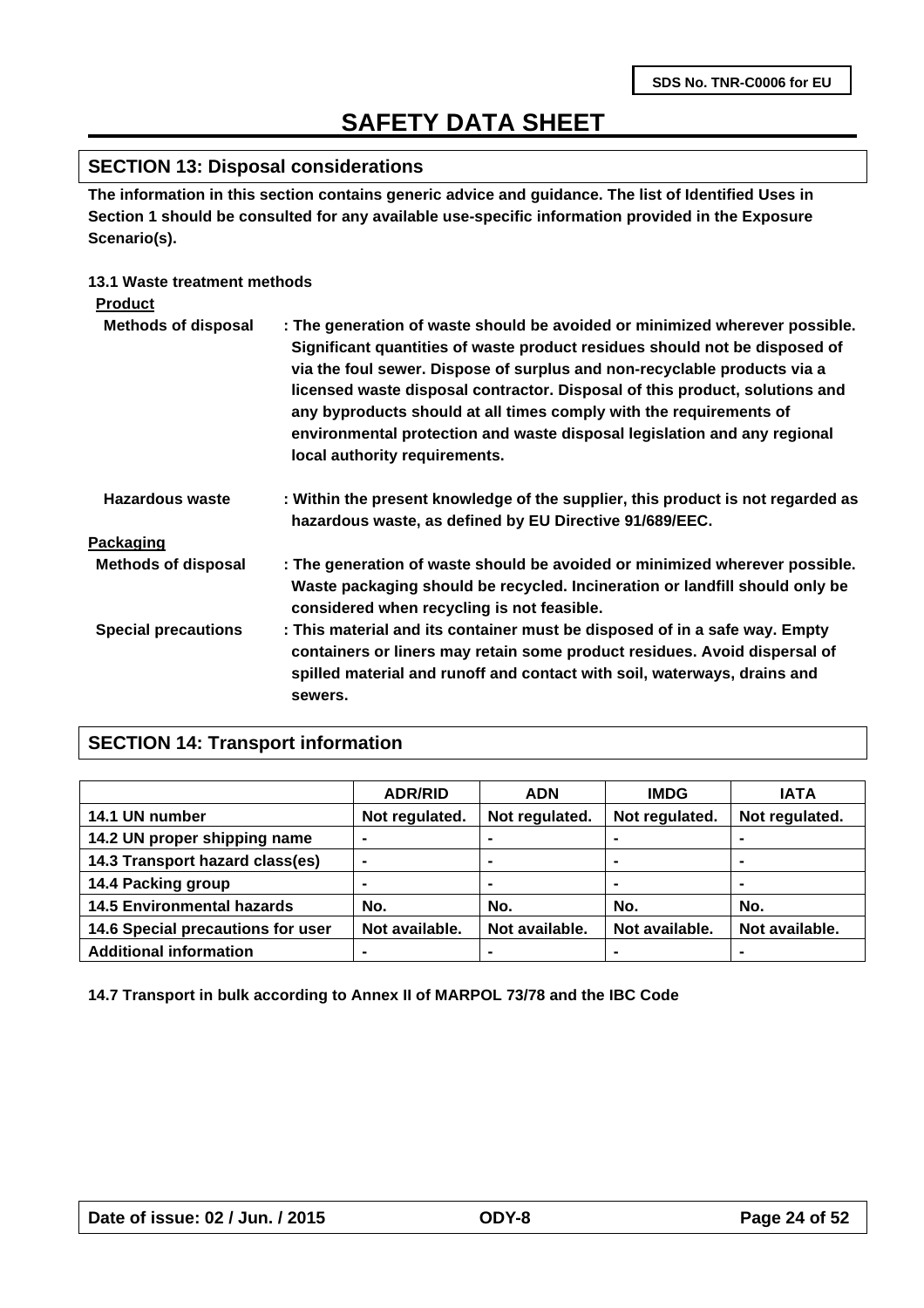### **SECTION 13: Disposal considerations**

**The information in this section contains generic advice and guidance. The list of Identified Uses in Section 1 should be consulted for any available use-specific information provided in the Exposure Scenario(s).**

### **13.1 Waste treatment methods**

| <b>Product</b>             |                                                                                                                                                                                                                                                                                                                                                                                                                                                                                                         |
|----------------------------|---------------------------------------------------------------------------------------------------------------------------------------------------------------------------------------------------------------------------------------------------------------------------------------------------------------------------------------------------------------------------------------------------------------------------------------------------------------------------------------------------------|
| <b>Methods of disposal</b> | : The generation of waste should be avoided or minimized wherever possible.<br>Significant quantities of waste product residues should not be disposed of<br>via the foul sewer. Dispose of surplus and non-recyclable products via a<br>licensed waste disposal contractor. Disposal of this product, solutions and<br>any byproducts should at all times comply with the requirements of<br>environmental protection and waste disposal legislation and any regional<br>local authority requirements. |
| Hazardous waste            | : Within the present knowledge of the supplier, this product is not regarded as<br>hazardous waste, as defined by EU Directive 91/689/EEC.                                                                                                                                                                                                                                                                                                                                                              |
| Packaging                  |                                                                                                                                                                                                                                                                                                                                                                                                                                                                                                         |
| <b>Methods of disposal</b> | : The generation of waste should be avoided or minimized wherever possible.<br>Waste packaging should be recycled. Incineration or landfill should only be<br>considered when recycling is not feasible.                                                                                                                                                                                                                                                                                                |
| <b>Special precautions</b> | : This material and its container must be disposed of in a safe way. Empty<br>containers or liners may retain some product residues. Avoid dispersal of<br>spilled material and runoff and contact with soil, waterways, drains and<br>sewers.                                                                                                                                                                                                                                                          |

### **SECTION 14: Transport information**

|                                   | <b>ADR/RID</b> | <b>ADN</b>     | <b>IMDG</b>    | <b>IATA</b>    |
|-----------------------------------|----------------|----------------|----------------|----------------|
| 14.1 UN number                    | Not regulated. | Not regulated. | Not regulated. | Not regulated. |
| 14.2 UN proper shipping name      |                |                |                |                |
| 14.3 Transport hazard class(es)   | ۰              | ۰              |                | $\blacksquare$ |
| 14.4 Packing group                | -              | ۰              | ۰              | $\blacksquare$ |
| <b>14.5 Environmental hazards</b> | No.            | No.            | No.            | No.            |
| 14.6 Special precautions for user | Not available. | Not available. | Not available. | Not available. |
| <b>Additional information</b>     | -              |                |                |                |

**14.7 Transport in bulk according to Annex II of MARPOL 73/78 and the IBC Code**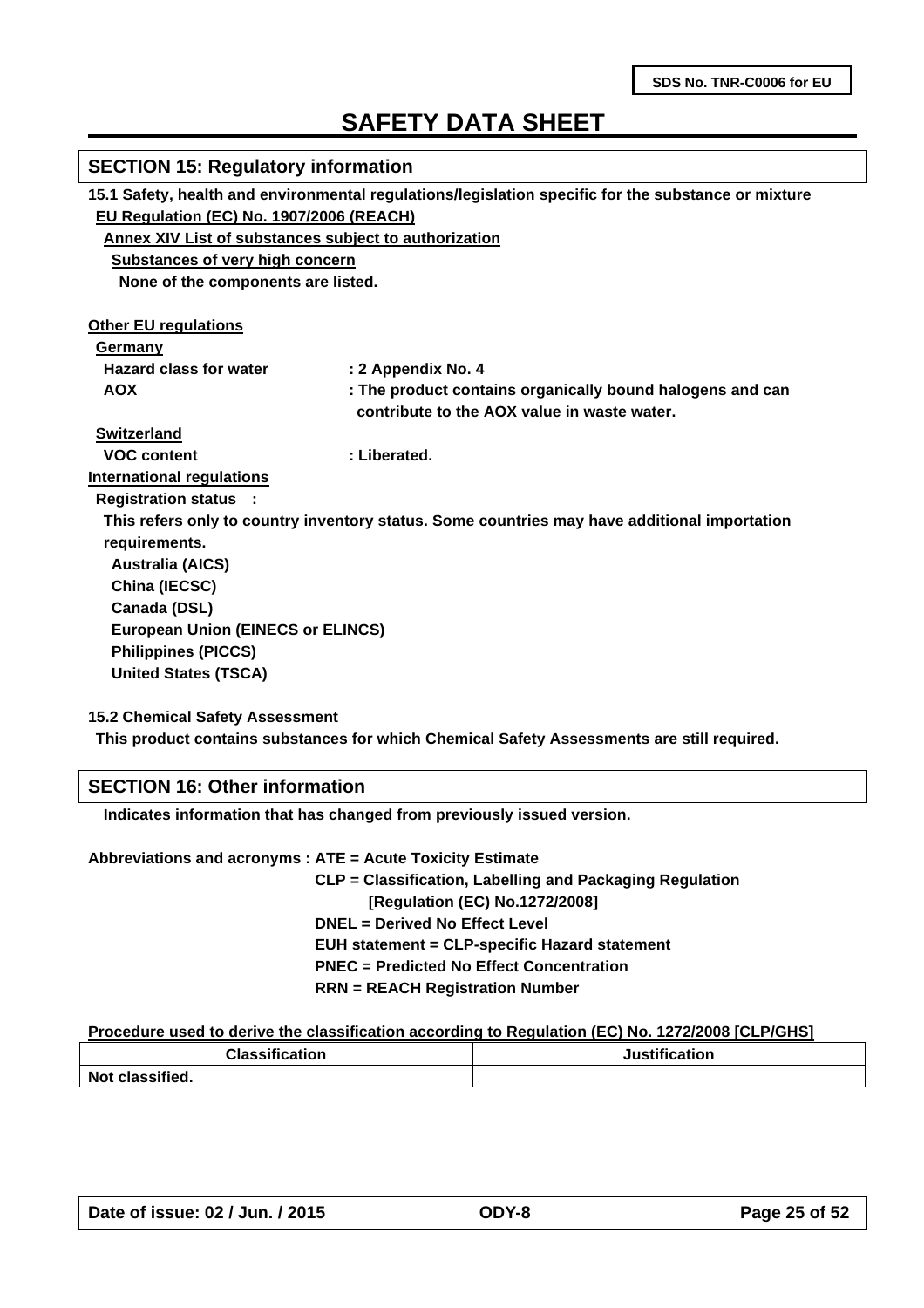| <b>SECTION 15: Regulatory information</b>                                                           |                                                                                              |  |  |  |  |  |  |
|-----------------------------------------------------------------------------------------------------|----------------------------------------------------------------------------------------------|--|--|--|--|--|--|
| 15.1 Safety, health and environmental regulations/legislation specific for the substance or mixture |                                                                                              |  |  |  |  |  |  |
| EU Regulation (EC) No. 1907/2006 (REACH)                                                            |                                                                                              |  |  |  |  |  |  |
|                                                                                                     | <b>Annex XIV List of substances subject to authorization</b>                                 |  |  |  |  |  |  |
| <b>Substances of very high concern</b>                                                              |                                                                                              |  |  |  |  |  |  |
| None of the components are listed.                                                                  |                                                                                              |  |  |  |  |  |  |
| <b>Other EU regulations</b>                                                                         |                                                                                              |  |  |  |  |  |  |
| Germany                                                                                             |                                                                                              |  |  |  |  |  |  |
| <b>Hazard class for water</b>                                                                       | : 2 Appendix No. 4                                                                           |  |  |  |  |  |  |
| <b>AOX</b>                                                                                          | : The product contains organically bound halogens and can                                    |  |  |  |  |  |  |
|                                                                                                     | contribute to the AOX value in waste water.                                                  |  |  |  |  |  |  |
| <b>Switzerland</b>                                                                                  |                                                                                              |  |  |  |  |  |  |
| <b>VOC content</b>                                                                                  | : Liberated.                                                                                 |  |  |  |  |  |  |
| <b>International regulations</b>                                                                    |                                                                                              |  |  |  |  |  |  |
| <b>Registration status :</b>                                                                        |                                                                                              |  |  |  |  |  |  |
|                                                                                                     | This refers only to country inventory status. Some countries may have additional importation |  |  |  |  |  |  |
| requirements.                                                                                       |                                                                                              |  |  |  |  |  |  |
| <b>Australia (AICS)</b>                                                                             |                                                                                              |  |  |  |  |  |  |
| China (IECSC)                                                                                       |                                                                                              |  |  |  |  |  |  |
| Canada (DSL)                                                                                        |                                                                                              |  |  |  |  |  |  |
| <b>European Union (EINECS or ELINCS)</b>                                                            |                                                                                              |  |  |  |  |  |  |
| <b>Philippines (PICCS)</b>                                                                          |                                                                                              |  |  |  |  |  |  |
| <b>United States (TSCA)</b>                                                                         |                                                                                              |  |  |  |  |  |  |
| <b>15.2 Chemical Safety Assessment</b>                                                              |                                                                                              |  |  |  |  |  |  |

**This product contains substances for which Chemical Safety Assessments are still required.**

### **SECTION 16: Other information**

 **Indicates information that has changed from previously issued version.**

**Abbreviations and acronyms : ATE = Acute Toxicity Estimate**

 **CLP = Classification, Labelling and Packaging Regulation [Regulation (EC) No.1272/2008] DNEL = Derived No Effect Level EUH statement = CLP-specific Hazard statement PNEC = Predicted No Effect Concentration RRN = REACH Registration Number**

#### **Procedure used to derive the classification according to Regulation (EC) No. 1272/2008 [CLP/GHS]**

| <b>Classification</b> | Justification |  |  |
|-----------------------|---------------|--|--|
| Not classified.       |               |  |  |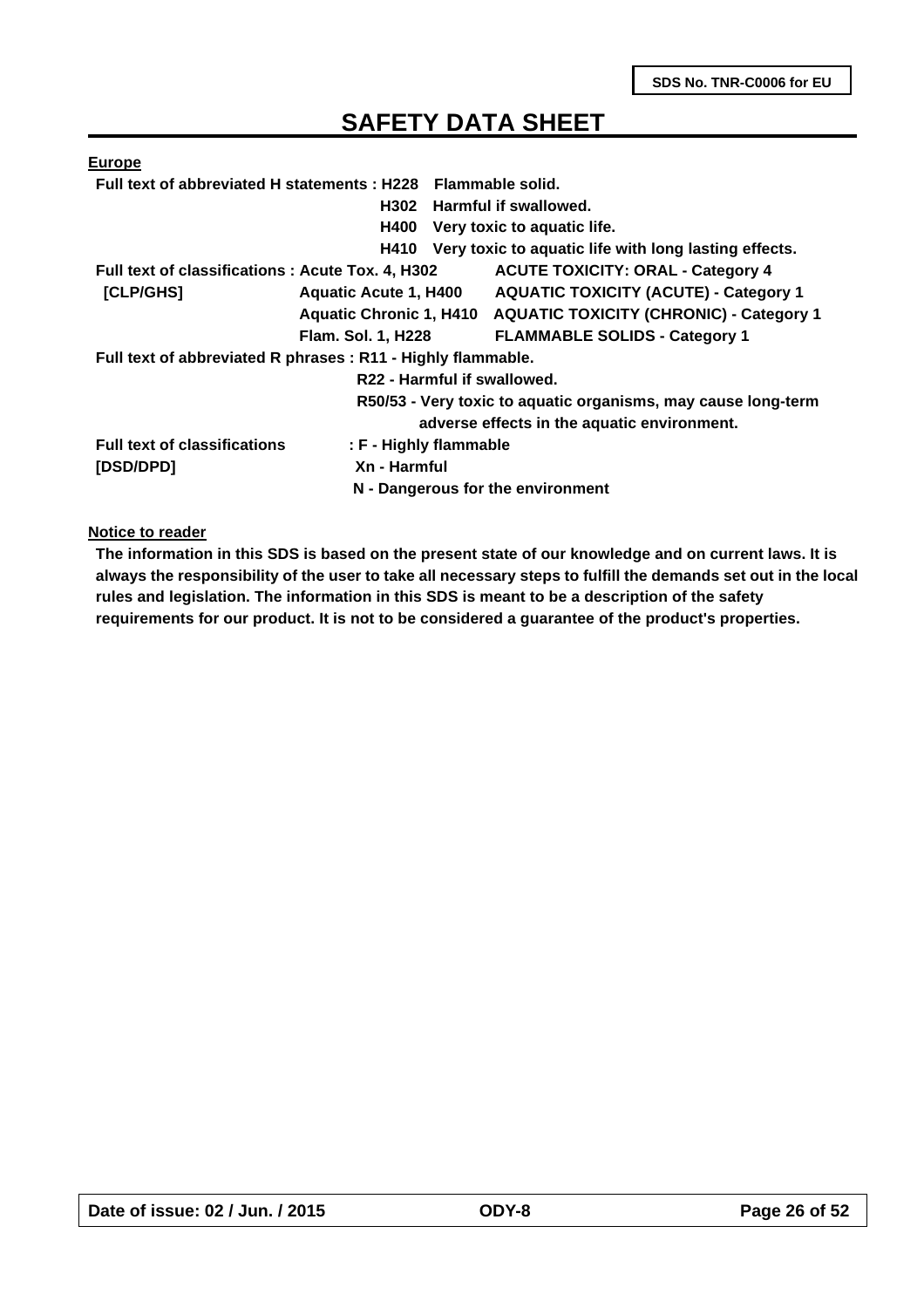| <b>Europe</b>                                                |                                   |                                                                 |  |  |
|--------------------------------------------------------------|-----------------------------------|-----------------------------------------------------------------|--|--|
| Full text of abbreviated H statements: H228 Flammable solid. |                                   |                                                                 |  |  |
|                                                              |                                   | H302 Harmful if swallowed.                                      |  |  |
|                                                              | <b>H400</b>                       | Very toxic to aquatic life.                                     |  |  |
|                                                              | H410                              | Very toxic to aquatic life with long lasting effects.           |  |  |
| Full text of classifications: Acute Tox. 4, H302             |                                   | <b>ACUTE TOXICITY: ORAL - Category 4</b>                        |  |  |
| [CLP/GHS]                                                    | <b>Aquatic Acute 1, H400</b>      | <b>AQUATIC TOXICITY (ACUTE) - Category 1</b>                    |  |  |
|                                                              |                                   | Aquatic Chronic 1, H410 AQUATIC TOXICITY (CHRONIC) - Category 1 |  |  |
|                                                              | <b>Flam. Sol. 1, H228</b>         | <b>FLAMMABLE SOLIDS - Category 1</b>                            |  |  |
| Full text of abbreviated R phrases : R11 - Highly flammable. |                                   |                                                                 |  |  |
|                                                              | R22 - Harmful if swallowed.       |                                                                 |  |  |
|                                                              |                                   | R50/53 - Very toxic to aquatic organisms, may cause long-term   |  |  |
|                                                              |                                   | adverse effects in the aquatic environment.                     |  |  |
| <b>Full text of classifications</b>                          | : F - Highly flammable            |                                                                 |  |  |
| [DSD/DPD]                                                    | Xn - Harmful                      |                                                                 |  |  |
|                                                              | N - Dangerous for the environment |                                                                 |  |  |

**Notice to reader**

**The information in this SDS is based on the present state of our knowledge and on current laws. It is always the responsibility of the user to take all necessary steps to fulfill the demands set out in the local rules and legislation. The information in this SDS is meant to be a description of the safety requirements for our product. It is not to be considered a guarantee of the product's properties.**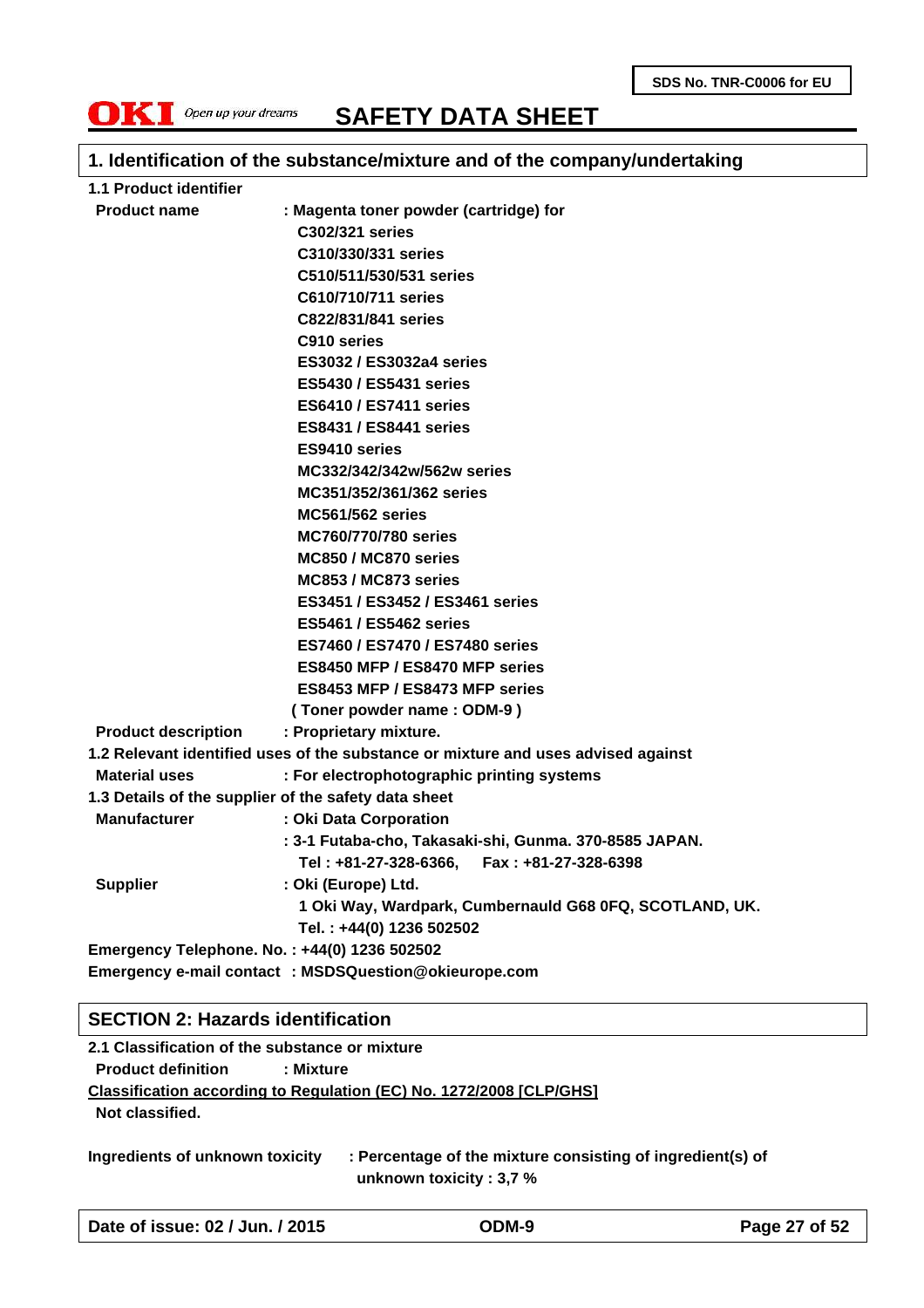

### **1. Identification of the substance/mixture and of the company/undertaking**

| 1.1 Product identifier     |                                                                                   |
|----------------------------|-----------------------------------------------------------------------------------|
| <b>Product name</b>        | : Magenta toner powder (cartridge) for                                            |
|                            | C302/321 series                                                                   |
|                            | C310/330/331 series                                                               |
|                            | C510/511/530/531 series                                                           |
|                            | C610/710/711 series                                                               |
|                            | C822/831/841 series                                                               |
|                            | C910 series                                                                       |
|                            | <b>ES3032 / ES3032a4 series</b>                                                   |
|                            | <b>ES5430 / ES5431 series</b>                                                     |
|                            | <b>ES6410 / ES7411 series</b>                                                     |
|                            | <b>ES8431 / ES8441 series</b>                                                     |
|                            | ES9410 series                                                                     |
|                            | MC332/342/342w/562w series                                                        |
|                            | MC351/352/361/362 series                                                          |
|                            | <b>MC561/562 series</b>                                                           |
|                            | <b>MC760/770/780 series</b>                                                       |
|                            | MC850 / MC870 series                                                              |
|                            | MC853 / MC873 series                                                              |
|                            | ES3451 / ES3452 / ES3461 series                                                   |
|                            | <b>ES5461 / ES5462 series</b>                                                     |
|                            | <b>ES7460 / ES7470 / ES7480 series</b>                                            |
|                            | ES8450 MFP / ES8470 MFP series                                                    |
|                            | ES8453 MFP / ES8473 MFP series                                                    |
|                            | (Toner powder name: ODM-9)                                                        |
| <b>Product description</b> | : Proprietary mixture.                                                            |
|                            | 1.2 Relevant identified uses of the substance or mixture and uses advised against |
| <b>Material uses</b>       | : For electrophotographic printing systems                                        |
|                            | 1.3 Details of the supplier of the safety data sheet                              |
| <b>Manufacturer</b>        | : Oki Data Corporation                                                            |
|                            | : 3-1 Futaba-cho, Takasaki-shi, Gunma. 370-8585 JAPAN.                            |
|                            | Tel: +81-27-328-6366, Fax: +81-27-328-6398                                        |
| <b>Supplier</b>            | : Oki (Europe) Ltd.                                                               |
|                            | 1 Oki Way, Wardpark, Cumbernauld G68 0FQ, SCOTLAND, UK.                           |
|                            | Tel.: +44(0) 1236 502502                                                          |
|                            | Emergency Telephone. No.: +44(0) 1236 502502                                      |
|                            | Emergency e-mail contact : MSDSQuestion@okieurope.com                             |

#### **SECTION 2: Hazards identification**

**2.1 Classification of the substance or mixture Product definition : Mixture Classification according to Regulation (EC) No. 1272/2008 [CLP/GHS] Not classified.**

**Ingredients of unknown toxicity : Percentage of the mixture consisting of ingredient(s) of unknown toxicity : 3,7 %**

**Date of issue: 02 / Jun. / 2015 ODM-9 Page 27 of 52**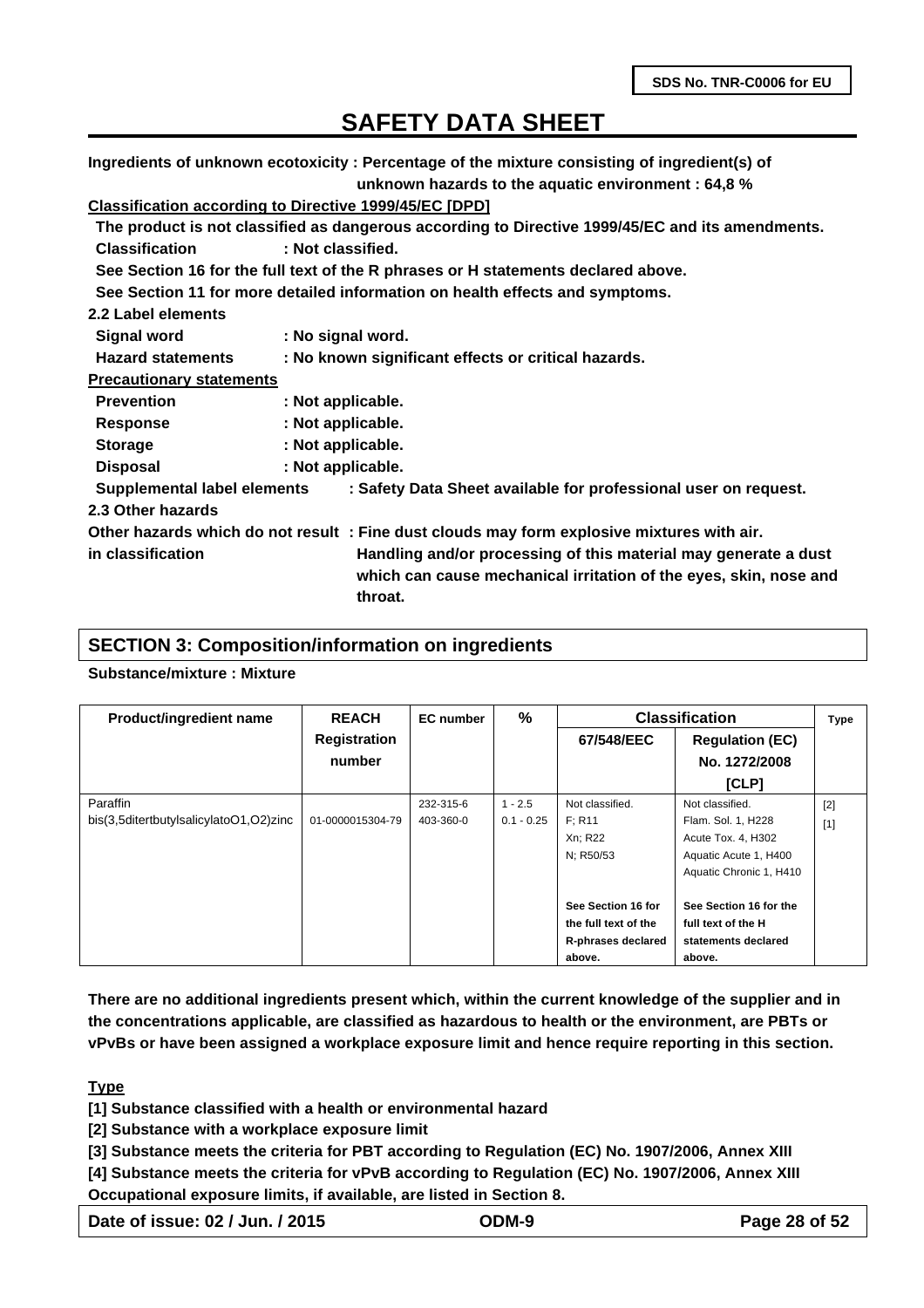**Ingredients of unknown ecotoxicity : Percentage of the mixture consisting of ingredient(s) of unknown hazards to the aquatic environment : 64,8 %**

### **Classification according to Directive 1999/45/EC [DPD]**

| Classification according to Directive 1999/49/LC [DFD] |                   |                                                                                                                                                 |
|--------------------------------------------------------|-------------------|-------------------------------------------------------------------------------------------------------------------------------------------------|
|                                                        |                   | The product is not classified as dangerous according to Directive 1999/45/EC and its amendments.                                                |
| <b>Classification</b>                                  | : Not classified. |                                                                                                                                                 |
|                                                        |                   | See Section 16 for the full text of the R phrases or H statements declared above.                                                               |
|                                                        |                   | See Section 11 for more detailed information on health effects and symptoms.                                                                    |
| 2.2 Label elements                                     |                   |                                                                                                                                                 |
| <b>Signal word</b>                                     | : No signal word. |                                                                                                                                                 |
| <b>Hazard statements</b>                               |                   | : No known significant effects or critical hazards.                                                                                             |
| <b>Precautionary statements</b>                        |                   |                                                                                                                                                 |
| <b>Prevention</b>                                      | : Not applicable. |                                                                                                                                                 |
| <b>Response</b>                                        | : Not applicable. |                                                                                                                                                 |
| <b>Storage</b>                                         | : Not applicable. |                                                                                                                                                 |
| <b>Disposal</b>                                        | : Not applicable. |                                                                                                                                                 |
| Supplemental label elements                            |                   | : Safety Data Sheet available for professional user on request.                                                                                 |
| 2.3 Other hazards                                      |                   |                                                                                                                                                 |
|                                                        |                   | Other hazards which do not result: Fine dust clouds may form explosive mixtures with air.                                                       |
| in classification                                      |                   | Handling and/or processing of this material may generate a dust<br>which can cause mechanical irritation of the eyes, skin, nose and<br>throat. |
|                                                        |                   |                                                                                                                                                 |

#### **SECTION 3: Composition/information on ingredients**

### **Substance/mixture : Mixture**

| <b>Product/ingredient name</b>         | <b>REACH</b>        | <b>EC</b> number | $\%$         | <b>Classification</b> |                         | <b>Type</b> |
|----------------------------------------|---------------------|------------------|--------------|-----------------------|-------------------------|-------------|
|                                        | <b>Registration</b> |                  |              | 67/548/EEC            | <b>Regulation (EC)</b>  |             |
|                                        | number              |                  |              |                       | No. 1272/2008           |             |
|                                        |                     |                  |              |                       | [CLP]                   |             |
| Paraffin                               |                     | 232-315-6        | $1 - 2.5$    | Not classified.       | Not classified.         | $[2]$       |
| bis(3,5ditertbutylsalicylatoO1,O2)zinc | 01-0000015304-79    | 403-360-0        | $0.1 - 0.25$ | F: R11                | Flam. Sol. 1, H228      | $[1]$       |
|                                        |                     |                  |              | Xn; R22               | Acute Tox. 4, H302      |             |
|                                        |                     |                  |              | N; R50/53             | Aquatic Acute 1, H400   |             |
|                                        |                     |                  |              |                       | Aquatic Chronic 1, H410 |             |
|                                        |                     |                  |              | See Section 16 for    | See Section 16 for the  |             |
|                                        |                     |                  |              | the full text of the  | full text of the H      |             |
|                                        |                     |                  |              | R-phrases declared    | statements declared     |             |
|                                        |                     |                  |              | above.                | above.                  |             |

**There are no additional ingredients present which, within the current knowledge of the supplier and in the concentrations applicable, are classified as hazardous to health or the environment, are PBTs or vPvBs or have been assigned a workplace exposure limit and hence require reporting in this section.**

#### **Type**

**[1] Substance classified with a health or environmental hazard**

**[2] Substance with a workplace exposure limit**

**[3] Substance meets the criteria for PBT according to Regulation (EC) No. 1907/2006, Annex XIII**

**[4] Substance meets the criteria for vPvB according to Regulation (EC) No. 1907/2006, Annex XIII Occupational exposure limits, if available, are listed in Section 8.**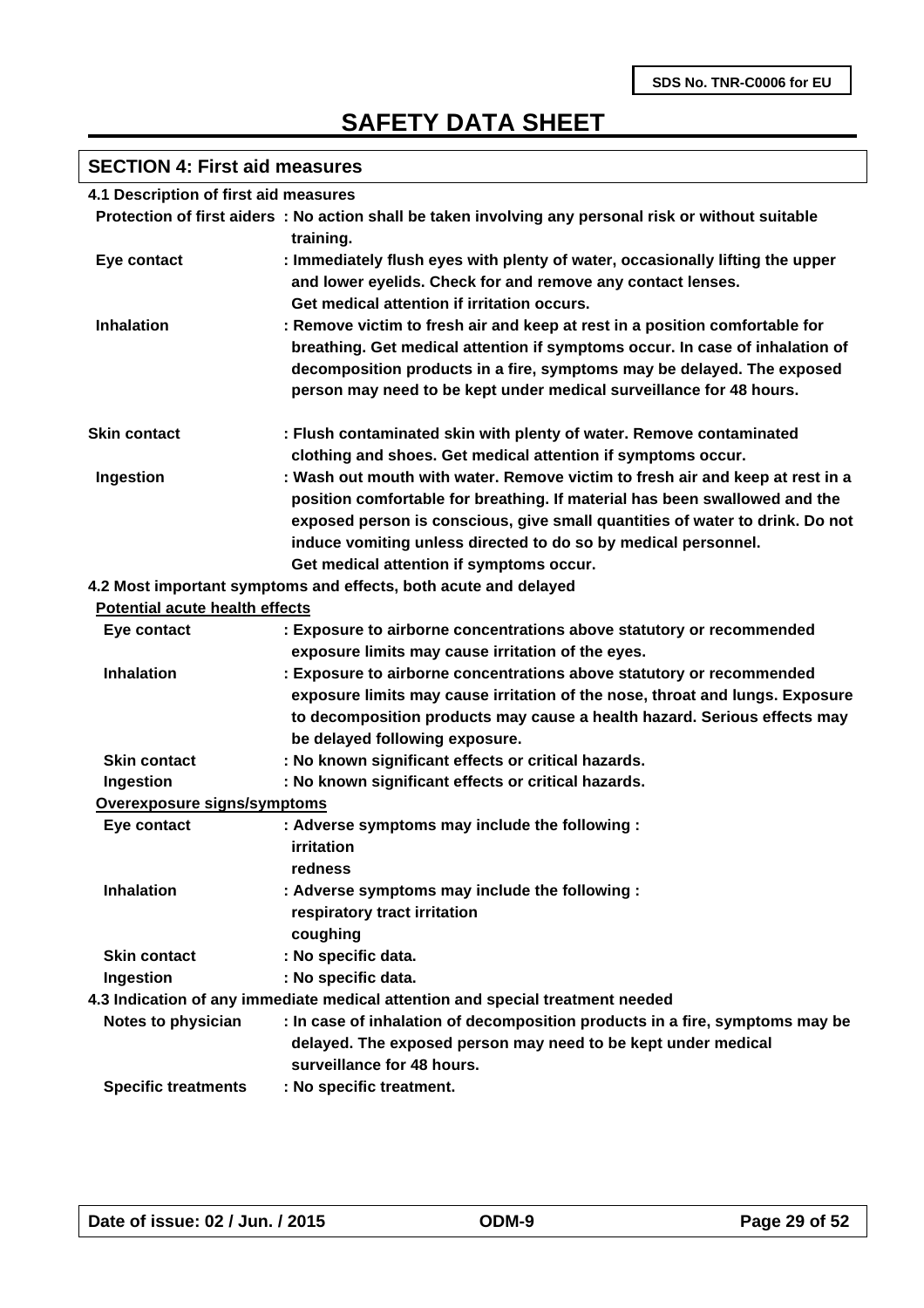# **SECTION 4: First aid measures**

| 4.1 Description of first aid measures |                                                                                                                                                                                                                                                                                                                                                           |
|---------------------------------------|-----------------------------------------------------------------------------------------------------------------------------------------------------------------------------------------------------------------------------------------------------------------------------------------------------------------------------------------------------------|
|                                       | Protection of first aiders : No action shall be taken involving any personal risk or without suitable                                                                                                                                                                                                                                                     |
|                                       | training.                                                                                                                                                                                                                                                                                                                                                 |
| Eye contact                           | : Immediately flush eyes with plenty of water, occasionally lifting the upper<br>and lower eyelids. Check for and remove any contact lenses.                                                                                                                                                                                                              |
|                                       | Get medical attention if irritation occurs.                                                                                                                                                                                                                                                                                                               |
| <b>Inhalation</b>                     | : Remove victim to fresh air and keep at rest in a position comfortable for<br>breathing. Get medical attention if symptoms occur. In case of inhalation of<br>decomposition products in a fire, symptoms may be delayed. The exposed<br>person may need to be kept under medical surveillance for 48 hours.                                              |
| <b>Skin contact</b>                   | : Flush contaminated skin with plenty of water. Remove contaminated<br>clothing and shoes. Get medical attention if symptoms occur.                                                                                                                                                                                                                       |
| Ingestion                             | : Wash out mouth with water. Remove victim to fresh air and keep at rest in a<br>position comfortable for breathing. If material has been swallowed and the<br>exposed person is conscious, give small quantities of water to drink. Do not<br>induce vomiting unless directed to do so by medical personnel.<br>Get medical attention if symptoms occur. |
|                                       | 4.2 Most important symptoms and effects, both acute and delayed                                                                                                                                                                                                                                                                                           |
| <b>Potential acute health effects</b> |                                                                                                                                                                                                                                                                                                                                                           |
| Eye contact                           | : Exposure to airborne concentrations above statutory or recommended<br>exposure limits may cause irritation of the eyes.                                                                                                                                                                                                                                 |
| <b>Inhalation</b>                     | : Exposure to airborne concentrations above statutory or recommended<br>exposure limits may cause irritation of the nose, throat and lungs. Exposure<br>to decomposition products may cause a health hazard. Serious effects may<br>be delayed following exposure.                                                                                        |
| <b>Skin contact</b>                   | : No known significant effects or critical hazards.                                                                                                                                                                                                                                                                                                       |
| Ingestion                             | : No known significant effects or critical hazards.                                                                                                                                                                                                                                                                                                       |
| Overexposure signs/symptoms           |                                                                                                                                                                                                                                                                                                                                                           |
| Eye contact                           | : Adverse symptoms may include the following :<br>irritation<br>redness                                                                                                                                                                                                                                                                                   |
| <b>Inhalation</b>                     | : Adverse symptoms may include the following :<br>respiratory tract irritation<br>coughing                                                                                                                                                                                                                                                                |
| <b>Skin contact</b>                   | : No specific data.                                                                                                                                                                                                                                                                                                                                       |
| Ingestion                             | : No specific data.                                                                                                                                                                                                                                                                                                                                       |
|                                       | 4.3 Indication of any immediate medical attention and special treatment needed                                                                                                                                                                                                                                                                            |
| Notes to physician                    | : In case of inhalation of decomposition products in a fire, symptoms may be<br>delayed. The exposed person may need to be kept under medical<br>surveillance for 48 hours.                                                                                                                                                                               |
| <b>Specific treatments</b>            | : No specific treatment.                                                                                                                                                                                                                                                                                                                                  |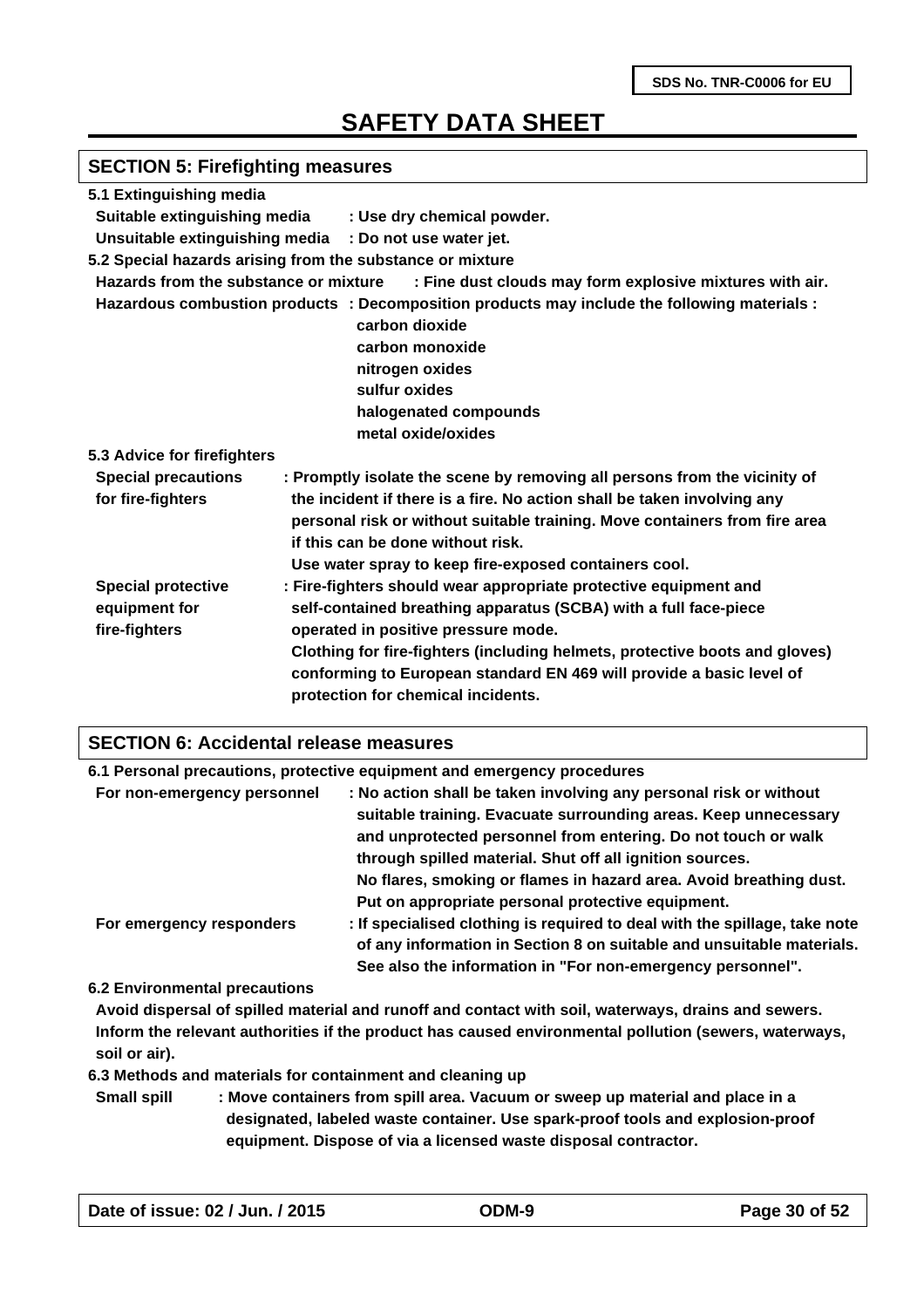# **SECTION 5: Firefighting measures**

| 5.1 Extinguishing media               |                                                                                              |
|---------------------------------------|----------------------------------------------------------------------------------------------|
|                                       | Suitable extinguishing media : Use dry chemical powder.                                      |
|                                       | Unsuitable extinguishing media : Do not use water jet.                                       |
|                                       | 5.2 Special hazards arising from the substance or mixture                                    |
| Hazards from the substance or mixture | : Fine dust clouds may form explosive mixtures with air.                                     |
|                                       | Hazardous combustion products : Decomposition products may include the following materials : |
|                                       | carbon dioxide                                                                               |
|                                       | carbon monoxide                                                                              |
|                                       | nitrogen oxides                                                                              |
|                                       | sulfur oxides                                                                                |
|                                       | halogenated compounds                                                                        |
|                                       | metal oxide/oxides                                                                           |
| 5.3 Advice for firefighters           |                                                                                              |
| <b>Special precautions</b>            | : Promptly isolate the scene by removing all persons from the vicinity of                    |
| for fire-fighters                     | the incident if there is a fire. No action shall be taken involving any                      |
|                                       | personal risk or without suitable training. Move containers from fire area                   |
|                                       | if this can be done without risk.                                                            |
|                                       | Use water spray to keep fire-exposed containers cool.                                        |
| <b>Special protective</b>             | : Fire-fighters should wear appropriate protective equipment and                             |
| equipment for                         | self-contained breathing apparatus (SCBA) with a full face-piece                             |
| fire-fighters                         | operated in positive pressure mode.                                                          |
|                                       | Clothing for fire-fighters (including helmets, protective boots and gloves)                  |
|                                       | conforming to European standard EN 469 will provide a basic level of                         |
|                                       | protection for chemical incidents.                                                           |
|                                       |                                                                                              |

### **SECTION 6: Accidental release measures**

|                             | 6.1 Personal precautions, protective equipment and emergency procedures                                                                                                                                                                                                                                                                 |
|-----------------------------|-----------------------------------------------------------------------------------------------------------------------------------------------------------------------------------------------------------------------------------------------------------------------------------------------------------------------------------------|
| For non-emergency personnel | : No action shall be taken involving any personal risk or without<br>suitable training. Evacuate surrounding areas. Keep unnecessary<br>and unprotected personnel from entering. Do not touch or walk<br>through spilled material. Shut off all ignition sources.<br>No flares, smoking or flames in hazard area. Avoid breathing dust. |
| For emergency responders    | Put on appropriate personal protective equipment.<br>: If specialised clothing is required to deal with the spillage, take note<br>of any information in Section 8 on suitable and unsuitable materials.<br>See also the information in "For non-emergency personnel".                                                                  |

**6.2 Environmental precautions**

**Avoid dispersal of spilled material and runoff and contact with soil, waterways, drains and sewers. Inform the relevant authorities if the product has caused environmental pollution (sewers, waterways, soil or air).**

**6.3 Methods and materials for containment and cleaning up**

**Small spill : Move containers from spill area. Vacuum or sweep up material and place in a designated, labeled waste container. Use spark-proof tools and explosion-proof equipment. Dispose of via a licensed waste disposal contractor.**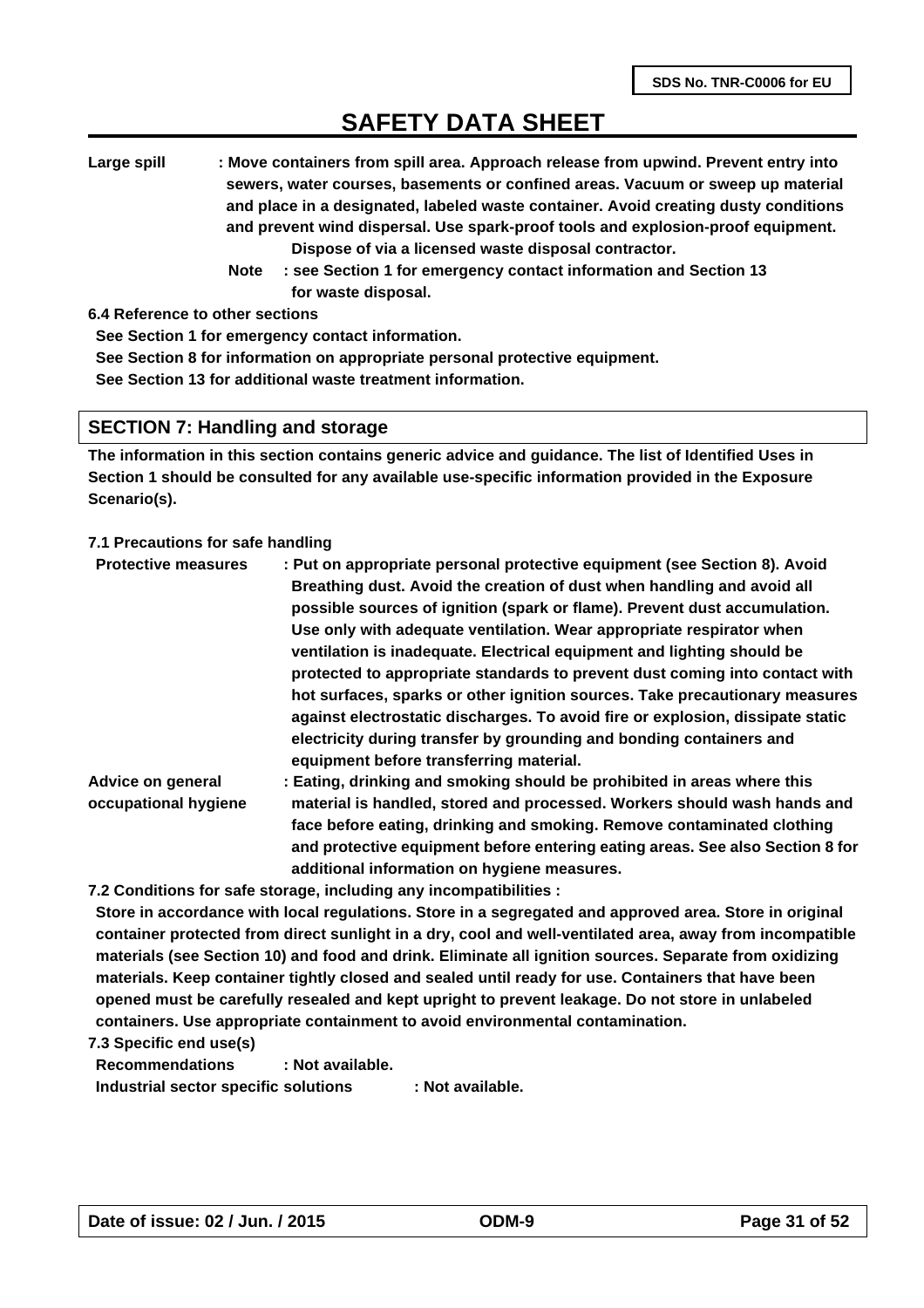**Large spill : Move containers from spill area. Approach release from upwind. Prevent entry into sewers, water courses, basements or confined areas. Vacuum or sweep up material and place in a designated, labeled waste container. Avoid creating dusty conditions and prevent wind dispersal. Use spark-proof tools and explosion-proof equipment. Dispose of via a licensed waste disposal contractor.** 

 **Note : see Section 1 for emergency contact information and Section 13 for waste disposal.**

**6.4 Reference to other sections**

**See Section 1 for emergency contact information.**

**See Section 8 for information on appropriate personal protective equipment.**

**See Section 13 for additional waste treatment information.**

#### **SECTION 7: Handling and storage**

**The information in this section contains generic advice and guidance. The list of Identified Uses in Section 1 should be consulted for any available use-specific information provided in the Exposure Scenario(s).**

#### **7.1 Precautions for safe handling**

| : Put on appropriate personal protective equipment (see Section 8). Avoid<br>Breathing dust. Avoid the creation of dust when handling and avoid all |
|-----------------------------------------------------------------------------------------------------------------------------------------------------|
| possible sources of ignition (spark or flame). Prevent dust accumulation.                                                                           |
| Use only with adequate ventilation. Wear appropriate respirator when                                                                                |
| ventilation is inadequate. Electrical equipment and lighting should be                                                                              |
| protected to appropriate standards to prevent dust coming into contact with                                                                         |
| hot surfaces, sparks or other ignition sources. Take precautionary measures                                                                         |
| against electrostatic discharges. To avoid fire or explosion, dissipate static                                                                      |
| electricity during transfer by grounding and bonding containers and<br>equipment before transferring material.                                      |
| : Eating, drinking and smoking should be prohibited in areas where this                                                                             |
| material is handled, stored and processed. Workers should wash hands and                                                                            |
|                                                                                                                                                     |

**face before eating, drinking and smoking. Remove contaminated clothing and protective equipment before entering eating areas. See also Section 8 for additional information on hygiene measures.**

**7.2 Conditions for safe storage, including any incompatibilities :** 

**Store in accordance with local regulations. Store in a segregated and approved area. Store in original container protected from direct sunlight in a dry, cool and well-ventilated area, away from incompatible materials (see Section 10) and food and drink. Eliminate all ignition sources. Separate from oxidizing materials. Keep container tightly closed and sealed until ready for use. Containers that have been opened must be carefully resealed and kept upright to prevent leakage. Do not store in unlabeled containers. Use appropriate containment to avoid environmental contamination.**

**7.3 Specific end use(s)**

**Recommendations : Not available. Industrial sector specific solutions : Not available.**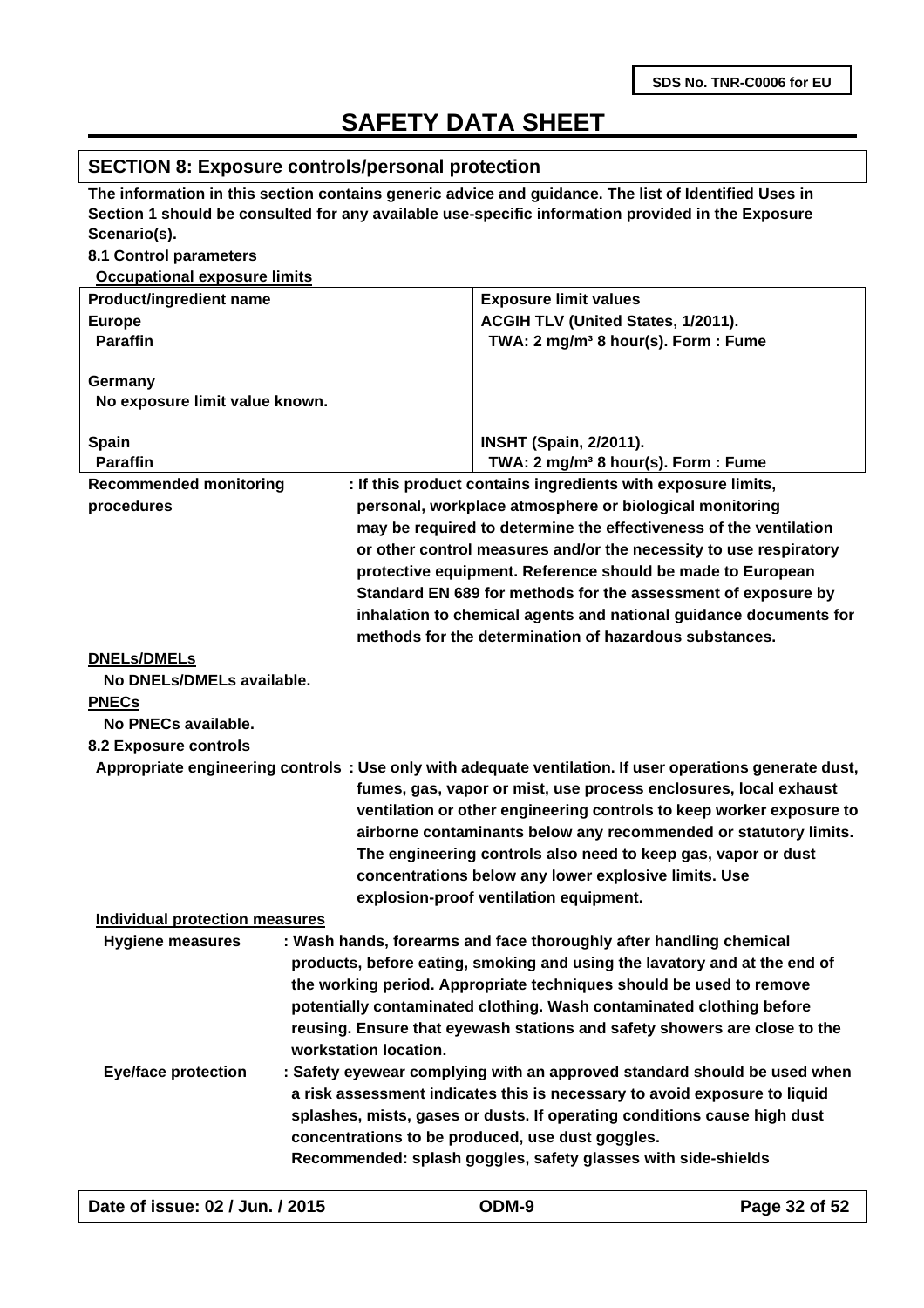#### **SECTION 8: Exposure controls/personal protection**

**The information in this section contains generic advice and guidance. The list of Identified Uses in Section 1 should be consulted for any available use-specific information provided in the Exposure Scenario(s).**

#### **8.1 Control parameters**

**Occupational exposure limits**

| <b>Product/ingredient name</b>            |                       | <b>Exposure limit values</b>                                                                            |
|-------------------------------------------|-----------------------|---------------------------------------------------------------------------------------------------------|
| <b>Europe</b>                             |                       | ACGIH TLV (United States, 1/2011).                                                                      |
| <b>Paraffin</b>                           |                       | TWA: 2 mg/m <sup>3</sup> 8 hour(s). Form: Fume                                                          |
|                                           |                       |                                                                                                         |
| Germany<br>No exposure limit value known. |                       |                                                                                                         |
|                                           |                       |                                                                                                         |
| Spain                                     |                       | <b>INSHT (Spain, 2/2011).</b>                                                                           |
| <b>Paraffin</b>                           |                       | TWA: 2 mg/m <sup>3</sup> 8 hour(s). Form: Fume                                                          |
| <b>Recommended monitoring</b>             |                       | : If this product contains ingredients with exposure limits,                                            |
| procedures                                |                       | personal, workplace atmosphere or biological monitoring                                                 |
|                                           |                       | may be required to determine the effectiveness of the ventilation                                       |
|                                           |                       | or other control measures and/or the necessity to use respiratory                                       |
|                                           |                       | protective equipment. Reference should be made to European                                              |
|                                           |                       | Standard EN 689 for methods for the assessment of exposure by                                           |
|                                           |                       | inhalation to chemical agents and national guidance documents for                                       |
|                                           |                       | methods for the determination of hazardous substances.                                                  |
| <b>DNELs/DMELs</b>                        |                       |                                                                                                         |
| No DNELs/DMELs available.                 |                       |                                                                                                         |
| <b>PNECs</b>                              |                       |                                                                                                         |
| No PNECs available.                       |                       |                                                                                                         |
| 8.2 Exposure controls                     |                       |                                                                                                         |
|                                           |                       | Appropriate engineering controls: Use only with adequate ventilation. If user operations generate dust, |
|                                           |                       | fumes, gas, vapor or mist, use process enclosures, local exhaust                                        |
|                                           |                       | ventilation or other engineering controls to keep worker exposure to                                    |
|                                           |                       | airborne contaminants below any recommended or statutory limits.                                        |
|                                           |                       | The engineering controls also need to keep gas, vapor or dust                                           |
|                                           |                       | concentrations below any lower explosive limits. Use                                                    |
|                                           |                       | explosion-proof ventilation equipment.                                                                  |
| <b>Individual protection measures</b>     |                       |                                                                                                         |
| <b>Hygiene measures</b>                   |                       | : Wash hands, forearms and face thoroughly after handling chemical                                      |
|                                           |                       | products, before eating, smoking and using the lavatory and at the end of                               |
|                                           |                       | the working period. Appropriate techniques should be used to remove                                     |
|                                           |                       | potentially contaminated clothing. Wash contaminated clothing before                                    |
|                                           |                       | reusing. Ensure that eyewash stations and safety showers are close to the                               |
|                                           | workstation location. |                                                                                                         |
| <b>Eye/face protection</b>                |                       | : Safety eyewear complying with an approved standard should be used when                                |
|                                           |                       | a risk assessment indicates this is necessary to avoid exposure to liquid                               |
|                                           |                       | splashes, mists, gases or dusts. If operating conditions cause high dust                                |
|                                           |                       | concentrations to be produced, use dust goggles.                                                        |
|                                           |                       | Recommended: splash goggles, safety glasses with side-shields                                           |
|                                           |                       |                                                                                                         |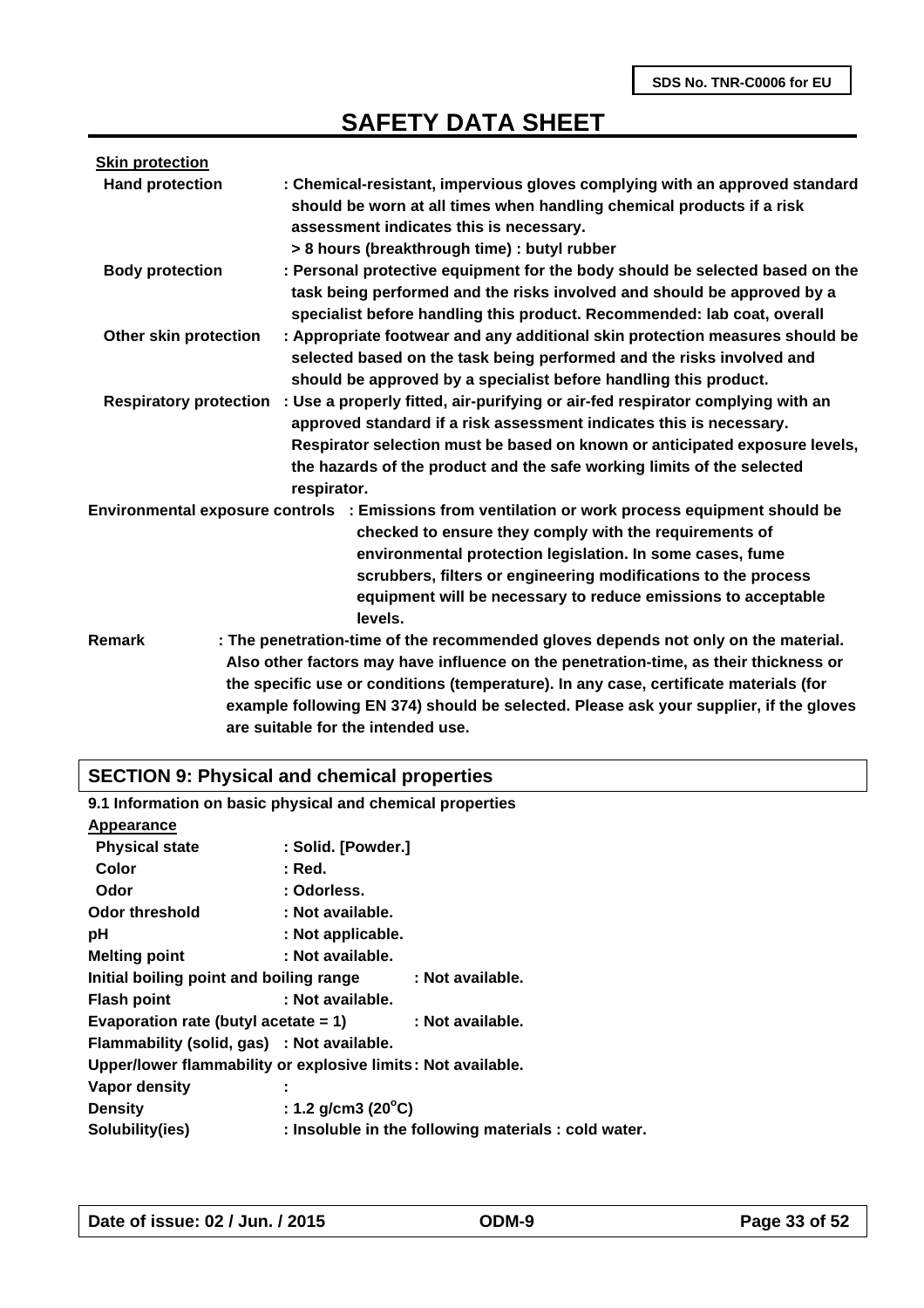| <b>Skin protection</b>        |                                                                                                                                                                                                                                                                                                                                                                                                    |
|-------------------------------|----------------------------------------------------------------------------------------------------------------------------------------------------------------------------------------------------------------------------------------------------------------------------------------------------------------------------------------------------------------------------------------------------|
| <b>Hand protection</b>        | : Chemical-resistant, impervious gloves complying with an approved standard<br>should be worn at all times when handling chemical products if a risk<br>assessment indicates this is necessary.<br>> 8 hours (breakthrough time) : butyl rubber                                                                                                                                                    |
| <b>Body protection</b>        | : Personal protective equipment for the body should be selected based on the<br>task being performed and the risks involved and should be approved by a<br>specialist before handling this product. Recommended: lab coat, overall                                                                                                                                                                 |
| Other skin protection         | : Appropriate footwear and any additional skin protection measures should be<br>selected based on the task being performed and the risks involved and<br>should be approved by a specialist before handling this product.                                                                                                                                                                          |
| <b>Respiratory protection</b> | : Use a properly fitted, air-purifying or air-fed respirator complying with an<br>approved standard if a risk assessment indicates this is necessary.<br>Respirator selection must be based on known or anticipated exposure levels,<br>the hazards of the product and the safe working limits of the selected<br>respirator.                                                                      |
|                               | Environmental exposure controls : Emissions from ventilation or work process equipment should be<br>checked to ensure they comply with the requirements of<br>environmental protection legislation. In some cases, fume<br>scrubbers, filters or engineering modifications to the process<br>equipment will be necessary to reduce emissions to acceptable<br>levels.                              |
| Remark                        | : The penetration-time of the recommended gloves depends not only on the material.<br>Also other factors may have influence on the penetration-time, as their thickness or<br>the specific use or conditions (temperature). In any case, certificate materials (for<br>example following EN 374) should be selected. Please ask your supplier, if the gloves<br>are suitable for the intended use. |

# **SECTION 9: Physical and chemical properties**

|                                            | 9.1 Information on basic physical and chemical properties    |
|--------------------------------------------|--------------------------------------------------------------|
| Appearance                                 |                                                              |
| <b>Physical state</b>                      | : Solid. [Powder.]                                           |
| Color                                      | : Red.                                                       |
| Odor                                       | : Odorless.                                                  |
| <b>Odor threshold</b>                      | : Not available.                                             |
| рH                                         | : Not applicable.                                            |
| <b>Melting point</b>                       | : Not available.                                             |
| Initial boiling point and boiling range    | : Not available.                                             |
| <b>Flash point</b>                         | : Not available.                                             |
| Evaporation rate (butyl acetate $= 1$ )    | : Not available.                                             |
| Flammability (solid, gas) : Not available. |                                                              |
|                                            | Upper/lower flammability or explosive limits: Not available. |
| Vapor density                              |                                                              |
| <b>Density</b>                             | : 1.2 g/cm3 (20 $^{\circ}$ C)                                |
| Solubility(ies)                            | : Insoluble in the following materials : cold water.         |
|                                            |                                                              |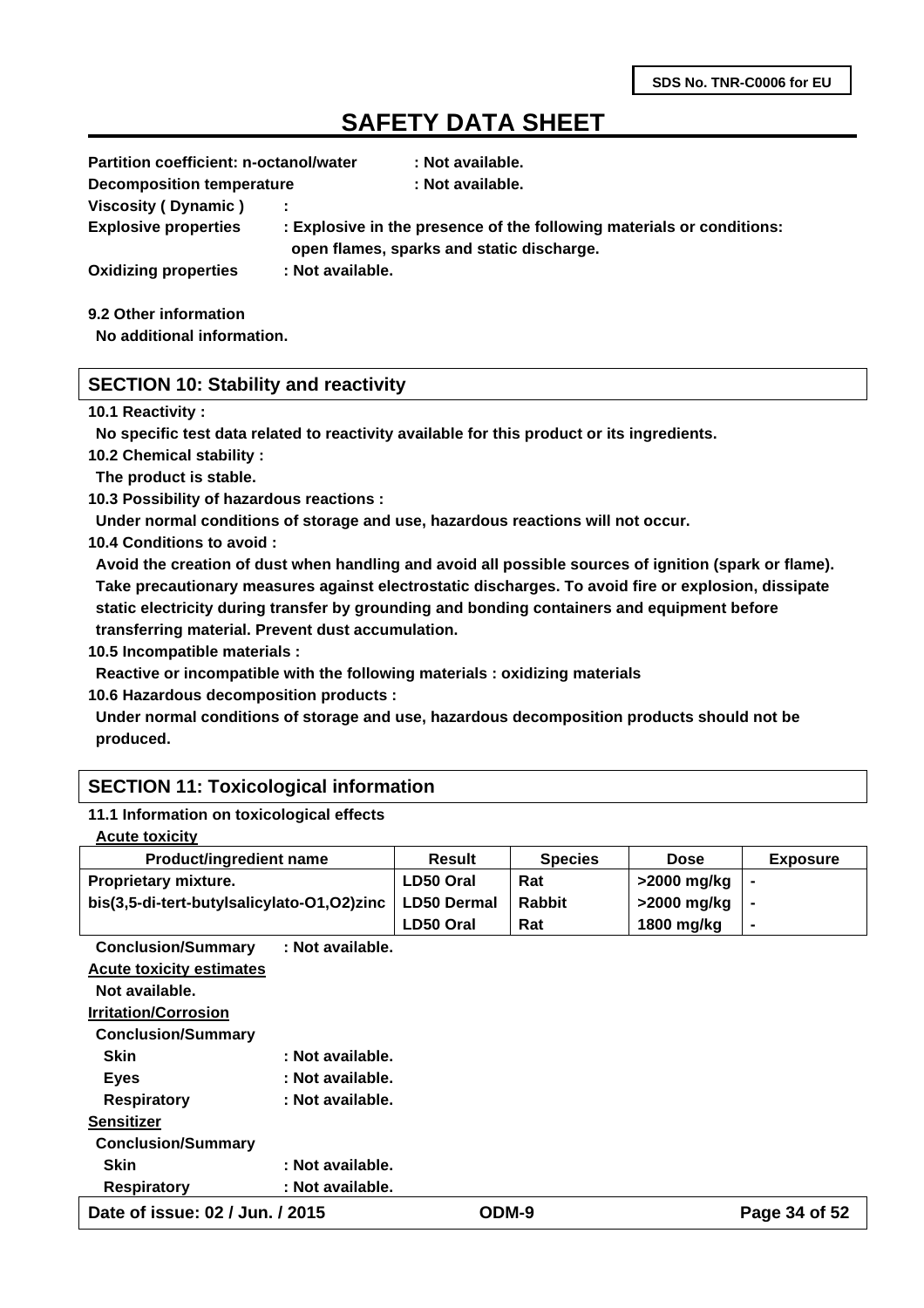| <b>Partition coefficient: n-octanol/water</b> |                                                                                                                    | : Not available. |  |  |
|-----------------------------------------------|--------------------------------------------------------------------------------------------------------------------|------------------|--|--|
| <b>Decomposition temperature</b>              |                                                                                                                    | : Not available. |  |  |
| Viscosity (Dynamic)                           |                                                                                                                    |                  |  |  |
| <b>Explosive properties</b>                   | : Explosive in the presence of the following materials or conditions:<br>open flames, sparks and static discharge. |                  |  |  |
| <b>Oxidizing properties</b>                   | : Not available.                                                                                                   |                  |  |  |
|                                               |                                                                                                                    |                  |  |  |

**9.2 Other information**

**No additional information.**

### **SECTION 10: Stability and reactivity**

#### **10.1 Reactivity :**

**No specific test data related to reactivity available for this product or its ingredients.**

**10.2 Chemical stability :**

**The product is stable.**

**10.3 Possibility of hazardous reactions :**

**Under normal conditions of storage and use, hazardous reactions will not occur.**

**10.4 Conditions to avoid :**

**Avoid the creation of dust when handling and avoid all possible sources of ignition (spark or flame). Take precautionary measures against electrostatic discharges. To avoid fire or explosion, dissipate static electricity during transfer by grounding and bonding containers and equipment before transferring material. Prevent dust accumulation.**

**10.5 Incompatible materials :**

**Reactive or incompatible with the following materials : oxidizing materials**

**10.6 Hazardous decomposition products :**

**Under normal conditions of storage and use, hazardous decomposition products should not be produced.**

### **SECTION 11: Toxicological information**

#### **11.1 Information on toxicological effects**

| <b>Product/ingredient name</b>             | Result             | <b>Species</b> | <b>Dose</b> | <b>Exposure</b> |
|--------------------------------------------|--------------------|----------------|-------------|-----------------|
| <b>Proprietary mixture.</b>                | LD50 Oral          | Rat            | >2000 mg/kg |                 |
| bis(3,5-di-tert-butylsalicylato-O1,O2)zinc | <b>LD50 Dermal</b> | <b>Rabbit</b>  | >2000 mg/kg |                 |
|                                            | LD50 Oral          | Rat            | 1800 mg/kg  | $\blacksquare$  |

**Conclusion/Summary : Not available. Acute toxicity estimates Not available. Irritation/Corrosion Conclusion/Summary Skin : Not available.**

| ----                      | .                | ----- | $\overline{\phantom{a}}$ |
|---------------------------|------------------|-------|--------------------------|
| <b>Respiratory</b>        | : Not available. |       |                          |
| <b>Skin</b>               | : Not available. |       |                          |
| <b>Conclusion/Summary</b> |                  |       |                          |
| Sensitizer                |                  |       |                          |
| <b>Respiratory</b>        | : Not available. |       |                          |
| <b>Eyes</b>               | : Not available. |       |                          |
| UNII                      | . πυι αναπανισ.  |       |                          |

**Date of issue: 02 / Jun. / 2015 ODM-9 Page 34 of 52**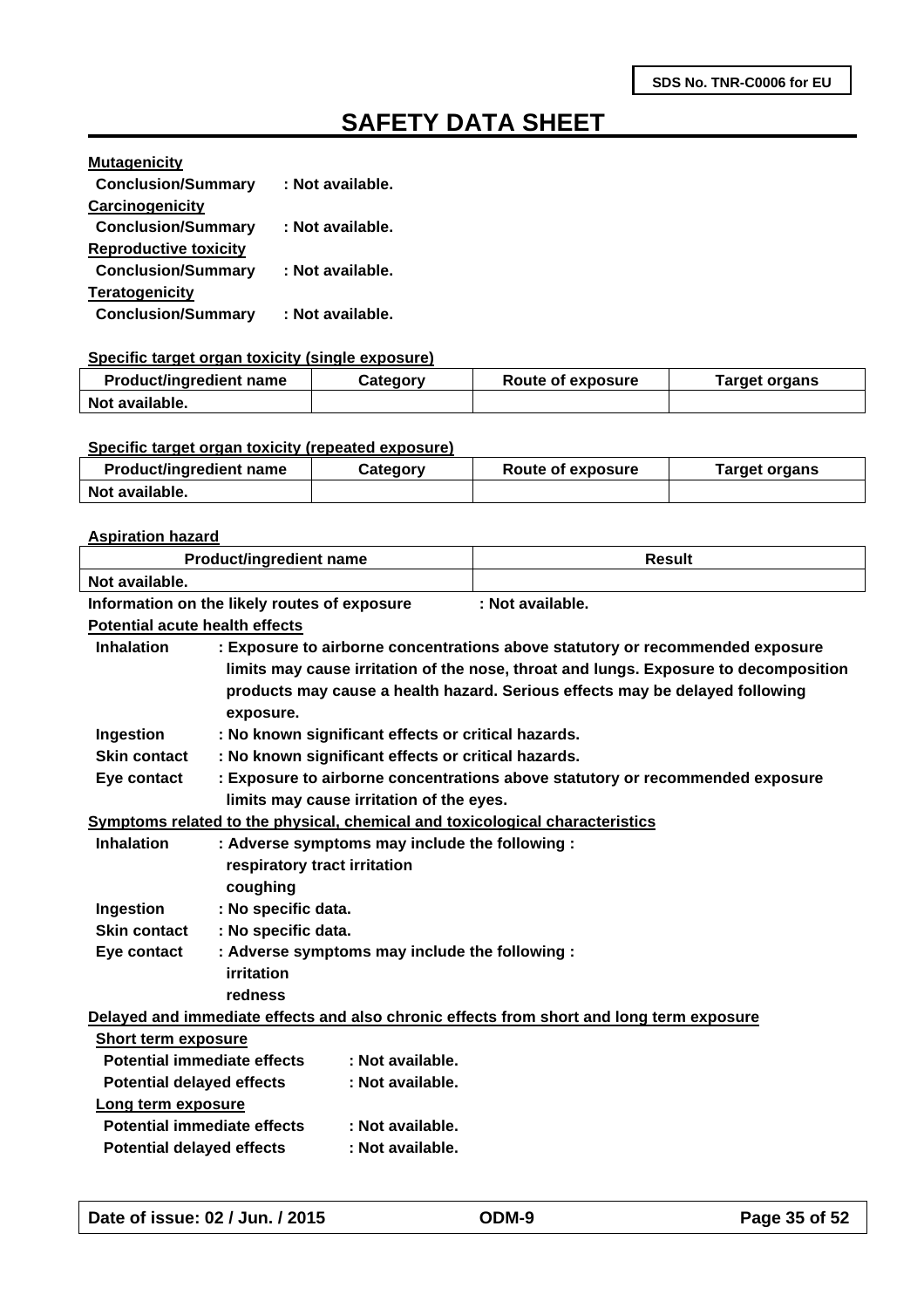| <b>Mutagenicity</b>          |                  |
|------------------------------|------------------|
| <b>Conclusion/Summary</b>    | : Not available. |
| Carcinogenicity              |                  |
| <b>Conclusion/Summary</b>    | : Not available. |
| <b>Reproductive toxicity</b> |                  |
| <b>Conclusion/Summary</b>    | : Not available. |
| <b>Teratogenicity</b>        |                  |
| <b>Conclusion/Summary</b>    | : Not available. |

#### **Specific target organ toxicity (single exposure)**

| <b>Product/ingredient name</b> | Category |  | Target organs |  |
|--------------------------------|----------|--|---------------|--|
| Not available.                 |          |  |               |  |

#### **Specific target organ toxicity (repeated exposure)**

| <b>Product/ingredient name</b> | Category | Route of exposure | Target organs |
|--------------------------------|----------|-------------------|---------------|
| Not available.                 |          |                   |               |

#### **Aspiration hazard**

| <b>Product/ingredient name</b>        |                                                     |                                          | <b>Result</b>                                                                            |
|---------------------------------------|-----------------------------------------------------|------------------------------------------|------------------------------------------------------------------------------------------|
| Not available.                        |                                                     |                                          |                                                                                          |
|                                       | Information on the likely routes of exposure        |                                          | : Not available.                                                                         |
| <b>Potential acute health effects</b> |                                                     |                                          |                                                                                          |
| <b>Inhalation</b>                     |                                                     |                                          | : Exposure to airborne concentrations above statutory or recommended exposure            |
|                                       |                                                     |                                          | limits may cause irritation of the nose, throat and lungs. Exposure to decomposition     |
|                                       |                                                     |                                          | products may cause a health hazard. Serious effects may be delayed following             |
|                                       | exposure.                                           |                                          |                                                                                          |
| Ingestion                             | : No known significant effects or critical hazards. |                                          |                                                                                          |
| <b>Skin contact</b>                   | : No known significant effects or critical hazards. |                                          |                                                                                          |
| Eye contact                           |                                                     |                                          | : Exposure to airborne concentrations above statutory or recommended exposure            |
|                                       |                                                     | limits may cause irritation of the eyes. |                                                                                          |
|                                       |                                                     |                                          | Symptoms related to the physical, chemical and toxicological characteristics             |
| <b>Inhalation</b>                     | : Adverse symptoms may include the following :      |                                          |                                                                                          |
|                                       | respiratory tract irritation                        |                                          |                                                                                          |
|                                       | coughing                                            |                                          |                                                                                          |
| Ingestion                             | : No specific data.                                 |                                          |                                                                                          |
| <b>Skin contact</b>                   | : No specific data.                                 |                                          |                                                                                          |
| Eye contact                           | : Adverse symptoms may include the following :      |                                          |                                                                                          |
|                                       | <b>irritation</b>                                   |                                          |                                                                                          |
|                                       | redness                                             |                                          |                                                                                          |
|                                       |                                                     |                                          | Delayed and immediate effects and also chronic effects from short and long term exposure |
| Short term exposure                   |                                                     |                                          |                                                                                          |
| <b>Potential immediate effects</b>    |                                                     | : Not available.                         |                                                                                          |
| <b>Potential delayed effects</b>      |                                                     | : Not available.                         |                                                                                          |
| Long term exposure                    |                                                     |                                          |                                                                                          |
| <b>Potential immediate effects</b>    |                                                     | : Not available.                         |                                                                                          |
| <b>Potential delayed effects</b>      |                                                     | : Not available.                         |                                                                                          |
|                                       |                                                     |                                          |                                                                                          |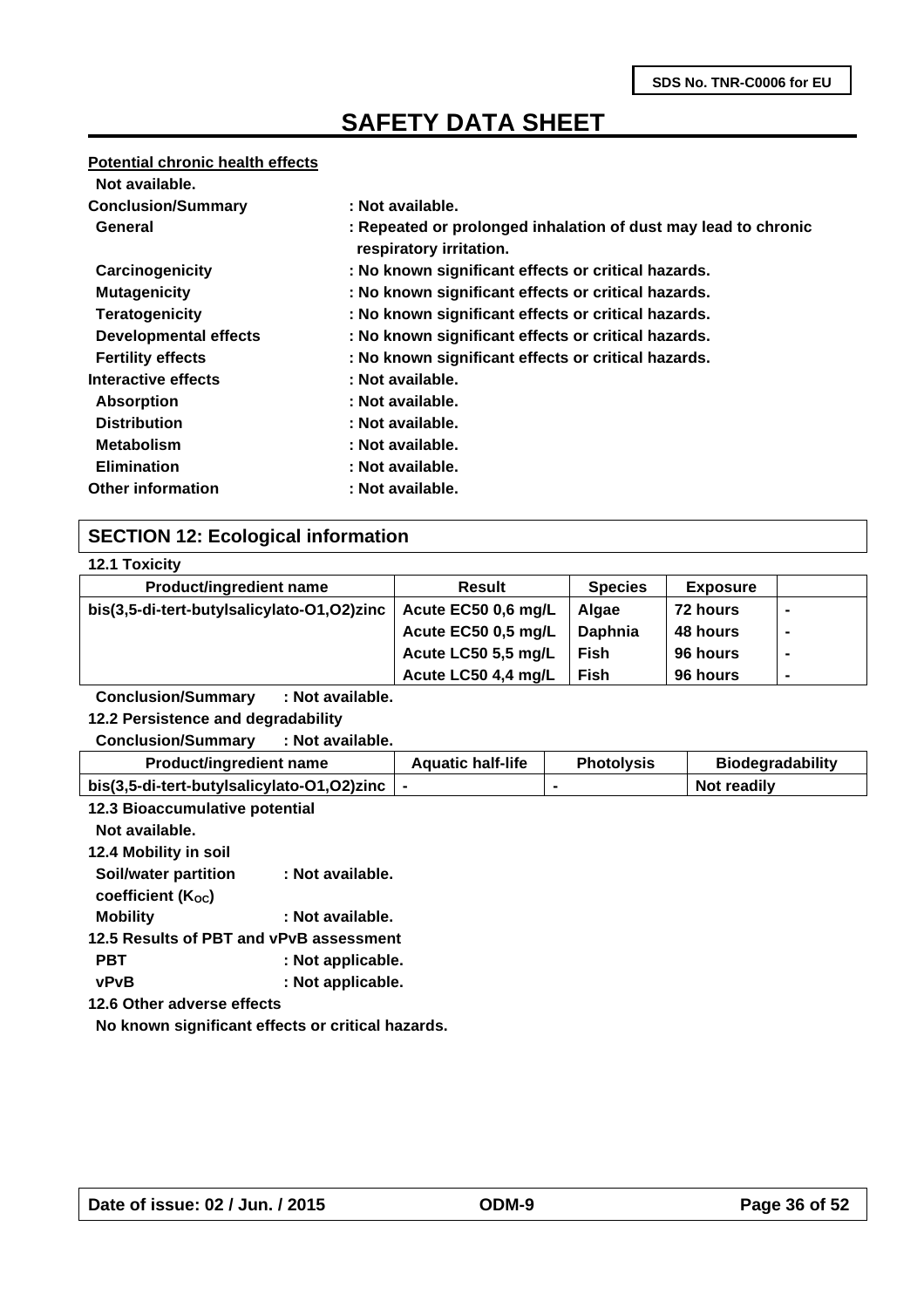#### **Potential chronic health effects**

| Not available.               |                                                                                           |
|------------------------------|-------------------------------------------------------------------------------------------|
| <b>Conclusion/Summary</b>    | : Not available.                                                                          |
| General                      | : Repeated or prolonged inhalation of dust may lead to chronic<br>respiratory irritation. |
| Carcinogenicity              | : No known significant effects or critical hazards.                                       |
| <b>Mutagenicity</b>          | : No known significant effects or critical hazards.                                       |
| <b>Teratogenicity</b>        | : No known significant effects or critical hazards.                                       |
| <b>Developmental effects</b> | : No known significant effects or critical hazards.                                       |
| <b>Fertility effects</b>     | : No known significant effects or critical hazards.                                       |
| Interactive effects          | : Not available.                                                                          |
| <b>Absorption</b>            | : Not available.                                                                          |
| <b>Distribution</b>          | : Not available.                                                                          |
| <b>Metabolism</b>            | : Not available.                                                                          |
| <b>Elimination</b>           | : Not available.                                                                          |
| <b>Other information</b>     | : Not available.                                                                          |

### **SECTION 12: Ecological information**

|  | <b>12.1 Toxicity</b> |
|--|----------------------|
|  |                      |

| <b>Product/ingredient name</b>             | <b>Result</b>       | <b>Species</b> | <b>Exposure</b> |   |
|--------------------------------------------|---------------------|----------------|-----------------|---|
| bis(3,5-di-tert-butylsalicylato-O1,O2)zinc | Acute EC50 0,6 mg/L | Algae          | 72 hours        | ۰ |
|                                            | Acute EC50 0,5 mg/L | <b>Daphnia</b> | 48 hours        | ۰ |
|                                            | Acute LC50 5,5 mg/L | <b>Fish</b>    | 96 hours        |   |
|                                            | Acute LC50 4,4 mg/L | Fish           | 96 hours        | ۰ |
|                                            |                     |                |                 |   |

**Conclusion/Summary : Not available.**

**12.2 Persistence and degradability**

**Conclusion/Summary : Not available.**

| <b>Product/ingredient name</b>             | <b>Aquatic half-life</b> | <b>Photolysis</b> | <b>Biodegradability</b> |
|--------------------------------------------|--------------------------|-------------------|-------------------------|
| bis(3,5-di-tert-butylsalicylato-O1,O2)zinc |                          |                   | Not readily             |

| 12.3 Bioaccumulative potential                    |
|---------------------------------------------------|
|                                                   |
|                                                   |
| : Not available.                                  |
|                                                   |
| : Not available.                                  |
| 12.5 Results of PBT and vPvB assessment           |
| : Not applicable.                                 |
| : Not applicable.                                 |
| 12.6 Other adverse effects                        |
| No known significant effects or critical hazards. |
|                                                   |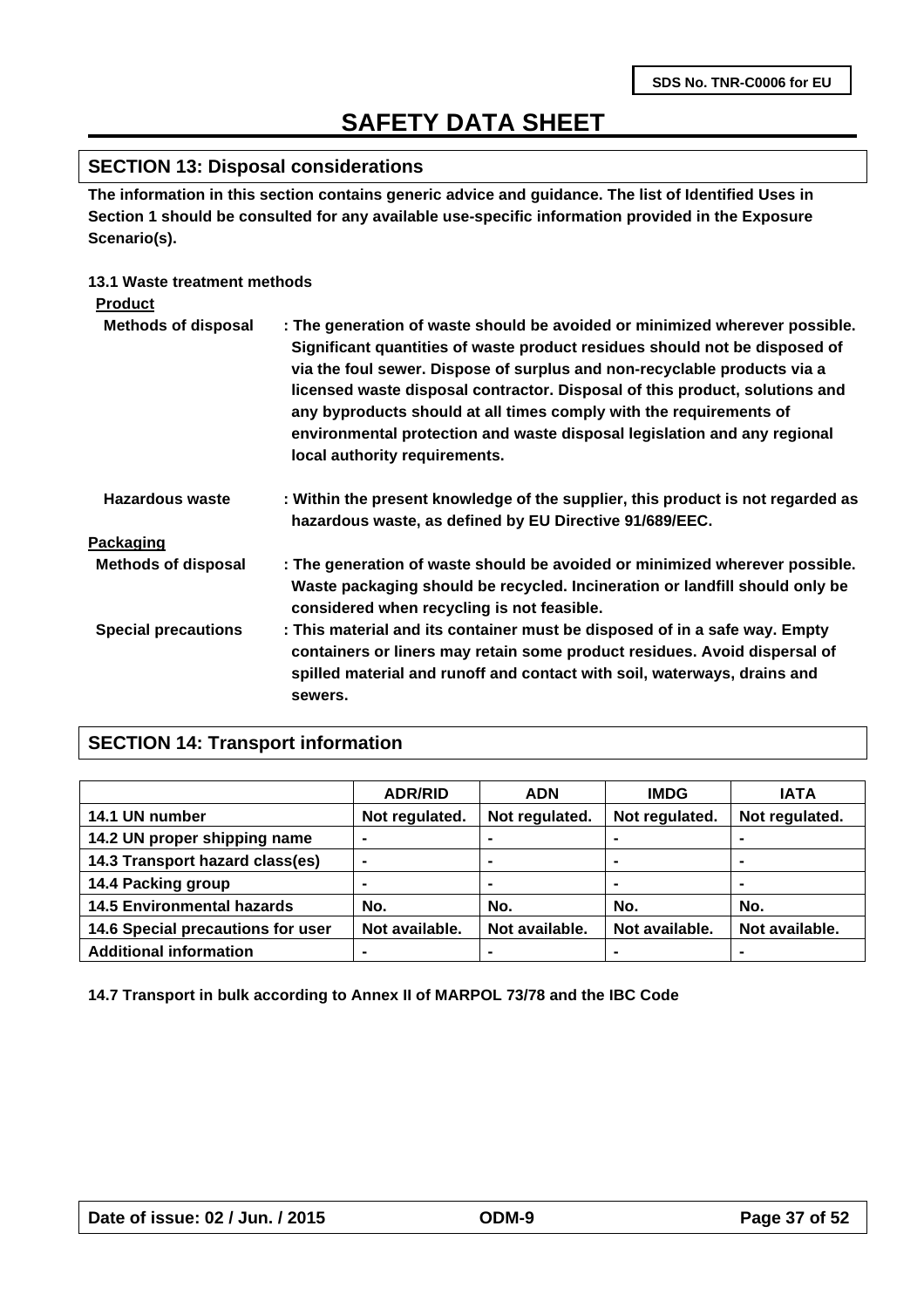### **SECTION 13: Disposal considerations**

**The information in this section contains generic advice and guidance. The list of Identified Uses in Section 1 should be consulted for any available use-specific information provided in the Exposure Scenario(s).**

### **13.1 Waste treatment methods**

| <b>Product</b>             |                                                                                                                                                                                                                                                                                                                                                                                                                                                                                                         |
|----------------------------|---------------------------------------------------------------------------------------------------------------------------------------------------------------------------------------------------------------------------------------------------------------------------------------------------------------------------------------------------------------------------------------------------------------------------------------------------------------------------------------------------------|
| <b>Methods of disposal</b> | : The generation of waste should be avoided or minimized wherever possible.<br>Significant quantities of waste product residues should not be disposed of<br>via the foul sewer. Dispose of surplus and non-recyclable products via a<br>licensed waste disposal contractor. Disposal of this product, solutions and<br>any byproducts should at all times comply with the requirements of<br>environmental protection and waste disposal legislation and any regional<br>local authority requirements. |
| Hazardous waste            | : Within the present knowledge of the supplier, this product is not regarded as<br>hazardous waste, as defined by EU Directive 91/689/EEC.                                                                                                                                                                                                                                                                                                                                                              |
| Packaging                  |                                                                                                                                                                                                                                                                                                                                                                                                                                                                                                         |
| <b>Methods of disposal</b> | : The generation of waste should be avoided or minimized wherever possible.<br>Waste packaging should be recycled. Incineration or landfill should only be<br>considered when recycling is not feasible.                                                                                                                                                                                                                                                                                                |
| <b>Special precautions</b> | : This material and its container must be disposed of in a safe way. Empty<br>containers or liners may retain some product residues. Avoid dispersal of<br>spilled material and runoff and contact with soil, waterways, drains and<br>sewers.                                                                                                                                                                                                                                                          |

### **SECTION 14: Transport information**

|                                   | <b>ADR/RID</b> | <b>ADN</b>     | <b>IMDG</b>    | <b>IATA</b>    |
|-----------------------------------|----------------|----------------|----------------|----------------|
| 14.1 UN number                    | Not regulated. | Not regulated. | Not regulated. | Not regulated. |
| 14.2 UN proper shipping name      |                |                |                |                |
| 14.3 Transport hazard class(es)   | ۰              | ۰              |                | $\blacksquare$ |
| 14.4 Packing group                | -              | ۰              | ۰              | $\blacksquare$ |
| <b>14.5 Environmental hazards</b> | No.            | No.            | No.            | No.            |
| 14.6 Special precautions for user | Not available. | Not available. | Not available. | Not available. |
| <b>Additional information</b>     | -              |                |                |                |

**14.7 Transport in bulk according to Annex II of MARPOL 73/78 and the IBC Code**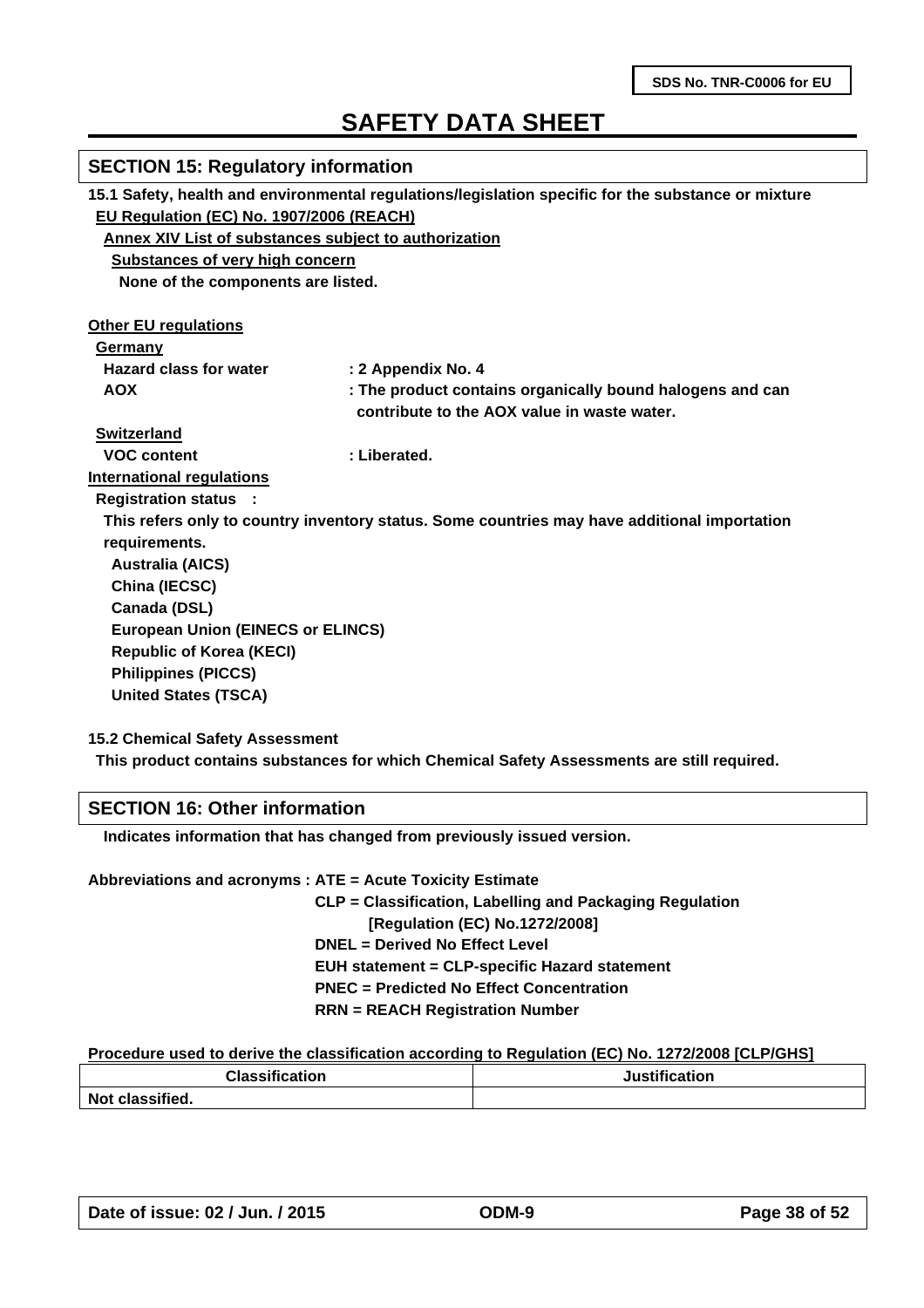| <b>SECTION 15: Regulatory information</b>             |                                                                                                     |
|-------------------------------------------------------|-----------------------------------------------------------------------------------------------------|
|                                                       | 15.1 Safety, health and environmental regulations/legislation specific for the substance or mixture |
| EU Regulation (EC) No. 1907/2006 (REACH)              |                                                                                                     |
| Annex XIV List of substances subject to authorization |                                                                                                     |
| <b>Substances of very high concern</b>                |                                                                                                     |
| None of the components are listed.                    |                                                                                                     |
| <b>Other EU regulations</b>                           |                                                                                                     |
| Germany                                               |                                                                                                     |
| <b>Hazard class for water</b>                         | : 2 Appendix No. 4                                                                                  |
| <b>AOX</b>                                            | : The product contains organically bound halogens and can                                           |
|                                                       | contribute to the AOX value in waste water.                                                         |
| <b>Switzerland</b>                                    |                                                                                                     |
| <b>VOC content</b>                                    | : Liberated.                                                                                        |
| <b>International regulations</b>                      |                                                                                                     |
| <b>Registration status :</b>                          |                                                                                                     |
|                                                       | This refers only to country inventory status. Some countries may have additional importation        |
| requirements.                                         |                                                                                                     |
| <b>Australia (AICS)</b>                               |                                                                                                     |
| China (IECSC)                                         |                                                                                                     |
| Canada (DSL)                                          |                                                                                                     |
|                                                       |                                                                                                     |
| <b>European Union (EINECS or ELINCS)</b>              |                                                                                                     |
| <b>Republic of Korea (KECI)</b>                       |                                                                                                     |
| <b>Philippines (PICCS)</b>                            |                                                                                                     |
| <b>United States (TSCA)</b>                           |                                                                                                     |
|                                                       |                                                                                                     |

**15.2 Chemical Safety Assessment**

**This product contains substances for which Chemical Safety Assessments are still required.**

### **SECTION 16: Other information**

 **Indicates information that has changed from previously issued version.**

| Abbreviations and acronyms : ATE = Acute Toxicity Estimate |
|------------------------------------------------------------|
| CLP = Classification, Labelling and Packaging Regulation   |
| [Regulation (EC) No.1272/2008]                             |
| <b>DNEL = Derived No Effect Level</b>                      |
| <b>EUH statement = CLP-specific Hazard statement</b>       |
| <b>PNEC</b> = Predicted No Effect Concentration            |
| <b>RRN = REACH Registration Number</b>                     |
|                                                            |

#### **Procedure used to derive the classification according to Regulation (EC) No. 1272/2008 [CLP/GHS]**

| <b>Classification</b> | <b>Justification</b> |  |
|-----------------------|----------------------|--|
| Not classified.       |                      |  |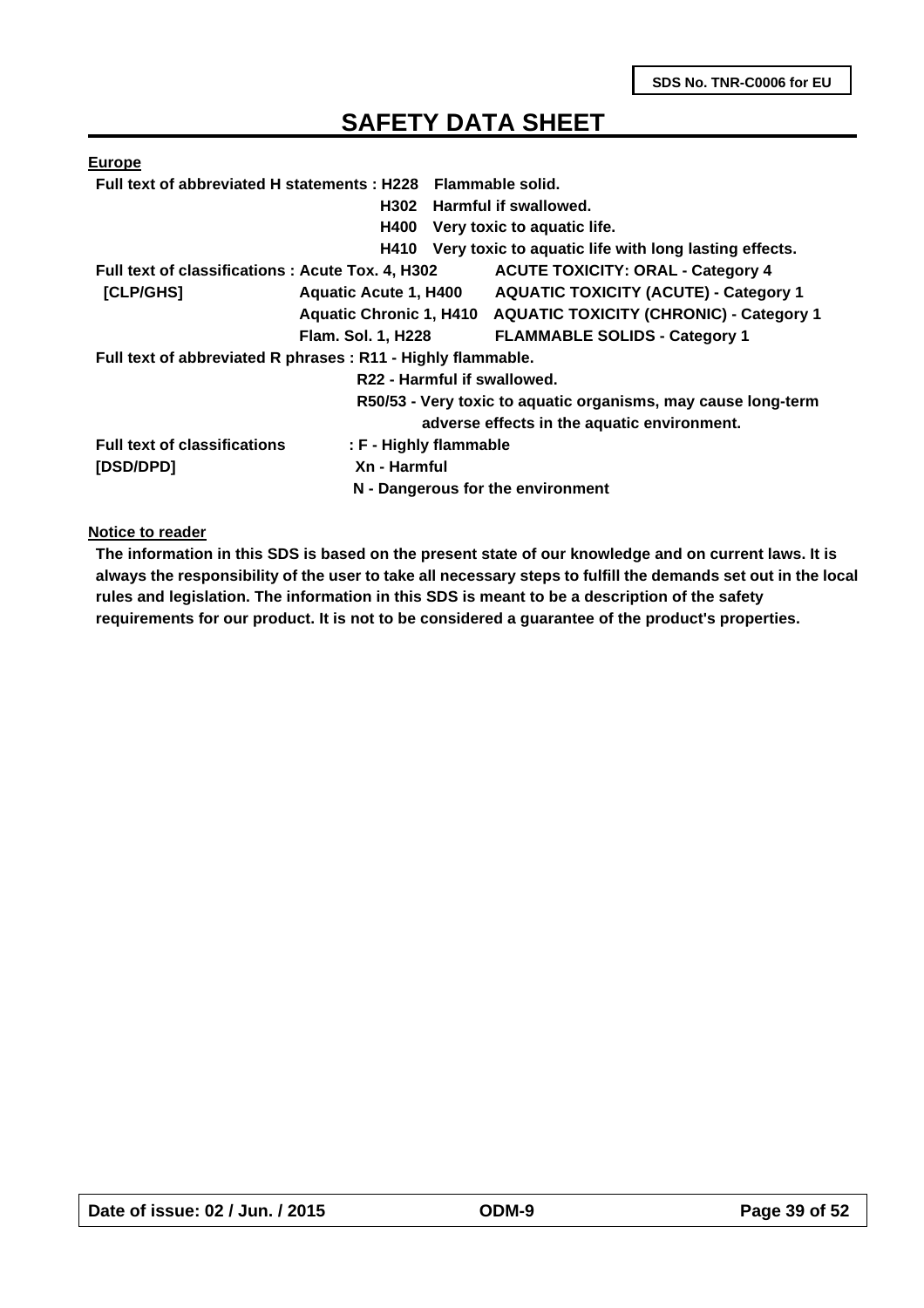| <b>Europe</b>                                                |                                   |                                                                 |
|--------------------------------------------------------------|-----------------------------------|-----------------------------------------------------------------|
| Full text of abbreviated H statements: H228 Flammable solid. |                                   |                                                                 |
|                                                              | H302 Harmful if swallowed.        |                                                                 |
|                                                              | <b>H400</b>                       | Very toxic to aquatic life.                                     |
|                                                              | H410                              | Very toxic to aquatic life with long lasting effects.           |
| Full text of classifications : Acute Tox. 4, H302            |                                   | <b>ACUTE TOXICITY: ORAL - Category 4</b>                        |
| [CLP/GHS]                                                    | <b>Aquatic Acute 1, H400</b>      | <b>AQUATIC TOXICITY (ACUTE) - Category 1</b>                    |
|                                                              |                                   | Aquatic Chronic 1, H410 AQUATIC TOXICITY (CHRONIC) - Category 1 |
|                                                              | <b>Flam. Sol. 1, H228</b>         | <b>FLAMMABLE SOLIDS - Category 1</b>                            |
| Full text of abbreviated R phrases : R11 - Highly flammable. |                                   |                                                                 |
|                                                              | R22 - Harmful if swallowed.       |                                                                 |
|                                                              |                                   | R50/53 - Very toxic to aquatic organisms, may cause long-term   |
|                                                              |                                   | adverse effects in the aquatic environment.                     |
| <b>Full text of classifications</b>                          | : F - Highly flammable            |                                                                 |
| [DSD/DPD]                                                    | Xn - Harmful                      |                                                                 |
|                                                              | N - Dangerous for the environment |                                                                 |

**Notice to reader**

**The information in this SDS is based on the present state of our knowledge and on current laws. It is always the responsibility of the user to take all necessary steps to fulfill the demands set out in the local rules and legislation. The information in this SDS is meant to be a description of the safety requirements for our product. It is not to be considered a guarantee of the product's properties.**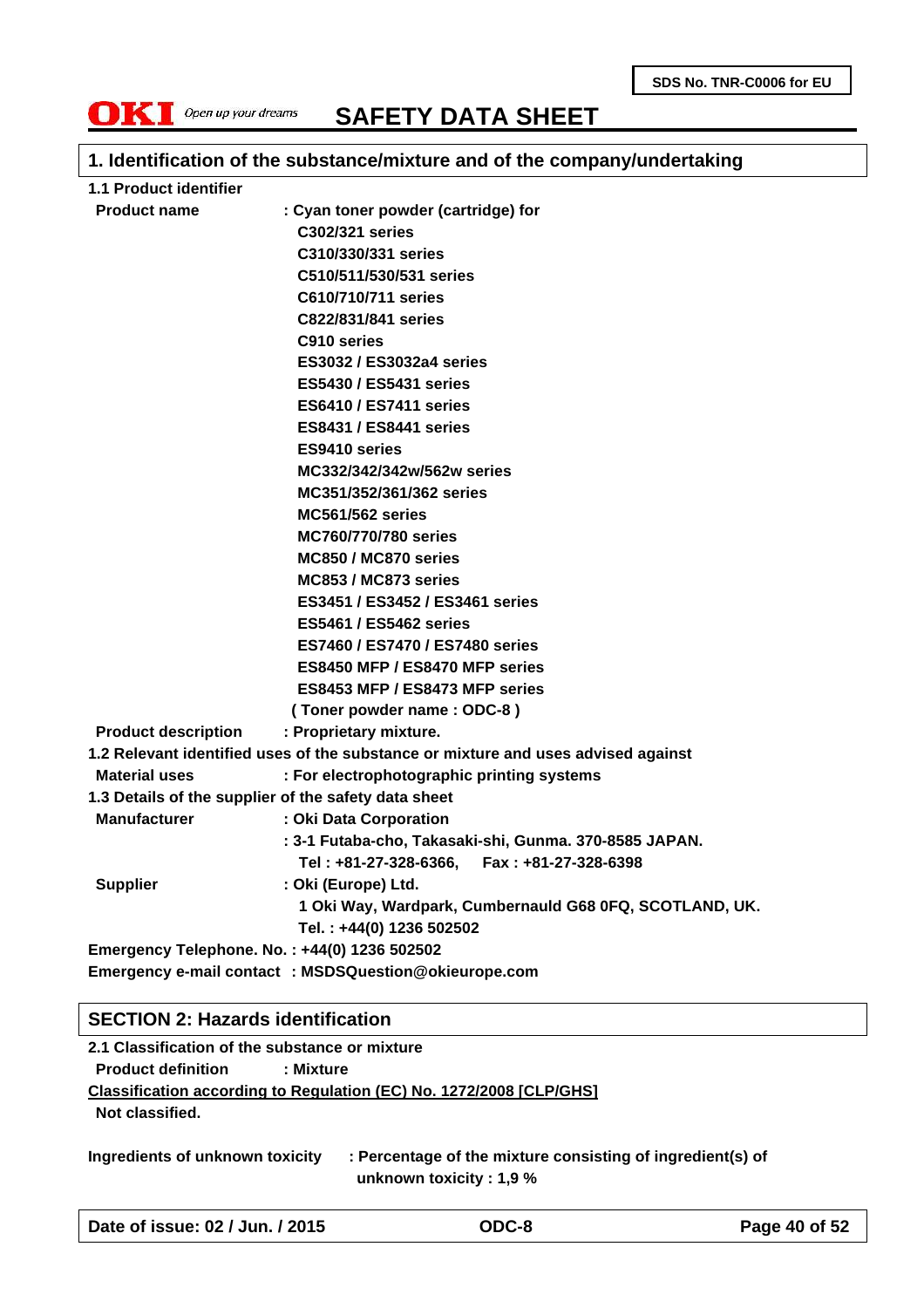**SDS No. TNR-C0006 for EU**



**SAFETY DATA SHEET**

### **1. Identification of the substance/mixture and of the company/undertaking**

| 1.1 Product identifier     |                                                                                   |  |  |  |  |
|----------------------------|-----------------------------------------------------------------------------------|--|--|--|--|
| <b>Product name</b>        | : Cyan toner powder (cartridge) for                                               |  |  |  |  |
|                            | C302/321 series                                                                   |  |  |  |  |
|                            | C310/330/331 series                                                               |  |  |  |  |
|                            | C510/511/530/531 series                                                           |  |  |  |  |
|                            | C610/710/711 series                                                               |  |  |  |  |
|                            | C822/831/841 series                                                               |  |  |  |  |
|                            | C910 series                                                                       |  |  |  |  |
|                            | ES3032 / ES3032a4 series                                                          |  |  |  |  |
|                            | <b>ES5430 / ES5431 series</b>                                                     |  |  |  |  |
|                            | <b>ES6410 / ES7411 series</b>                                                     |  |  |  |  |
|                            | <b>ES8431 / ES8441 series</b>                                                     |  |  |  |  |
|                            | ES9410 series                                                                     |  |  |  |  |
|                            | MC332/342/342w/562w series                                                        |  |  |  |  |
|                            | MC351/352/361/362 series                                                          |  |  |  |  |
|                            | <b>MC561/562 series</b>                                                           |  |  |  |  |
|                            | <b>MC760/770/780 series</b>                                                       |  |  |  |  |
|                            | MC850 / MC870 series                                                              |  |  |  |  |
|                            | MC853 / MC873 series                                                              |  |  |  |  |
|                            | ES3451 / ES3452 / ES3461 series                                                   |  |  |  |  |
|                            | <b>ES5461 / ES5462 series</b>                                                     |  |  |  |  |
|                            | ES7460 / ES7470 / ES7480 series                                                   |  |  |  |  |
|                            | ES8450 MFP / ES8470 MFP series                                                    |  |  |  |  |
|                            | ES8453 MFP / ES8473 MFP series                                                    |  |  |  |  |
|                            | (Toner powder name: ODC-8)                                                        |  |  |  |  |
| <b>Product description</b> | : Proprietary mixture.                                                            |  |  |  |  |
|                            | 1.2 Relevant identified uses of the substance or mixture and uses advised against |  |  |  |  |
| <b>Material uses</b>       | : For electrophotographic printing systems                                        |  |  |  |  |
|                            | 1.3 Details of the supplier of the safety data sheet                              |  |  |  |  |
| <b>Manufacturer</b>        | : Oki Data Corporation                                                            |  |  |  |  |
|                            | : 3-1 Futaba-cho, Takasaki-shi, Gunma. 370-8585 JAPAN.                            |  |  |  |  |
|                            | Tel: +81-27-328-6366, Fax: +81-27-328-6398                                        |  |  |  |  |
| <b>Supplier</b>            | : Oki (Europe) Ltd.                                                               |  |  |  |  |
|                            | 1 Oki Way, Wardpark, Cumbernauld G68 0FQ, SCOTLAND, UK.                           |  |  |  |  |
|                            | Tel.: +44(0) 1236 502502                                                          |  |  |  |  |
|                            | Emergency Telephone. No.: +44(0) 1236 502502                                      |  |  |  |  |
|                            | Emergency e-mail contact : MSDSQuestion@okieurope.com                             |  |  |  |  |

#### **SECTION 2: Hazards identification**

**2.1 Classification of the substance or mixture Product definition : Mixture Classification according to Regulation (EC) No. 1272/2008 [CLP/GHS] Not classified.**

**Ingredients of unknown toxicity : Percentage of the mixture consisting of ingredient(s) of unknown toxicity : 1,9 %**

**Date of issue: 02 / Jun. / 2015 ODC-8 Page 40 of 52**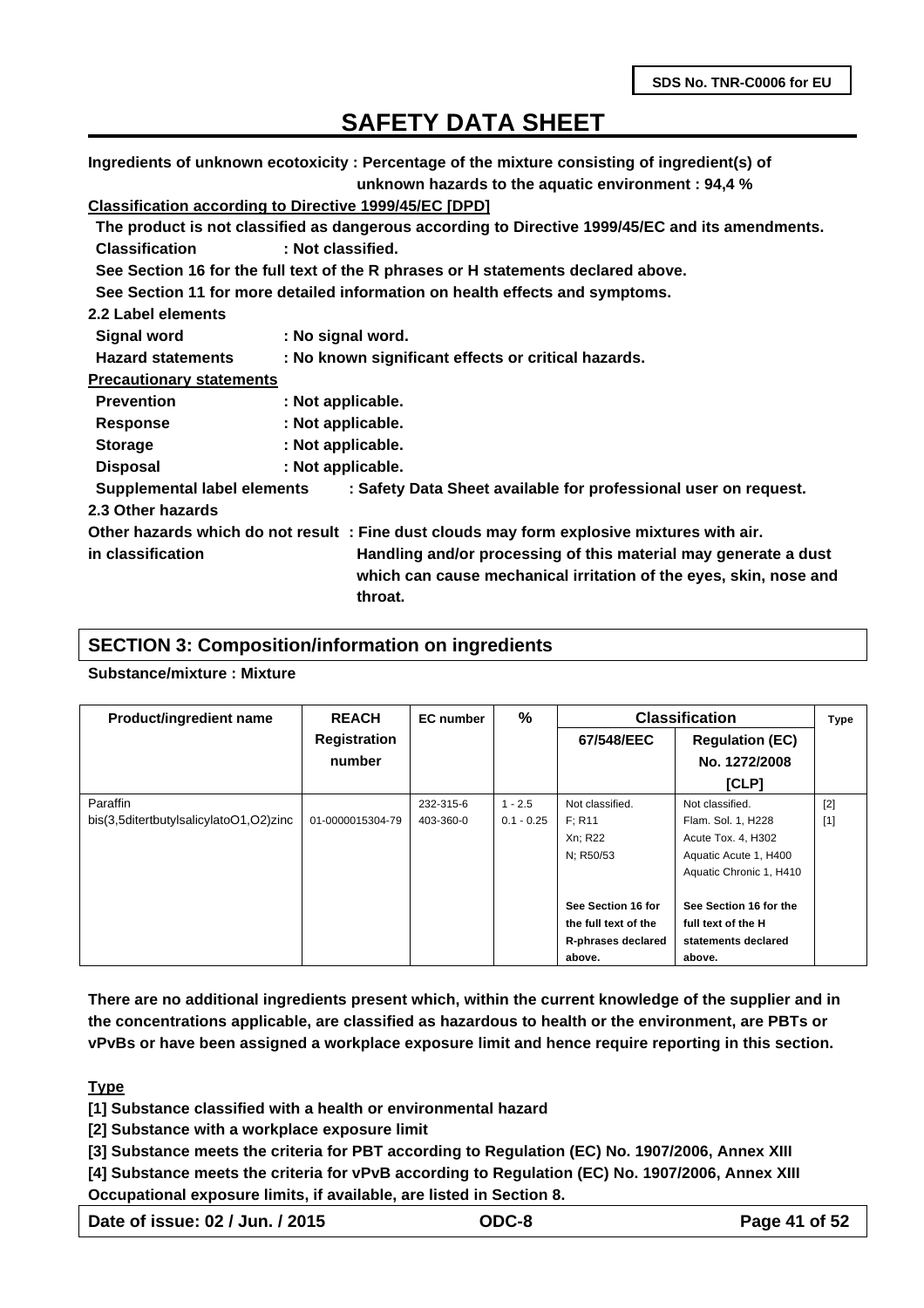**Ingredients of unknown ecotoxicity : Percentage of the mixture consisting of ingredient(s) of unknown hazards to the aquatic environment : 94,4 %**

### **Classification according to Directive 1999/45/EC [DPD]**

| Classification according to Directive 1999/49/LC [DFD] |                   |                                                                                                                                                 |
|--------------------------------------------------------|-------------------|-------------------------------------------------------------------------------------------------------------------------------------------------|
|                                                        |                   | The product is not classified as dangerous according to Directive 1999/45/EC and its amendments.                                                |
| <b>Classification</b>                                  | : Not classified. |                                                                                                                                                 |
|                                                        |                   | See Section 16 for the full text of the R phrases or H statements declared above.                                                               |
|                                                        |                   | See Section 11 for more detailed information on health effects and symptoms.                                                                    |
| 2.2 Label elements                                     |                   |                                                                                                                                                 |
| <b>Signal word</b>                                     | : No signal word. |                                                                                                                                                 |
| <b>Hazard statements</b>                               |                   | : No known significant effects or critical hazards.                                                                                             |
| <b>Precautionary statements</b>                        |                   |                                                                                                                                                 |
| <b>Prevention</b>                                      | : Not applicable. |                                                                                                                                                 |
| <b>Response</b>                                        | : Not applicable. |                                                                                                                                                 |
| <b>Storage</b>                                         | : Not applicable. |                                                                                                                                                 |
| <b>Disposal</b>                                        | : Not applicable. |                                                                                                                                                 |
| Supplemental label elements                            |                   | : Safety Data Sheet available for professional user on request.                                                                                 |
| 2.3 Other hazards                                      |                   |                                                                                                                                                 |
|                                                        |                   | Other hazards which do not result: Fine dust clouds may form explosive mixtures with air.                                                       |
| in classification                                      |                   | Handling and/or processing of this material may generate a dust<br>which can cause mechanical irritation of the eyes, skin, nose and<br>throat. |
|                                                        |                   |                                                                                                                                                 |

#### **SECTION 3: Composition/information on ingredients**

#### **Substance/mixture : Mixture**

| <b>Product/ingredient name</b>         | <b>REACH</b>        | <b>EC</b> number | $\%$         |                      | <b>Classification</b>   | <b>Type</b> |
|----------------------------------------|---------------------|------------------|--------------|----------------------|-------------------------|-------------|
|                                        | <b>Registration</b> |                  |              | 67/548/EEC           | <b>Regulation (EC)</b>  |             |
|                                        | number              |                  |              |                      | No. 1272/2008           |             |
|                                        |                     |                  |              |                      | [CLP]                   |             |
| Paraffin                               |                     | 232-315-6        | $1 - 2.5$    | Not classified.      | Not classified.         | $[2]$       |
| bis(3,5ditertbutylsalicylatoO1,O2)zinc | 01-0000015304-79    | 403-360-0        | $0.1 - 0.25$ | F: R11               | Flam. Sol. 1, H228      | $[1]$       |
|                                        |                     |                  |              | Xn; R22              | Acute Tox. 4, H302      |             |
|                                        |                     |                  |              | N; R50/53            | Aquatic Acute 1, H400   |             |
|                                        |                     |                  |              |                      | Aquatic Chronic 1, H410 |             |
|                                        |                     |                  |              | See Section 16 for   | See Section 16 for the  |             |
|                                        |                     |                  |              | the full text of the | full text of the H      |             |
|                                        |                     |                  |              | R-phrases declared   | statements declared     |             |
|                                        |                     |                  |              | above.               | above.                  |             |

**There are no additional ingredients present which, within the current knowledge of the supplier and in the concentrations applicable, are classified as hazardous to health or the environment, are PBTs or vPvBs or have been assigned a workplace exposure limit and hence require reporting in this section.**

#### **Type**

**[1] Substance classified with a health or environmental hazard**

**[2] Substance with a workplace exposure limit**

**[3] Substance meets the criteria for PBT according to Regulation (EC) No. 1907/2006, Annex XIII**

**[4] Substance meets the criteria for vPvB according to Regulation (EC) No. 1907/2006, Annex XIII Occupational exposure limits, if available, are listed in Section 8.**

| Date of issue: 02 / Jun. / 2015 | ODC-8 | Page 41 of 52 |
|---------------------------------|-------|---------------|
|---------------------------------|-------|---------------|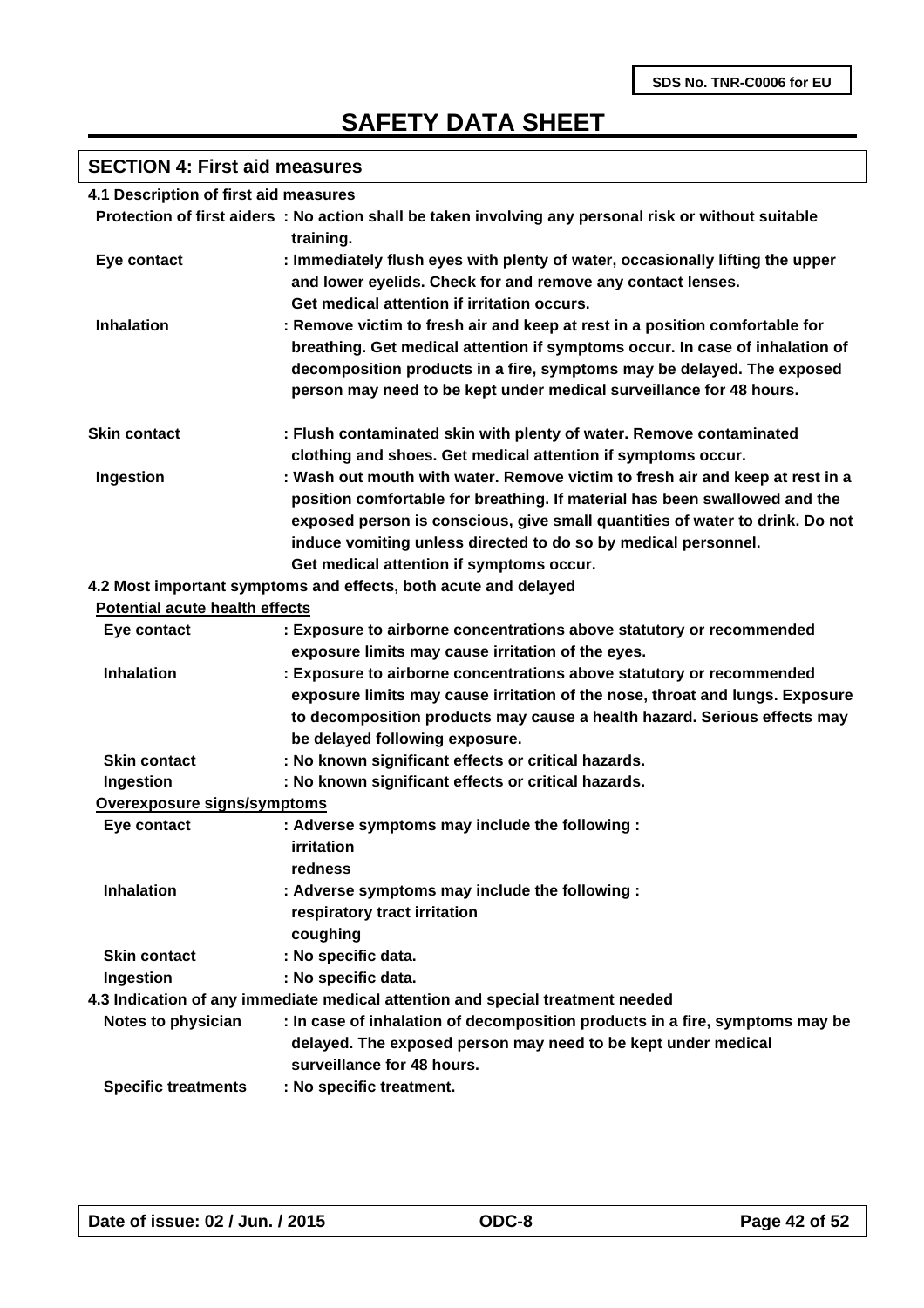# **SECTION 4: First aid measures**

| 4.1 Description of first aid measures |                                                                                                                                                                                                                                                                                                                                                           |
|---------------------------------------|-----------------------------------------------------------------------------------------------------------------------------------------------------------------------------------------------------------------------------------------------------------------------------------------------------------------------------------------------------------|
|                                       | Protection of first aiders : No action shall be taken involving any personal risk or without suitable                                                                                                                                                                                                                                                     |
|                                       | training.                                                                                                                                                                                                                                                                                                                                                 |
| Eye contact                           | : Immediately flush eyes with plenty of water, occasionally lifting the upper<br>and lower eyelids. Check for and remove any contact lenses.<br>Get medical attention if irritation occurs.                                                                                                                                                               |
| <b>Inhalation</b>                     | : Remove victim to fresh air and keep at rest in a position comfortable for<br>breathing. Get medical attention if symptoms occur. In case of inhalation of<br>decomposition products in a fire, symptoms may be delayed. The exposed<br>person may need to be kept under medical surveillance for 48 hours.                                              |
| <b>Skin contact</b>                   | : Flush contaminated skin with plenty of water. Remove contaminated<br>clothing and shoes. Get medical attention if symptoms occur.                                                                                                                                                                                                                       |
| Ingestion                             | : Wash out mouth with water. Remove victim to fresh air and keep at rest in a<br>position comfortable for breathing. If material has been swallowed and the<br>exposed person is conscious, give small quantities of water to drink. Do not<br>induce vomiting unless directed to do so by medical personnel.<br>Get medical attention if symptoms occur. |
|                                       | 4.2 Most important symptoms and effects, both acute and delayed                                                                                                                                                                                                                                                                                           |
| <b>Potential acute health effects</b> |                                                                                                                                                                                                                                                                                                                                                           |
| Eye contact                           | : Exposure to airborne concentrations above statutory or recommended<br>exposure limits may cause irritation of the eyes.                                                                                                                                                                                                                                 |
| <b>Inhalation</b>                     | : Exposure to airborne concentrations above statutory or recommended<br>exposure limits may cause irritation of the nose, throat and lungs. Exposure<br>to decomposition products may cause a health hazard. Serious effects may<br>be delayed following exposure.                                                                                        |
| <b>Skin contact</b>                   | : No known significant effects or critical hazards.                                                                                                                                                                                                                                                                                                       |
| Ingestion                             | : No known significant effects or critical hazards.                                                                                                                                                                                                                                                                                                       |
| Overexposure signs/symptoms           |                                                                                                                                                                                                                                                                                                                                                           |
| Eye contact                           | : Adverse symptoms may include the following :<br>irritation<br>redness                                                                                                                                                                                                                                                                                   |
| <b>Inhalation</b>                     | : Adverse symptoms may include the following :<br>respiratory tract irritation<br>coughing                                                                                                                                                                                                                                                                |
| <b>Skin contact</b>                   | : No specific data.                                                                                                                                                                                                                                                                                                                                       |
| Ingestion                             | : No specific data.                                                                                                                                                                                                                                                                                                                                       |
|                                       | 4.3 Indication of any immediate medical attention and special treatment needed                                                                                                                                                                                                                                                                            |
| Notes to physician                    | : In case of inhalation of decomposition products in a fire, symptoms may be<br>delayed. The exposed person may need to be kept under medical<br>surveillance for 48 hours.                                                                                                                                                                               |
| <b>Specific treatments</b>            | : No specific treatment.                                                                                                                                                                                                                                                                                                                                  |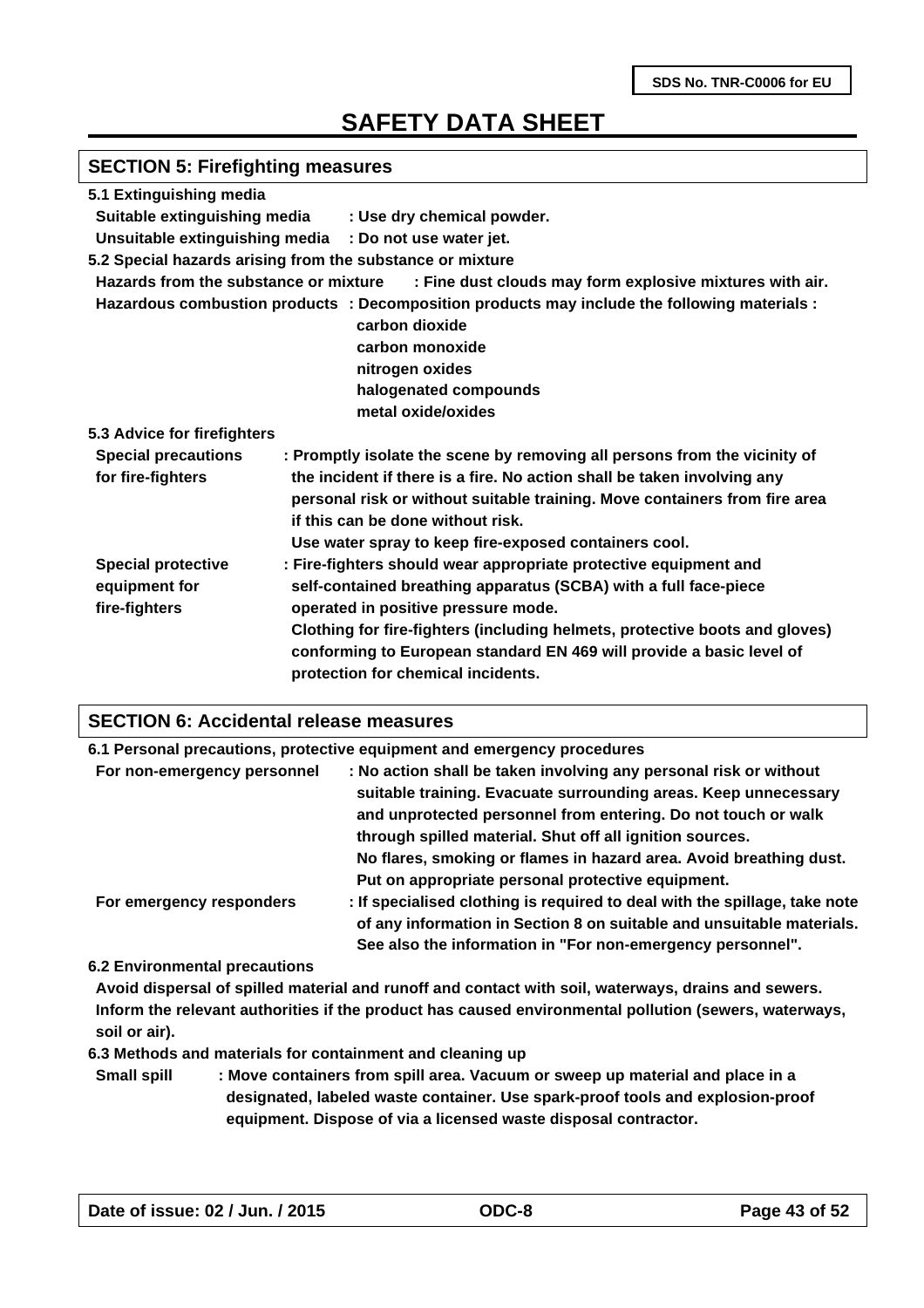# **SECTION 5: Firefighting measures**

| 5.1 Extinguishing media               |                                                                                              |
|---------------------------------------|----------------------------------------------------------------------------------------------|
| Suitable extinguishing media          | : Use dry chemical powder.                                                                   |
|                                       | Unsuitable extinguishing media : Do not use water jet.                                       |
|                                       | 5.2 Special hazards arising from the substance or mixture                                    |
| Hazards from the substance or mixture | : Fine dust clouds may form explosive mixtures with air.                                     |
|                                       | Hazardous combustion products : Decomposition products may include the following materials : |
|                                       | carbon dioxide                                                                               |
|                                       | carbon monoxide                                                                              |
|                                       | nitrogen oxides                                                                              |
|                                       | halogenated compounds                                                                        |
|                                       | metal oxide/oxides                                                                           |
| 5.3 Advice for firefighters           |                                                                                              |
| <b>Special precautions</b>            | : Promptly isolate the scene by removing all persons from the vicinity of                    |
| for fire-fighters                     | the incident if there is a fire. No action shall be taken involving any                      |
|                                       | personal risk or without suitable training. Move containers from fire area                   |
|                                       | if this can be done without risk.                                                            |
|                                       | Use water spray to keep fire-exposed containers cool.                                        |
| <b>Special protective</b>             | : Fire-fighters should wear appropriate protective equipment and                             |
| equipment for                         | self-contained breathing apparatus (SCBA) with a full face-piece                             |
| fire-fighters                         | operated in positive pressure mode.                                                          |
|                                       | Clothing for fire-fighters (including helmets, protective boots and gloves)                  |
|                                       | conforming to European standard EN 469 will provide a basic level of                         |
|                                       | protection for chemical incidents.                                                           |
|                                       |                                                                                              |

#### **SECTION 6: Accidental release measures**

|                             | 6.1 Personal precautions, protective equipment and emergency procedures                                                                                                                                                                                                                                                                      |
|-----------------------------|----------------------------------------------------------------------------------------------------------------------------------------------------------------------------------------------------------------------------------------------------------------------------------------------------------------------------------------------|
| For non-emergency personnel | : No action shall be taken involving any personal risk or without<br>suitable training. Evacuate surrounding areas. Keep unnecessary<br>and unprotected personnel from entering. Do not touch or walk<br>through spilled material. Shut off all ignition sources.                                                                            |
| For emergency responders    | No flares, smoking or flames in hazard area. Avoid breathing dust.<br>Put on appropriate personal protective equipment.<br>: If specialised clothing is required to deal with the spillage, take note<br>of any information in Section 8 on suitable and unsuitable materials.<br>See also the information in "For non-emergency personnel". |

#### **6.2 Environmental precautions**

**Avoid dispersal of spilled material and runoff and contact with soil, waterways, drains and sewers. Inform the relevant authorities if the product has caused environmental pollution (sewers, waterways, soil or air).**

**6.3 Methods and materials for containment and cleaning up**

**Small spill : Move containers from spill area. Vacuum or sweep up material and place in a designated, labeled waste container. Use spark-proof tools and explosion-proof equipment. Dispose of via a licensed waste disposal contractor.**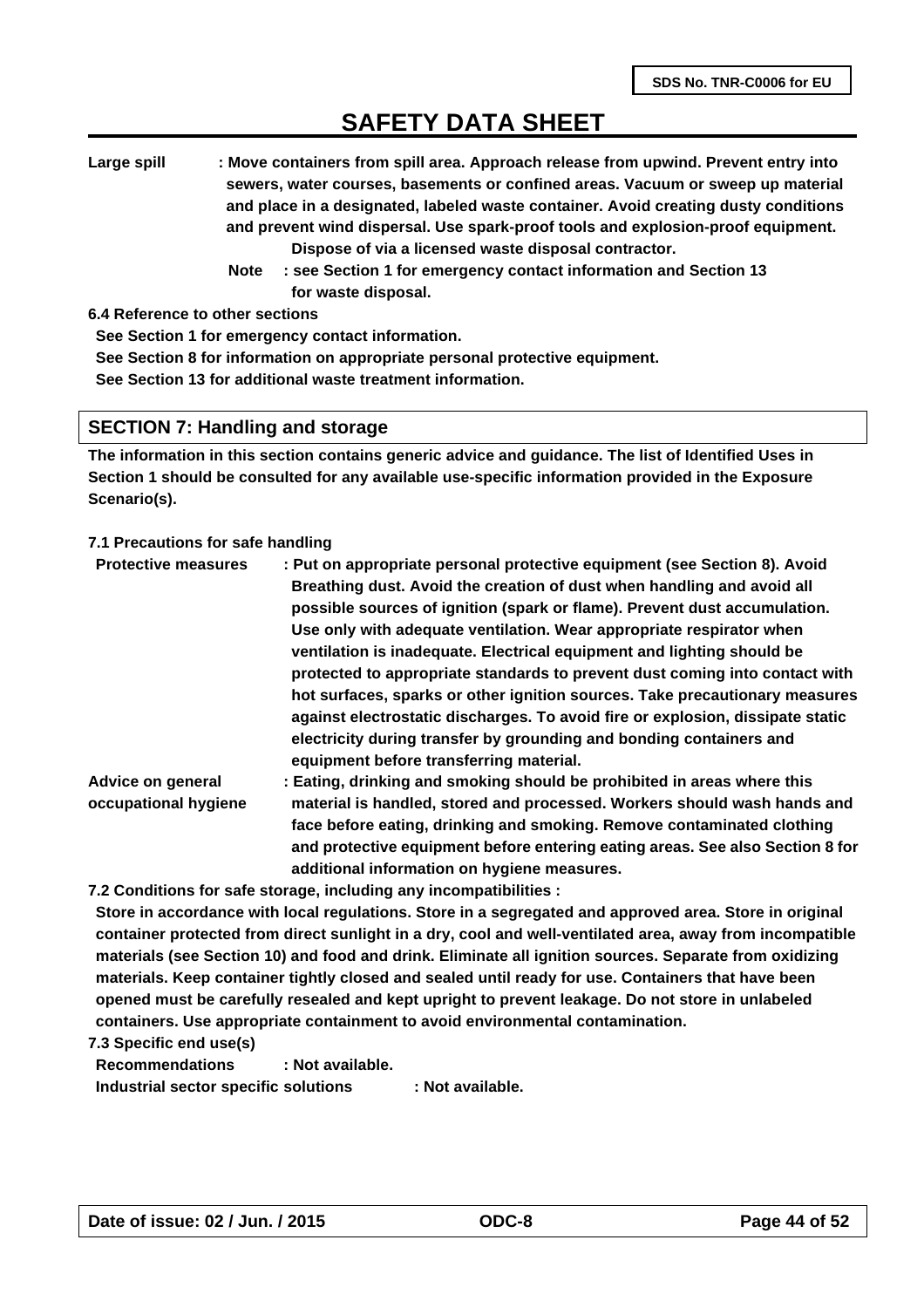**Large spill : Move containers from spill area. Approach release from upwind. Prevent entry into sewers, water courses, basements or confined areas. Vacuum or sweep up material and place in a designated, labeled waste container. Avoid creating dusty conditions and prevent wind dispersal. Use spark-proof tools and explosion-proof equipment. Dispose of via a licensed waste disposal contractor.** 

 **Note : see Section 1 for emergency contact information and Section 13 for waste disposal.**

**6.4 Reference to other sections**

**See Section 1 for emergency contact information.**

**See Section 8 for information on appropriate personal protective equipment.**

**See Section 13 for additional waste treatment information.**

#### **SECTION 7: Handling and storage**

**The information in this section contains generic advice and guidance. The list of Identified Uses in Section 1 should be consulted for any available use-specific information provided in the Exposure Scenario(s).**

#### **7.1 Precautions for safe handling**

| <b>Protective measures</b> | : Put on appropriate personal protective equipment (see Section 8). Avoid                                      |
|----------------------------|----------------------------------------------------------------------------------------------------------------|
|                            | Breathing dust. Avoid the creation of dust when handling and avoid all                                         |
|                            | possible sources of ignition (spark or flame). Prevent dust accumulation.                                      |
|                            | Use only with adequate ventilation. Wear appropriate respirator when                                           |
|                            | ventilation is inadequate. Electrical equipment and lighting should be                                         |
|                            | protected to appropriate standards to prevent dust coming into contact with                                    |
|                            | hot surfaces, sparks or other ignition sources. Take precautionary measures                                    |
|                            | against electrostatic discharges. To avoid fire or explosion, dissipate static                                 |
|                            | electricity during transfer by grounding and bonding containers and<br>equipment before transferring material. |
| Advice on general          | : Eating, drinking and smoking should be prohibited in areas where this                                        |
| occupational hygiene       | material is handled, stored and processed. Workers should wash hands and                                       |
|                            | face before eating, drinking and smoking. Remove contaminated clothing                                         |

**additional information on hygiene measures. 7.2 Conditions for safe storage, including any incompatibilities :** 

**Store in accordance with local regulations. Store in a segregated and approved area. Store in original container protected from direct sunlight in a dry, cool and well-ventilated area, away from incompatible materials (see Section 10) and food and drink. Eliminate all ignition sources. Separate from oxidizing materials. Keep container tightly closed and sealed until ready for use. Containers that have been opened must be carefully resealed and kept upright to prevent leakage. Do not store in unlabeled containers. Use appropriate containment to avoid environmental contamination.**

**and protective equipment before entering eating areas. See also Section 8 for**

**7.3 Specific end use(s)**

**Recommendations : Not available. Industrial sector specific solutions : Not available.**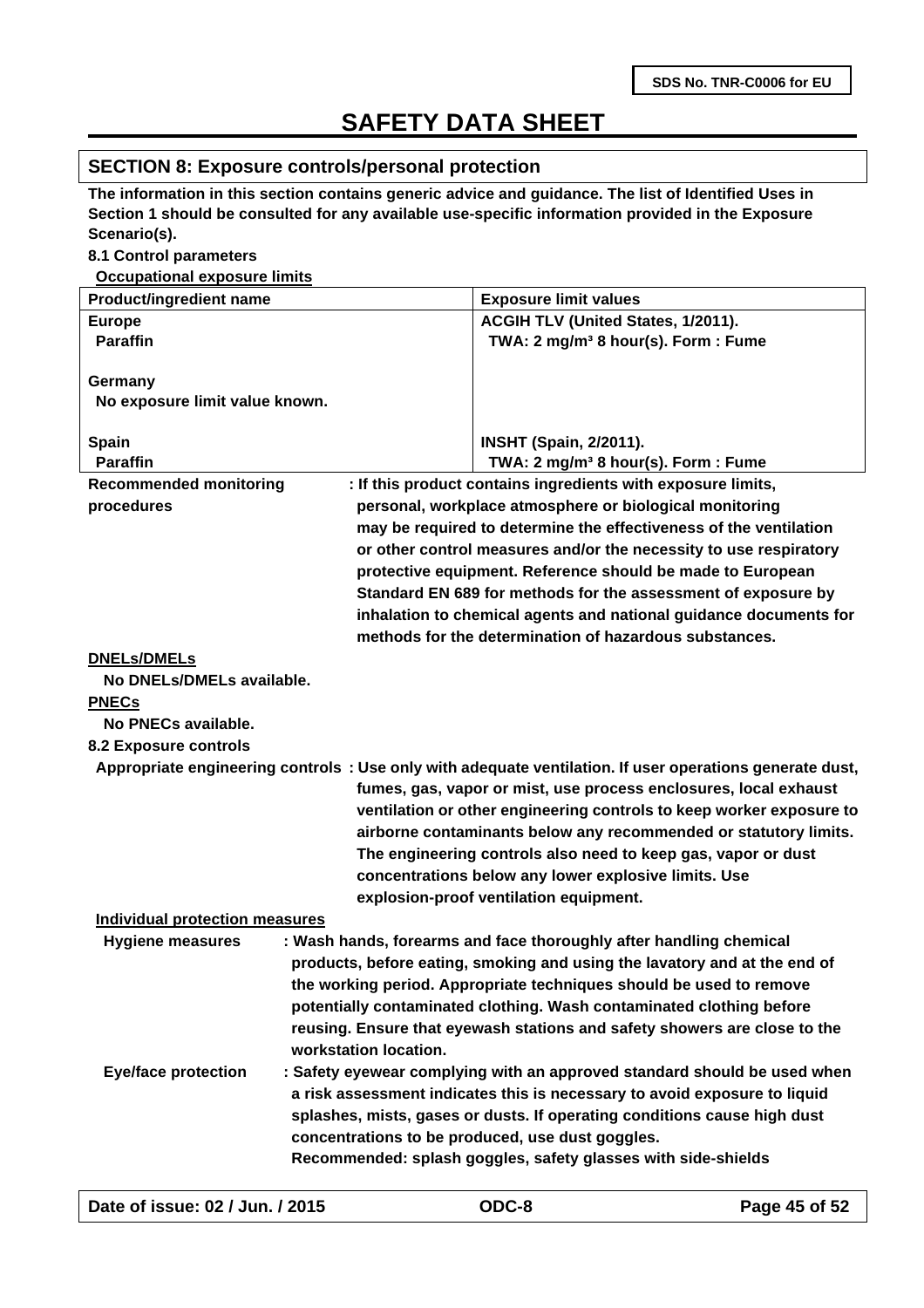### **SECTION 8: Exposure controls/personal protection**

**The information in this section contains generic advice and guidance. The list of Identified Uses in Section 1 should be consulted for any available use-specific information provided in the Exposure Scenario(s).**

#### **8.1 Control parameters**

**Occupational exposure limits**

| <b>Product/ingredient name</b>        |                       | <b>Exposure limit values</b>                                                                            |
|---------------------------------------|-----------------------|---------------------------------------------------------------------------------------------------------|
| <b>Europe</b>                         |                       | ACGIH TLV (United States, 1/2011).                                                                      |
| <b>Paraffin</b>                       |                       | TWA: 2 mg/m <sup>3</sup> 8 hour(s). Form: Fume                                                          |
|                                       |                       |                                                                                                         |
| Germany                               |                       |                                                                                                         |
| No exposure limit value known.        |                       |                                                                                                         |
| Spain                                 |                       | <b>INSHT (Spain, 2/2011).</b>                                                                           |
| <b>Paraffin</b>                       |                       | TWA: 2 mg/m <sup>3</sup> 8 hour(s). Form: Fume                                                          |
| <b>Recommended monitoring</b>         |                       | : If this product contains ingredients with exposure limits,                                            |
| procedures                            |                       | personal, workplace atmosphere or biological monitoring                                                 |
|                                       |                       | may be required to determine the effectiveness of the ventilation                                       |
|                                       |                       | or other control measures and/or the necessity to use respiratory                                       |
|                                       |                       | protective equipment. Reference should be made to European                                              |
|                                       |                       | Standard EN 689 for methods for the assessment of exposure by                                           |
|                                       |                       | inhalation to chemical agents and national guidance documents for                                       |
|                                       |                       | methods for the determination of hazardous substances.                                                  |
| <b>DNELs/DMELs</b>                    |                       |                                                                                                         |
| No DNELs/DMELs available.             |                       |                                                                                                         |
| <b>PNECs</b>                          |                       |                                                                                                         |
| No PNECs available.                   |                       |                                                                                                         |
| 8.2 Exposure controls                 |                       |                                                                                                         |
|                                       |                       | Appropriate engineering controls: Use only with adequate ventilation. If user operations generate dust, |
|                                       |                       | fumes, gas, vapor or mist, use process enclosures, local exhaust                                        |
|                                       |                       | ventilation or other engineering controls to keep worker exposure to                                    |
|                                       |                       | airborne contaminants below any recommended or statutory limits.                                        |
|                                       |                       | The engineering controls also need to keep gas, vapor or dust                                           |
|                                       |                       | concentrations below any lower explosive limits. Use                                                    |
|                                       |                       | explosion-proof ventilation equipment.                                                                  |
| <b>Individual protection measures</b> |                       |                                                                                                         |
| <b>Hygiene measures</b>               |                       | : Wash hands, forearms and face thoroughly after handling chemical                                      |
|                                       |                       | products, before eating, smoking and using the lavatory and at the end of                               |
|                                       |                       | the working period. Appropriate techniques should be used to remove                                     |
|                                       |                       | potentially contaminated clothing. Wash contaminated clothing before                                    |
|                                       |                       | reusing. Ensure that eyewash stations and safety showers are close to the                               |
|                                       | workstation location. |                                                                                                         |
| <b>Eye/face protection</b>            |                       | : Safety eyewear complying with an approved standard should be used when                                |
|                                       |                       | a risk assessment indicates this is necessary to avoid exposure to liquid                               |
|                                       |                       | splashes, mists, gases or dusts. If operating conditions cause high dust                                |
|                                       |                       | concentrations to be produced, use dust goggles.                                                        |
|                                       |                       | Recommended: splash goggles, safety glasses with side-shields                                           |
|                                       |                       |                                                                                                         |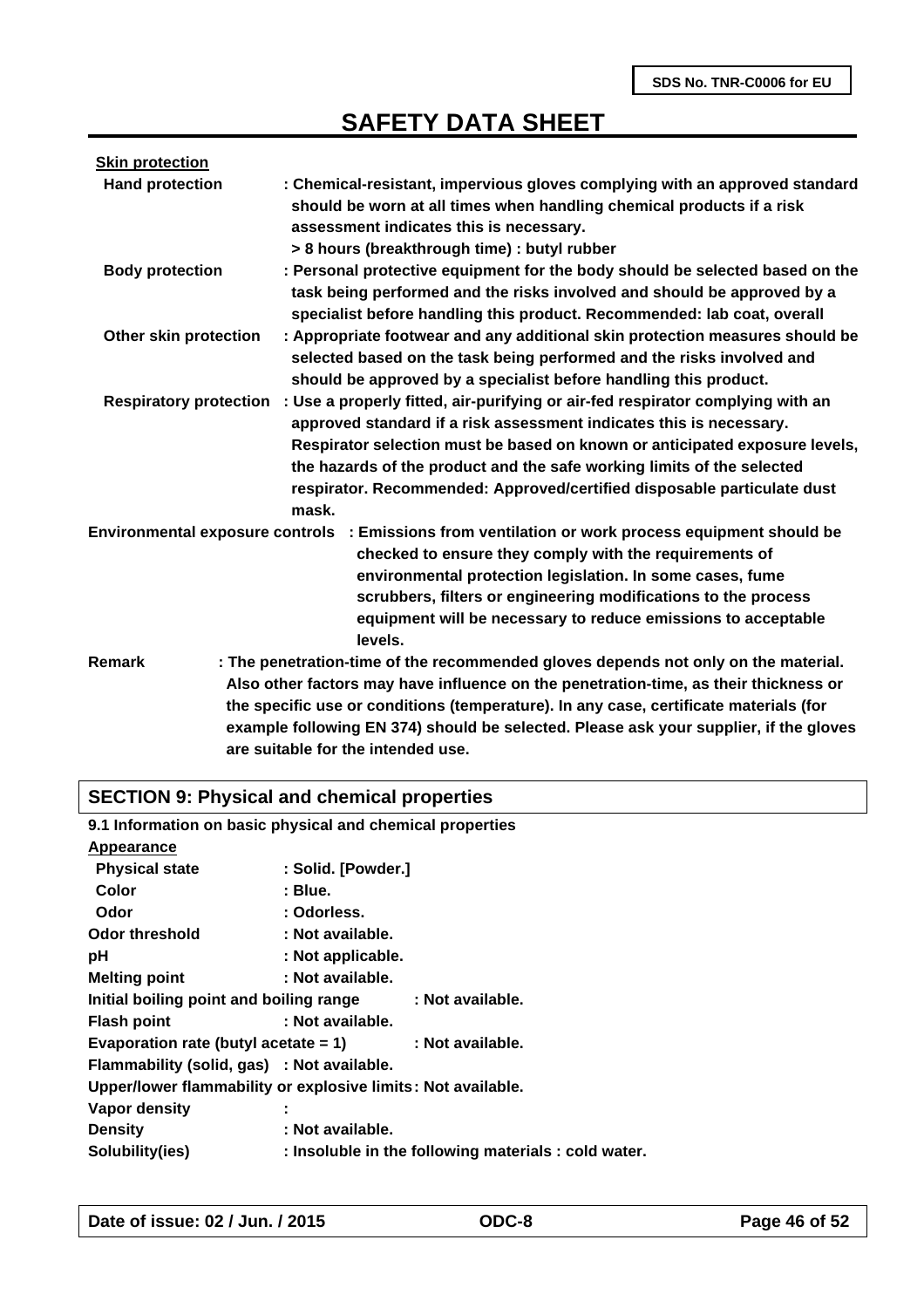| <b>Skin protection</b>        |                                                                                                                                                                                                                                                                                                                                                                                                    |
|-------------------------------|----------------------------------------------------------------------------------------------------------------------------------------------------------------------------------------------------------------------------------------------------------------------------------------------------------------------------------------------------------------------------------------------------|
| <b>Hand protection</b>        | : Chemical-resistant, impervious gloves complying with an approved standard<br>should be worn at all times when handling chemical products if a risk<br>assessment indicates this is necessary.<br>> 8 hours (breakthrough time) : butyl rubber                                                                                                                                                    |
| <b>Body protection</b>        | : Personal protective equipment for the body should be selected based on the<br>task being performed and the risks involved and should be approved by a<br>specialist before handling this product. Recommended: lab coat, overall                                                                                                                                                                 |
| Other skin protection         | : Appropriate footwear and any additional skin protection measures should be<br>selected based on the task being performed and the risks involved and<br>should be approved by a specialist before handling this product.                                                                                                                                                                          |
| <b>Respiratory protection</b> | : Use a properly fitted, air-purifying or air-fed respirator complying with an<br>approved standard if a risk assessment indicates this is necessary.<br>Respirator selection must be based on known or anticipated exposure levels,<br>the hazards of the product and the safe working limits of the selected<br>respirator. Recommended: Approved/certified disposable particulate dust<br>mask. |
|                               | Environmental exposure controls : Emissions from ventilation or work process equipment should be<br>checked to ensure they comply with the requirements of<br>environmental protection legislation. In some cases, fume<br>scrubbers, filters or engineering modifications to the process<br>equipment will be necessary to reduce emissions to acceptable<br>levels.                              |
| Remark                        | : The penetration-time of the recommended gloves depends not only on the material.<br>Also other factors may have influence on the penetration-time, as their thickness or<br>the specific use or conditions (temperature). In any case, certificate materials (for<br>example following EN 374) should be selected. Please ask your supplier, if the gloves<br>are suitable for the intended use. |

### **SECTION 9: Physical and chemical properties**

| 9.1 Information on basic physical and chemical properties    |                    |                                                      |
|--------------------------------------------------------------|--------------------|------------------------------------------------------|
| Appearance                                                   |                    |                                                      |
| <b>Physical state</b>                                        | : Solid. [Powder.] |                                                      |
| <b>Color</b>                                                 | : Blue.            |                                                      |
| Odor                                                         | : Odorless.        |                                                      |
| <b>Odor threshold</b>                                        | : Not available.   |                                                      |
| рH                                                           | : Not applicable.  |                                                      |
| <b>Melting point</b>                                         | : Not available.   |                                                      |
| Initial boiling point and boiling range                      |                    | : Not available.                                     |
| <b>Flash point</b>                                           | : Not available.   |                                                      |
| Evaporation rate (butyl acetate $= 1$ )                      |                    | : Not available.                                     |
| Flammability (solid, gas) : Not available.                   |                    |                                                      |
| Upper/lower flammability or explosive limits: Not available. |                    |                                                      |
| Vapor density                                                |                    |                                                      |
| <b>Density</b>                                               | : Not available.   |                                                      |
| Solubility(ies)                                              |                    | : Insoluble in the following materials : cold water. |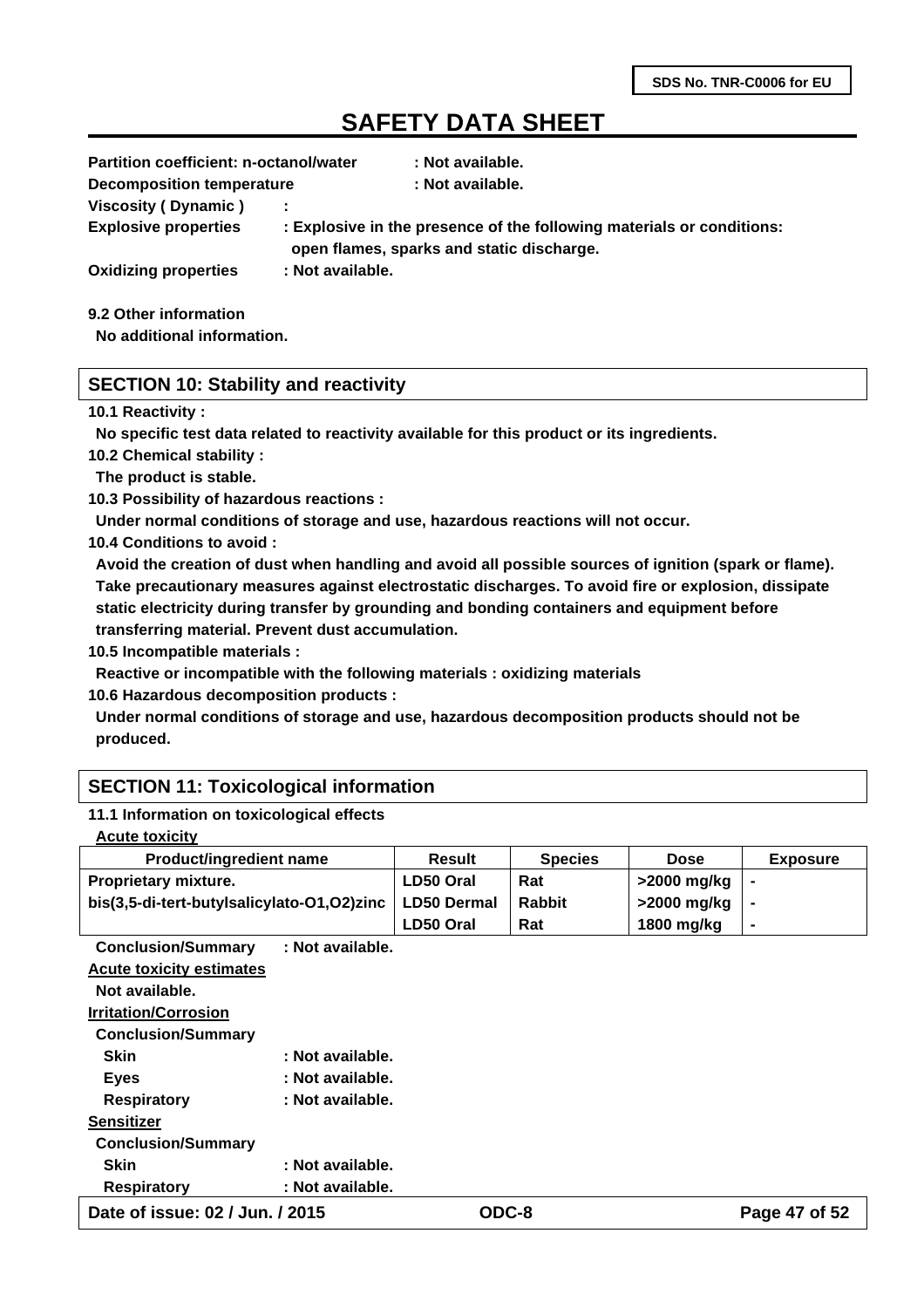| <b>Partition coefficient: n-octanol/water</b> |                  | : Not available.                                                                                                   |
|-----------------------------------------------|------------------|--------------------------------------------------------------------------------------------------------------------|
| <b>Decomposition temperature</b>              |                  | : Not available.                                                                                                   |
| Viscosity (Dynamic)                           |                  |                                                                                                                    |
| <b>Explosive properties</b>                   |                  | : Explosive in the presence of the following materials or conditions:<br>open flames, sparks and static discharge. |
| <b>Oxidizing properties</b>                   | : Not available. |                                                                                                                    |
|                                               |                  |                                                                                                                    |

**9.2 Other information**

**No additional information.**

### **SECTION 10: Stability and reactivity**

#### **10.1 Reactivity :**

**No specific test data related to reactivity available for this product or its ingredients.**

**10.2 Chemical stability :**

**The product is stable.**

**10.3 Possibility of hazardous reactions :**

**Under normal conditions of storage and use, hazardous reactions will not occur.**

**10.4 Conditions to avoid :**

**Avoid the creation of dust when handling and avoid all possible sources of ignition (spark or flame). Take precautionary measures against electrostatic discharges. To avoid fire or explosion, dissipate static electricity during transfer by grounding and bonding containers and equipment before transferring material. Prevent dust accumulation.**

**10.5 Incompatible materials :**

**Reactive or incompatible with the following materials : oxidizing materials**

**10.6 Hazardous decomposition products :**

**Under normal conditions of storage and use, hazardous decomposition products should not be produced.**

### **SECTION 11: Toxicological information**

#### **11.1 Information on toxicological effects**

| <b>Product/ingredient name</b>             | <b>Result</b>      | <b>Species</b> | <b>Dose</b> | <b>Exposure</b> |
|--------------------------------------------|--------------------|----------------|-------------|-----------------|
| <b>Proprietary mixture.</b>                | LD50 Oral          | Rat            | >2000 mg/kg |                 |
| bis(3,5-di-tert-butylsalicylato-O1,O2)zinc | <b>LD50 Dermal</b> | <b>Rabbit</b>  | >2000 mg/kg |                 |
|                                            | LD50 Oral          | Rat            | 1800 mg/kg  | $\blacksquare$  |

**Conclusion/Summary : Not available. Acute toxicity estimates Not available. Irritation/Corrosion Conclusion/Summary**  Skin : Not available.

| <b>Eyes</b>               | : Not available. |
|---------------------------|------------------|
| <b>Respiratory</b>        | : Not available. |
| <b>Sensitizer</b>         |                  |
| <b>Conclusion/Summary</b> |                  |
| <b>Skin</b>               | : Not available. |
| <b>Respiratory</b>        | : Not available. |
|                           |                  |

**Date of issue: 02 / Jun. / 2015 ODC-8 Page 47 of 52**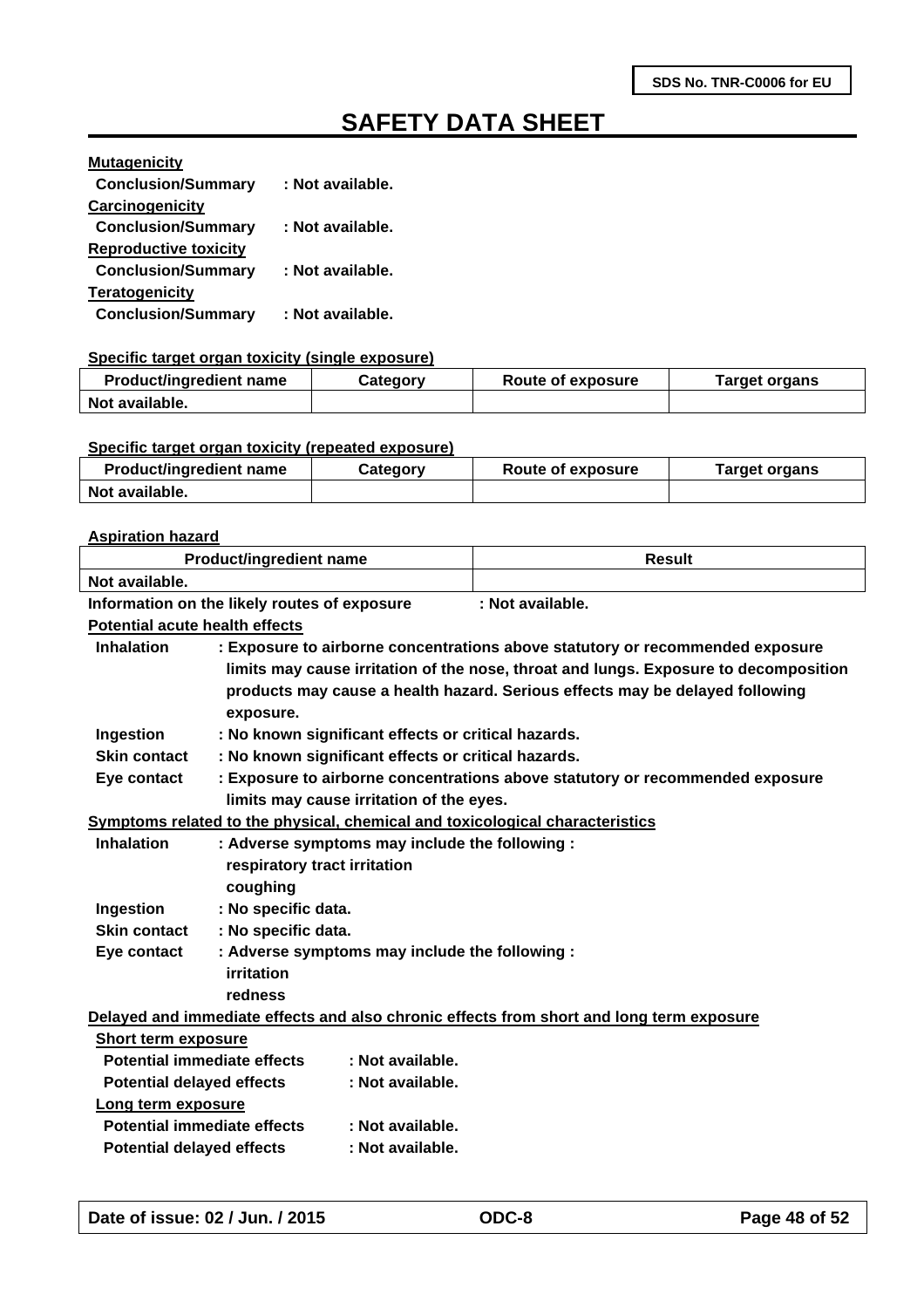| <b>Mutagenicity</b>          |                  |
|------------------------------|------------------|
| <b>Conclusion/Summary</b>    | : Not available. |
| Carcinogenicity              |                  |
| <b>Conclusion/Summary</b>    | : Not available. |
| <b>Reproductive toxicity</b> |                  |
| <b>Conclusion/Summary</b>    | : Not available. |
| <b>Teratogenicity</b>        |                  |
| <b>Conclusion/Summary</b>    | : Not available. |

#### **Specific target organ toxicity (single exposure)**

| <b>Product/ingredient name</b> | Category | Route of exposure | Target organs |
|--------------------------------|----------|-------------------|---------------|
| Not available.                 |          |                   |               |

#### **Specific target organ toxicity (repeated exposure)**

| <b>Product/ingredient name</b> | Category | Route of exposure | Target organs |
|--------------------------------|----------|-------------------|---------------|
| Not available.                 |          |                   |               |

#### **Aspiration hazard**

| <b>Product/ingredient name</b>        |                                                     |                                          | <b>Result</b>                                                                            |
|---------------------------------------|-----------------------------------------------------|------------------------------------------|------------------------------------------------------------------------------------------|
| Not available.                        |                                                     |                                          |                                                                                          |
|                                       | Information on the likely routes of exposure        |                                          | : Not available.                                                                         |
| <b>Potential acute health effects</b> |                                                     |                                          |                                                                                          |
| <b>Inhalation</b>                     |                                                     |                                          | : Exposure to airborne concentrations above statutory or recommended exposure            |
|                                       |                                                     |                                          | limits may cause irritation of the nose, throat and lungs. Exposure to decomposition     |
|                                       |                                                     |                                          | products may cause a health hazard. Serious effects may be delayed following             |
|                                       | exposure.                                           |                                          |                                                                                          |
| Ingestion                             | : No known significant effects or critical hazards. |                                          |                                                                                          |
| Skin contact                          | : No known significant effects or critical hazards. |                                          |                                                                                          |
| Eye contact                           |                                                     |                                          | : Exposure to airborne concentrations above statutory or recommended exposure            |
|                                       |                                                     | limits may cause irritation of the eyes. |                                                                                          |
|                                       |                                                     |                                          | Symptoms related to the physical, chemical and toxicological characteristics             |
| <b>Inhalation</b>                     | : Adverse symptoms may include the following :      |                                          |                                                                                          |
|                                       | respiratory tract irritation                        |                                          |                                                                                          |
|                                       | coughing                                            |                                          |                                                                                          |
| Ingestion                             | : No specific data.                                 |                                          |                                                                                          |
| <b>Skin contact</b>                   | : No specific data.                                 |                                          |                                                                                          |
| Eye contact                           | : Adverse symptoms may include the following :      |                                          |                                                                                          |
|                                       | irritation                                          |                                          |                                                                                          |
|                                       | redness                                             |                                          |                                                                                          |
|                                       |                                                     |                                          | Delayed and immediate effects and also chronic effects from short and long term exposure |
| <b>Short term exposure</b>            |                                                     |                                          |                                                                                          |
| <b>Potential immediate effects</b>    |                                                     | : Not available.                         |                                                                                          |
| <b>Potential delayed effects</b>      |                                                     | : Not available.                         |                                                                                          |
| Long term exposure                    |                                                     |                                          |                                                                                          |
| <b>Potential immediate effects</b>    |                                                     | : Not available.                         |                                                                                          |
| <b>Potential delayed effects</b>      |                                                     | : Not available.                         |                                                                                          |
|                                       |                                                     |                                          |                                                                                          |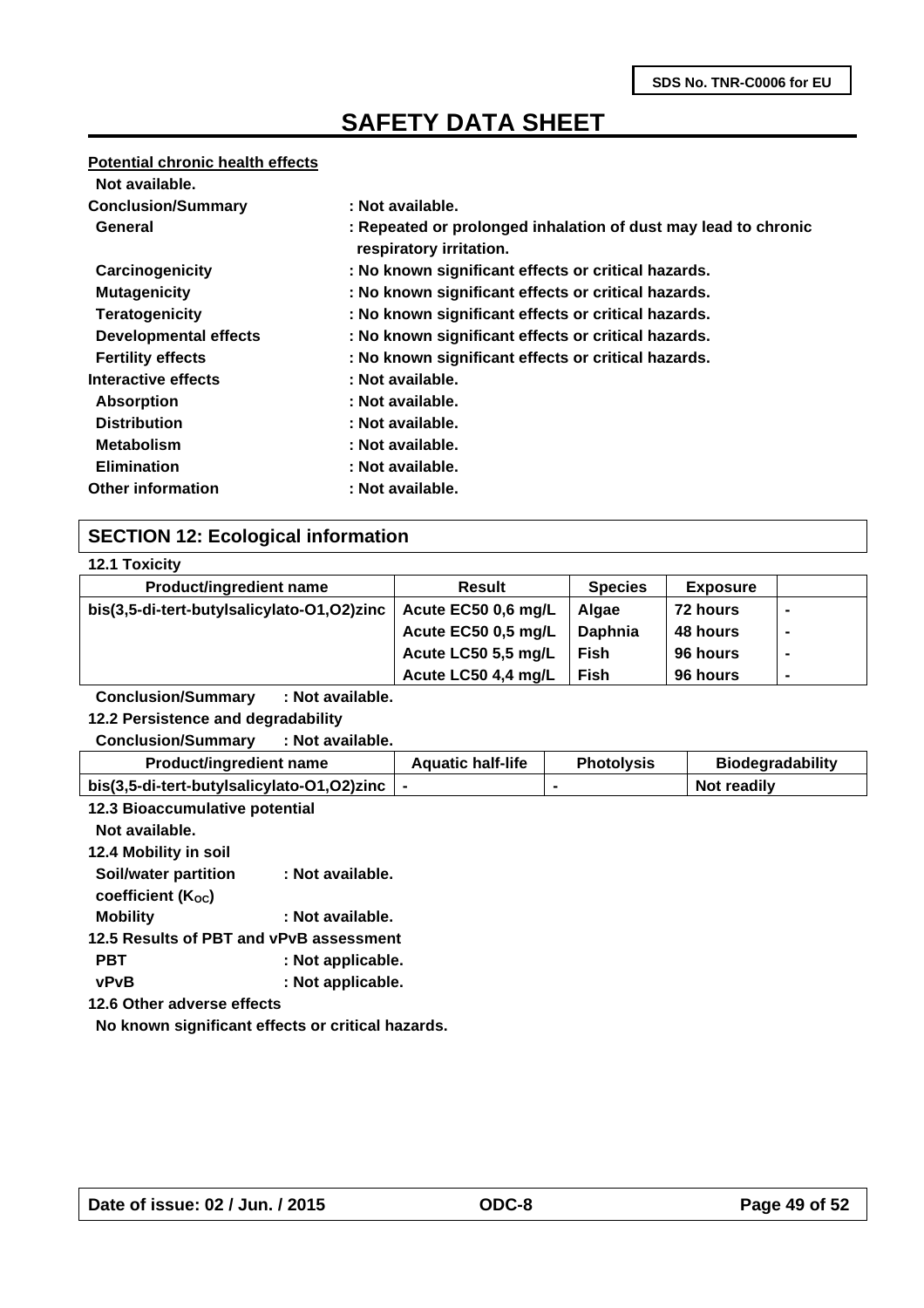#### **Potential chronic health effects**

| Not available.               |                                                                                           |
|------------------------------|-------------------------------------------------------------------------------------------|
| <b>Conclusion/Summary</b>    | : Not available.                                                                          |
| General                      | : Repeated or prolonged inhalation of dust may lead to chronic<br>respiratory irritation. |
| Carcinogenicity              | : No known significant effects or critical hazards.                                       |
| <b>Mutagenicity</b>          | : No known significant effects or critical hazards.                                       |
| <b>Teratogenicity</b>        | : No known significant effects or critical hazards.                                       |
| <b>Developmental effects</b> | : No known significant effects or critical hazards.                                       |
| <b>Fertility effects</b>     | : No known significant effects or critical hazards.                                       |
| Interactive effects          | : Not available.                                                                          |
| <b>Absorption</b>            | : Not available.                                                                          |
| <b>Distribution</b>          | : Not available.                                                                          |
| <b>Metabolism</b>            | : Not available.                                                                          |
| <b>Elimination</b>           | : Not available.                                                                          |
| <b>Other information</b>     | : Not available.                                                                          |

### **SECTION 12: Ecological information**

| <b>12.1 Toxicity</b> |
|----------------------|
|                      |

| Result              | <b>Species</b> | <b>Exposure</b> |  |
|---------------------|----------------|-----------------|--|
| Acute EC50 0,6 mg/L | Algae          | 72 hours        |  |
| Acute EC50 0,5 mg/L | Daphnia        | <b>48 hours</b> |  |
| Acute LC50 5,5 mg/L | <b>Fish</b>    | 96 hours        |  |
| Acute LC50 4,4 mg/L | <b>Fish</b>    | 96 hours        |  |
|                     |                |                 |  |

**Conclusion/Summary : Not available.**

**12.2 Persistence and degradability**

**Conclusion/Summary : Not available.**

| <b>Product/ingredient name</b>             | <b>Aquatic half-life</b> | <b>Photolysis</b> | <b>Biodegradability</b> |
|--------------------------------------------|--------------------------|-------------------|-------------------------|
| bis(3,5-di-tert-butylsalicylato-O1,O2)zinc |                          |                   | Not readily             |

| 12.3 Bioaccumulative potential                    |                   |  |
|---------------------------------------------------|-------------------|--|
| Not available.                                    |                   |  |
| 12.4 Mobility in soil                             |                   |  |
| Soil/water partition                              | : Not available.  |  |
| coefficient $(K_{OC})$                            |                   |  |
| <b>Mobility</b>                                   | : Not available.  |  |
| 12.5 Results of PBT and vPvB assessment           |                   |  |
| PBT                                               | : Not applicable. |  |
| <b>vPvB</b>                                       | : Not applicable. |  |
| 12.6 Other adverse effects                        |                   |  |
| No known significant effects or critical hazards. |                   |  |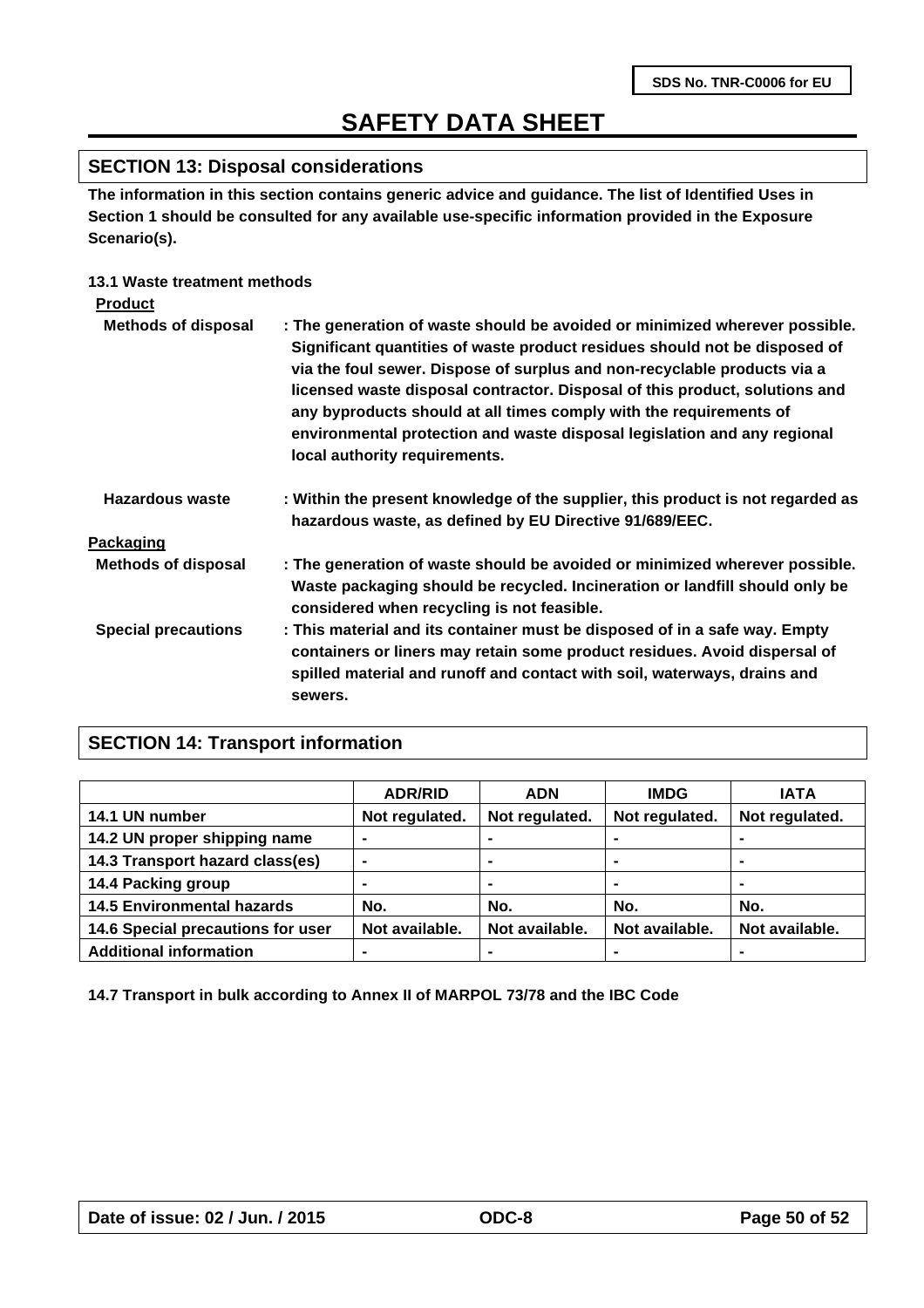### **SECTION 13: Disposal considerations**

**The information in this section contains generic advice and guidance. The list of Identified Uses in Section 1 should be consulted for any available use-specific information provided in the Exposure Scenario(s).**

### **13.1 Waste treatment methods**

| <b>Product</b>             |                                                                                                                                                                                                                                                                                                                                                                                                                                                                                                         |
|----------------------------|---------------------------------------------------------------------------------------------------------------------------------------------------------------------------------------------------------------------------------------------------------------------------------------------------------------------------------------------------------------------------------------------------------------------------------------------------------------------------------------------------------|
| <b>Methods of disposal</b> | : The generation of waste should be avoided or minimized wherever possible.<br>Significant quantities of waste product residues should not be disposed of<br>via the foul sewer. Dispose of surplus and non-recyclable products via a<br>licensed waste disposal contractor. Disposal of this product, solutions and<br>any byproducts should at all times comply with the requirements of<br>environmental protection and waste disposal legislation and any regional<br>local authority requirements. |
| Hazardous waste            | : Within the present knowledge of the supplier, this product is not regarded as<br>hazardous waste, as defined by EU Directive 91/689/EEC.                                                                                                                                                                                                                                                                                                                                                              |
| Packaging                  |                                                                                                                                                                                                                                                                                                                                                                                                                                                                                                         |
| <b>Methods of disposal</b> | : The generation of waste should be avoided or minimized wherever possible.<br>Waste packaging should be recycled. Incineration or landfill should only be<br>considered when recycling is not feasible.                                                                                                                                                                                                                                                                                                |
| <b>Special precautions</b> | : This material and its container must be disposed of in a safe way. Empty<br>containers or liners may retain some product residues. Avoid dispersal of<br>spilled material and runoff and contact with soil, waterways, drains and<br>sewers.                                                                                                                                                                                                                                                          |

### **SECTION 14: Transport information**

|                                   | <b>ADR/RID</b> | <b>ADN</b>     | <b>IMDG</b>    | <b>IATA</b>    |
|-----------------------------------|----------------|----------------|----------------|----------------|
| 14.1 UN number                    | Not regulated. | Not regulated. | Not regulated. | Not regulated. |
| 14.2 UN proper shipping name      |                |                |                |                |
| 14.3 Transport hazard class(es)   | ۰              | ۰              |                | $\blacksquare$ |
| 14.4 Packing group                | -              | ۰              | ۰              | $\blacksquare$ |
| <b>14.5 Environmental hazards</b> | No.            | No.            | No.            | No.            |
| 14.6 Special precautions for user | Not available. | Not available. | Not available. | Not available. |
| <b>Additional information</b>     | -              |                |                |                |

**14.7 Transport in bulk according to Annex II of MARPOL 73/78 and the IBC Code**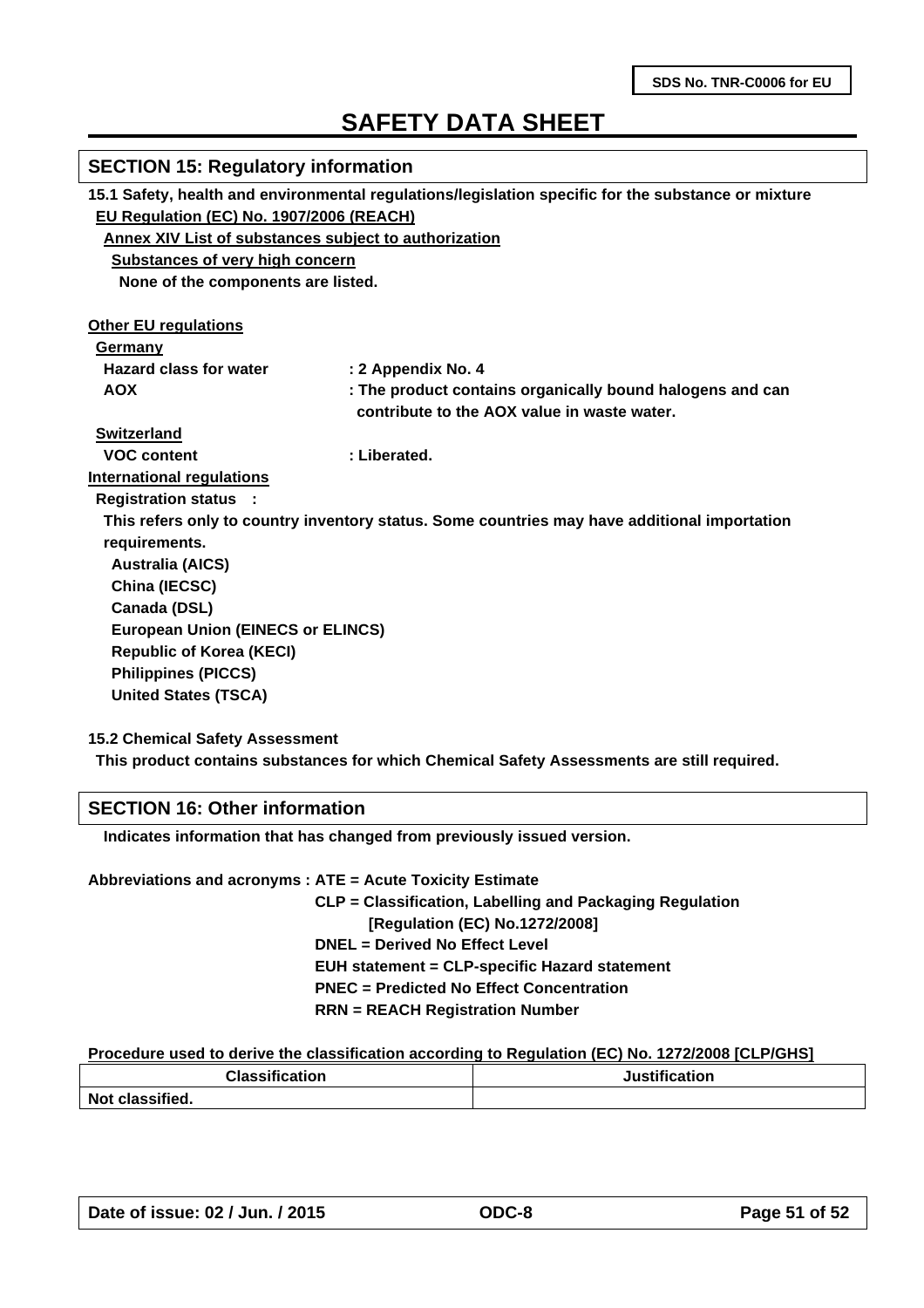| <b>SECTION 15: Regulatory information</b>                                                           |                                                                                              |  |
|-----------------------------------------------------------------------------------------------------|----------------------------------------------------------------------------------------------|--|
| 15.1 Safety, health and environmental regulations/legislation specific for the substance or mixture |                                                                                              |  |
| EU Regulation (EC) No. 1907/2006 (REACH)                                                            |                                                                                              |  |
| Annex XIV List of substances subject to authorization                                               |                                                                                              |  |
| <b>Substances of very high concern</b>                                                              |                                                                                              |  |
| None of the components are listed.                                                                  |                                                                                              |  |
|                                                                                                     |                                                                                              |  |
| <b>Other EU regulations</b>                                                                         |                                                                                              |  |
| Germany                                                                                             |                                                                                              |  |
| <b>Hazard class for water</b>                                                                       | : 2 Appendix No. 4                                                                           |  |
| <b>AOX</b>                                                                                          | : The product contains organically bound halogens and can                                    |  |
|                                                                                                     | contribute to the AOX value in waste water.                                                  |  |
| <b>Switzerland</b>                                                                                  |                                                                                              |  |
| <b>VOC content</b>                                                                                  | : Liberated.                                                                                 |  |
| <b>International regulations</b>                                                                    |                                                                                              |  |
| <b>Registration status :</b>                                                                        |                                                                                              |  |
|                                                                                                     | This refers only to country inventory status. Some countries may have additional importation |  |
| requirements.                                                                                       |                                                                                              |  |
| <b>Australia (AICS)</b>                                                                             |                                                                                              |  |
| China (IECSC)                                                                                       |                                                                                              |  |
| Canada (DSL)                                                                                        |                                                                                              |  |
| <b>European Union (EINECS or ELINCS)</b>                                                            |                                                                                              |  |
| <b>Republic of Korea (KECI)</b>                                                                     |                                                                                              |  |
| <b>Philippines (PICCS)</b>                                                                          |                                                                                              |  |
| <b>United States (TSCA)</b>                                                                         |                                                                                              |  |
|                                                                                                     |                                                                                              |  |

**15.2 Chemical Safety Assessment**

**This product contains substances for which Chemical Safety Assessments are still required.**

### **SECTION 16: Other information**

 **Indicates information that has changed from previously issued version.**

| Abbreviations and acronyms : ATE = Acute Toxicity Estimate |
|------------------------------------------------------------|
| CLP = Classification, Labelling and Packaging Regulation   |
| [Regulation (EC) No.1272/2008]                             |
| <b>DNEL = Derived No Effect Level</b>                      |
| <b>EUH statement = CLP-specific Hazard statement</b>       |
| <b>PNEC</b> = Predicted No Effect Concentration            |
| $RRN = REACH$ Registration Number                          |
|                                                            |

#### **Procedure used to derive the classification according to Regulation (EC) No. 1272/2008 [CLP/GHS]**

| <b>Classification</b><br>_______ | Justification |
|----------------------------------|---------------|
| Not classified.                  |               |